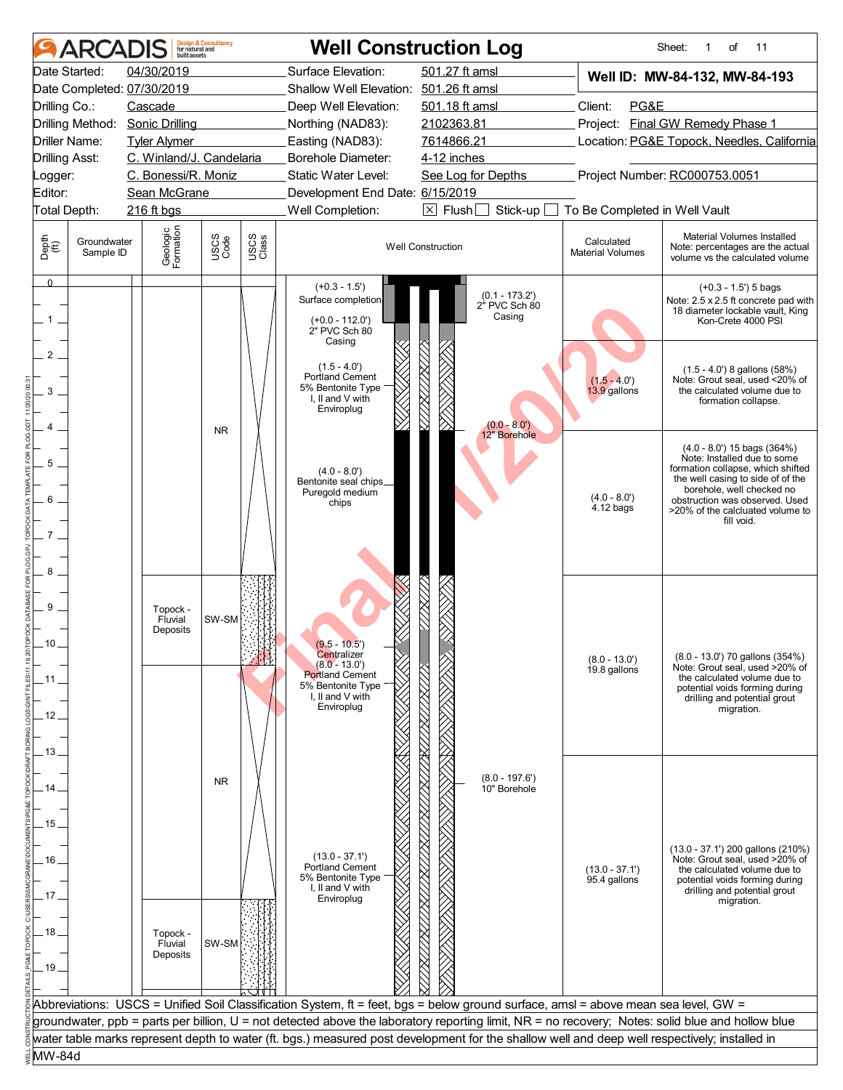| Date Started:<br>04/30/2019<br>Surface Elevation:<br>501.27 ft amsl<br>Well ID: MW-84-132, MW-84-193<br>Date Completed: 07/30/2019<br>501.26 ft amsl<br><b>Shallow Well Elevation:</b><br>Cascade<br>Client:<br>PG&E<br>Drilling Co.:<br>Deep Well Elevation:<br>501.18 ft amsl<br>Project: Final GW Remedy Phase 1<br>Drilling Method: Sonic Drilling<br>2102363.81<br>Northing (NAD83):<br>Location: PG&E Topock, Needles, California<br>Driller Name:<br><b>Tyler Alymer</b><br>Easting (NAD83):<br>7614866.21<br>C. Winland/J. Candelaria<br><b>Drilling Asst:</b><br>Borehole Diameter:<br>4-12 inches<br>C. Bonessi/R. Moniz<br>Project Number: RC000753.0051<br>Static Water Level:<br>See Log for Depths<br>Logger:<br>Editor:<br>Sean McGrane<br>Development End Date: 6/15/2019<br>Well Completion:<br>$\boxed{\times}$ Flush $\boxed{\Box}$<br>Stick-up [<br>To Be Completed in Well Vault<br>Total Depth:<br>216 ft bgs<br>Geologic<br>Formation<br>Material Volumes Installed<br>USCS<br>Code<br>USCS<br>Class<br>Depth<br>(ff)<br>Groundwater<br>Calculated<br><b>Well Construction</b><br>Note: percentages are the actual<br><b>Material Volumes</b><br>Sample ID<br>volume vs the calculated volume<br>$\Omega$<br>$(+0.3 - 1.5')$<br>$(+0.3 - 1.5)$ 5 bags<br>$(0.1 - 173.2)$<br>Surface completion<br>Note: 2.5 x 2.5 ft concrete pad with<br>2 <sup>"</sup> PVC Sch 80<br>18 diameter lockable vault, King<br>Casing<br>$(+0.0 - 112.0')$<br>1<br>Kon-Crete 4000 PSI<br>2" PVC Sch 80<br>Casing<br>$\overline{2}$<br>$(1.5 - 4.0')$<br>$(1.5 - 4.0)$ 8 gallons $(58%)$<br>Portland Cement<br>Note: Grout seal, used <20% of<br>$(1.5 - 4.0')$<br>5% Bentonite Type<br>13.9 gallons<br>the calculated volume due to<br>3<br>I, II and V with<br>formation collapse.<br>Enviroplug<br>$(0.0 - 8.0')$<br>Δ<br><b>NR</b><br>12" Borehole<br>$(4.0 - 8.0')$ 15 bags $(364%)$<br>Note: Installed due to some<br>5<br>formation collapse, which shifted<br>$(4.0 - 8.0')$<br>the well casing to side of of the<br>Bentonite seal chips_<br>borehole, well checked no<br>Puregold medium<br>$(4.0 - 8.0')$<br>6<br>obstruction was observed. Used<br>chips<br>4.12 bags<br>>20% of the calcluated volume to<br>fill void.<br>$\overline{7}$<br>8<br>9<br>Topock -<br>SW-SM<br>Fluvial<br>Deposits<br>$9.5 - 10.5$<br>Centralizer<br>(8.0 - 13.0') 70 gallons (354%)<br>$(8.0 - 13.0')$<br>$(8.0 - 13.0)$<br>Note: Grout seal, used >20% of<br>19.8 gallons<br><b>Portland Cement</b><br>the calculated volume due to<br>. 11.<br>5% Bentonite Type<br>potential voids forming during<br>I, II and V with<br>drilling and potential grout<br>Enviroplug<br>migration.<br>. 12<br>. 13 .<br>$(8.0 - 197.6')$<br><b>NR</b><br>14<br>10" Borehole<br>. 15 .<br>(13.0 - 37.1') 200 gallons (210%)<br>$(13.0 - 37.1)$<br>Note: Grout seal, used >20% of<br>. 16 .<br><b>Portland Cement</b><br>$(13.0 - 37.1')$<br>the calculated volume due to<br>5% Bentonite Type<br>95.4 gallons<br>potential voids forming during<br>I, II and V with<br>drilling and potential grout<br>17.<br>Enviroplug<br>migration.<br>. 18 .<br>Topock -<br>SW-SM<br>Fluvial<br>Deposits<br>. 19 .<br>Abbreviations: USCS = Unified Soil Classification System, ft = feet, bgs = below ground surface, amsl = above mean sea level, GW =<br>groundwater, ppb = parts per billion, U = not detected above the laboratory reporting limit, NR = no recovery; Notes: solid blue and hollow blue<br>water table marks represent depth to water (ft. bgs.) measured post development for the shallow well and deep well respectively; installed in<br>MW-84d | <b>ARCA</b> | built assets | <b>Design &amp; Consultancy</b><br>for natural and |  | <b>Well Construction Log</b> |  | 11<br>Sheet:<br>of<br>1 |
|------------------------------------------------------------------------------------------------------------------------------------------------------------------------------------------------------------------------------------------------------------------------------------------------------------------------------------------------------------------------------------------------------------------------------------------------------------------------------------------------------------------------------------------------------------------------------------------------------------------------------------------------------------------------------------------------------------------------------------------------------------------------------------------------------------------------------------------------------------------------------------------------------------------------------------------------------------------------------------------------------------------------------------------------------------------------------------------------------------------------------------------------------------------------------------------------------------------------------------------------------------------------------------------------------------------------------------------------------------------------------------------------------------------------------------------------------------------------------------------------------------------------------------------------------------------------------------------------------------------------------------------------------------------------------------------------------------------------------------------------------------------------------------------------------------------------------------------------------------------------------------------------------------------------------------------------------------------------------------------------------------------------------------------------------------------------------------------------------------------------------------------------------------------------------------------------------------------------------------------------------------------------------------------------------------------------------------------------------------------------------------------------------------------------------------------------------------------------------------------------------------------------------------------------------------------------------------------------------------------------------------------------------------------------------------------------------------------------------------------------------------------------------------------------------------------------------------------------------------------------------------------------------------------------------------------------------------------------------------------------------------------------------------------------------------------------------------------------------------------------------------------------------------------------------------------------------------------------------------------------------------------------------------------------------------------------------------------------------------------------------------------------------------------------------------------------------------------------------------------------------------------------------------------------------------------------------------------------------------------------------------------|-------------|--------------|----------------------------------------------------|--|------------------------------|--|-------------------------|
|                                                                                                                                                                                                                                                                                                                                                                                                                                                                                                                                                                                                                                                                                                                                                                                                                                                                                                                                                                                                                                                                                                                                                                                                                                                                                                                                                                                                                                                                                                                                                                                                                                                                                                                                                                                                                                                                                                                                                                                                                                                                                                                                                                                                                                                                                                                                                                                                                                                                                                                                                                                                                                                                                                                                                                                                                                                                                                                                                                                                                                                                                                                                                                                                                                                                                                                                                                                                                                                                                                                                                                                                                                          |             |              |                                                    |  |                              |  |                         |
|                                                                                                                                                                                                                                                                                                                                                                                                                                                                                                                                                                                                                                                                                                                                                                                                                                                                                                                                                                                                                                                                                                                                                                                                                                                                                                                                                                                                                                                                                                                                                                                                                                                                                                                                                                                                                                                                                                                                                                                                                                                                                                                                                                                                                                                                                                                                                                                                                                                                                                                                                                                                                                                                                                                                                                                                                                                                                                                                                                                                                                                                                                                                                                                                                                                                                                                                                                                                                                                                                                                                                                                                                                          |             |              |                                                    |  |                              |  |                         |
|                                                                                                                                                                                                                                                                                                                                                                                                                                                                                                                                                                                                                                                                                                                                                                                                                                                                                                                                                                                                                                                                                                                                                                                                                                                                                                                                                                                                                                                                                                                                                                                                                                                                                                                                                                                                                                                                                                                                                                                                                                                                                                                                                                                                                                                                                                                                                                                                                                                                                                                                                                                                                                                                                                                                                                                                                                                                                                                                                                                                                                                                                                                                                                                                                                                                                                                                                                                                                                                                                                                                                                                                                                          |             |              |                                                    |  |                              |  |                         |
|                                                                                                                                                                                                                                                                                                                                                                                                                                                                                                                                                                                                                                                                                                                                                                                                                                                                                                                                                                                                                                                                                                                                                                                                                                                                                                                                                                                                                                                                                                                                                                                                                                                                                                                                                                                                                                                                                                                                                                                                                                                                                                                                                                                                                                                                                                                                                                                                                                                                                                                                                                                                                                                                                                                                                                                                                                                                                                                                                                                                                                                                                                                                                                                                                                                                                                                                                                                                                                                                                                                                                                                                                                          |             |              |                                                    |  |                              |  |                         |
|                                                                                                                                                                                                                                                                                                                                                                                                                                                                                                                                                                                                                                                                                                                                                                                                                                                                                                                                                                                                                                                                                                                                                                                                                                                                                                                                                                                                                                                                                                                                                                                                                                                                                                                                                                                                                                                                                                                                                                                                                                                                                                                                                                                                                                                                                                                                                                                                                                                                                                                                                                                                                                                                                                                                                                                                                                                                                                                                                                                                                                                                                                                                                                                                                                                                                                                                                                                                                                                                                                                                                                                                                                          |             |              |                                                    |  |                              |  |                         |
|                                                                                                                                                                                                                                                                                                                                                                                                                                                                                                                                                                                                                                                                                                                                                                                                                                                                                                                                                                                                                                                                                                                                                                                                                                                                                                                                                                                                                                                                                                                                                                                                                                                                                                                                                                                                                                                                                                                                                                                                                                                                                                                                                                                                                                                                                                                                                                                                                                                                                                                                                                                                                                                                                                                                                                                                                                                                                                                                                                                                                                                                                                                                                                                                                                                                                                                                                                                                                                                                                                                                                                                                                                          |             |              |                                                    |  |                              |  |                         |
|                                                                                                                                                                                                                                                                                                                                                                                                                                                                                                                                                                                                                                                                                                                                                                                                                                                                                                                                                                                                                                                                                                                                                                                                                                                                                                                                                                                                                                                                                                                                                                                                                                                                                                                                                                                                                                                                                                                                                                                                                                                                                                                                                                                                                                                                                                                                                                                                                                                                                                                                                                                                                                                                                                                                                                                                                                                                                                                                                                                                                                                                                                                                                                                                                                                                                                                                                                                                                                                                                                                                                                                                                                          |             |              |                                                    |  |                              |  |                         |
|                                                                                                                                                                                                                                                                                                                                                                                                                                                                                                                                                                                                                                                                                                                                                                                                                                                                                                                                                                                                                                                                                                                                                                                                                                                                                                                                                                                                                                                                                                                                                                                                                                                                                                                                                                                                                                                                                                                                                                                                                                                                                                                                                                                                                                                                                                                                                                                                                                                                                                                                                                                                                                                                                                                                                                                                                                                                                                                                                                                                                                                                                                                                                                                                                                                                                                                                                                                                                                                                                                                                                                                                                                          |             |              |                                                    |  |                              |  |                         |
|                                                                                                                                                                                                                                                                                                                                                                                                                                                                                                                                                                                                                                                                                                                                                                                                                                                                                                                                                                                                                                                                                                                                                                                                                                                                                                                                                                                                                                                                                                                                                                                                                                                                                                                                                                                                                                                                                                                                                                                                                                                                                                                                                                                                                                                                                                                                                                                                                                                                                                                                                                                                                                                                                                                                                                                                                                                                                                                                                                                                                                                                                                                                                                                                                                                                                                                                                                                                                                                                                                                                                                                                                                          |             |              |                                                    |  |                              |  |                         |
|                                                                                                                                                                                                                                                                                                                                                                                                                                                                                                                                                                                                                                                                                                                                                                                                                                                                                                                                                                                                                                                                                                                                                                                                                                                                                                                                                                                                                                                                                                                                                                                                                                                                                                                                                                                                                                                                                                                                                                                                                                                                                                                                                                                                                                                                                                                                                                                                                                                                                                                                                                                                                                                                                                                                                                                                                                                                                                                                                                                                                                                                                                                                                                                                                                                                                                                                                                                                                                                                                                                                                                                                                                          |             |              |                                                    |  |                              |  |                         |
|                                                                                                                                                                                                                                                                                                                                                                                                                                                                                                                                                                                                                                                                                                                                                                                                                                                                                                                                                                                                                                                                                                                                                                                                                                                                                                                                                                                                                                                                                                                                                                                                                                                                                                                                                                                                                                                                                                                                                                                                                                                                                                                                                                                                                                                                                                                                                                                                                                                                                                                                                                                                                                                                                                                                                                                                                                                                                                                                                                                                                                                                                                                                                                                                                                                                                                                                                                                                                                                                                                                                                                                                                                          |             |              |                                                    |  |                              |  |                         |
|                                                                                                                                                                                                                                                                                                                                                                                                                                                                                                                                                                                                                                                                                                                                                                                                                                                                                                                                                                                                                                                                                                                                                                                                                                                                                                                                                                                                                                                                                                                                                                                                                                                                                                                                                                                                                                                                                                                                                                                                                                                                                                                                                                                                                                                                                                                                                                                                                                                                                                                                                                                                                                                                                                                                                                                                                                                                                                                                                                                                                                                                                                                                                                                                                                                                                                                                                                                                                                                                                                                                                                                                                                          |             |              |                                                    |  |                              |  |                         |
|                                                                                                                                                                                                                                                                                                                                                                                                                                                                                                                                                                                                                                                                                                                                                                                                                                                                                                                                                                                                                                                                                                                                                                                                                                                                                                                                                                                                                                                                                                                                                                                                                                                                                                                                                                                                                                                                                                                                                                                                                                                                                                                                                                                                                                                                                                                                                                                                                                                                                                                                                                                                                                                                                                                                                                                                                                                                                                                                                                                                                                                                                                                                                                                                                                                                                                                                                                                                                                                                                                                                                                                                                                          |             |              |                                                    |  |                              |  |                         |
|                                                                                                                                                                                                                                                                                                                                                                                                                                                                                                                                                                                                                                                                                                                                                                                                                                                                                                                                                                                                                                                                                                                                                                                                                                                                                                                                                                                                                                                                                                                                                                                                                                                                                                                                                                                                                                                                                                                                                                                                                                                                                                                                                                                                                                                                                                                                                                                                                                                                                                                                                                                                                                                                                                                                                                                                                                                                                                                                                                                                                                                                                                                                                                                                                                                                                                                                                                                                                                                                                                                                                                                                                                          |             |              |                                                    |  |                              |  |                         |
|                                                                                                                                                                                                                                                                                                                                                                                                                                                                                                                                                                                                                                                                                                                                                                                                                                                                                                                                                                                                                                                                                                                                                                                                                                                                                                                                                                                                                                                                                                                                                                                                                                                                                                                                                                                                                                                                                                                                                                                                                                                                                                                                                                                                                                                                                                                                                                                                                                                                                                                                                                                                                                                                                                                                                                                                                                                                                                                                                                                                                                                                                                                                                                                                                                                                                                                                                                                                                                                                                                                                                                                                                                          |             |              |                                                    |  |                              |  |                         |
|                                                                                                                                                                                                                                                                                                                                                                                                                                                                                                                                                                                                                                                                                                                                                                                                                                                                                                                                                                                                                                                                                                                                                                                                                                                                                                                                                                                                                                                                                                                                                                                                                                                                                                                                                                                                                                                                                                                                                                                                                                                                                                                                                                                                                                                                                                                                                                                                                                                                                                                                                                                                                                                                                                                                                                                                                                                                                                                                                                                                                                                                                                                                                                                                                                                                                                                                                                                                                                                                                                                                                                                                                                          |             |              |                                                    |  |                              |  |                         |
|                                                                                                                                                                                                                                                                                                                                                                                                                                                                                                                                                                                                                                                                                                                                                                                                                                                                                                                                                                                                                                                                                                                                                                                                                                                                                                                                                                                                                                                                                                                                                                                                                                                                                                                                                                                                                                                                                                                                                                                                                                                                                                                                                                                                                                                                                                                                                                                                                                                                                                                                                                                                                                                                                                                                                                                                                                                                                                                                                                                                                                                                                                                                                                                                                                                                                                                                                                                                                                                                                                                                                                                                                                          |             |              |                                                    |  |                              |  |                         |
|                                                                                                                                                                                                                                                                                                                                                                                                                                                                                                                                                                                                                                                                                                                                                                                                                                                                                                                                                                                                                                                                                                                                                                                                                                                                                                                                                                                                                                                                                                                                                                                                                                                                                                                                                                                                                                                                                                                                                                                                                                                                                                                                                                                                                                                                                                                                                                                                                                                                                                                                                                                                                                                                                                                                                                                                                                                                                                                                                                                                                                                                                                                                                                                                                                                                                                                                                                                                                                                                                                                                                                                                                                          |             |              |                                                    |  |                              |  |                         |
|                                                                                                                                                                                                                                                                                                                                                                                                                                                                                                                                                                                                                                                                                                                                                                                                                                                                                                                                                                                                                                                                                                                                                                                                                                                                                                                                                                                                                                                                                                                                                                                                                                                                                                                                                                                                                                                                                                                                                                                                                                                                                                                                                                                                                                                                                                                                                                                                                                                                                                                                                                                                                                                                                                                                                                                                                                                                                                                                                                                                                                                                                                                                                                                                                                                                                                                                                                                                                                                                                                                                                                                                                                          |             |              |                                                    |  |                              |  |                         |
|                                                                                                                                                                                                                                                                                                                                                                                                                                                                                                                                                                                                                                                                                                                                                                                                                                                                                                                                                                                                                                                                                                                                                                                                                                                                                                                                                                                                                                                                                                                                                                                                                                                                                                                                                                                                                                                                                                                                                                                                                                                                                                                                                                                                                                                                                                                                                                                                                                                                                                                                                                                                                                                                                                                                                                                                                                                                                                                                                                                                                                                                                                                                                                                                                                                                                                                                                                                                                                                                                                                                                                                                                                          |             |              |                                                    |  |                              |  |                         |
|                                                                                                                                                                                                                                                                                                                                                                                                                                                                                                                                                                                                                                                                                                                                                                                                                                                                                                                                                                                                                                                                                                                                                                                                                                                                                                                                                                                                                                                                                                                                                                                                                                                                                                                                                                                                                                                                                                                                                                                                                                                                                                                                                                                                                                                                                                                                                                                                                                                                                                                                                                                                                                                                                                                                                                                                                                                                                                                                                                                                                                                                                                                                                                                                                                                                                                                                                                                                                                                                                                                                                                                                                                          |             |              |                                                    |  |                              |  |                         |
|                                                                                                                                                                                                                                                                                                                                                                                                                                                                                                                                                                                                                                                                                                                                                                                                                                                                                                                                                                                                                                                                                                                                                                                                                                                                                                                                                                                                                                                                                                                                                                                                                                                                                                                                                                                                                                                                                                                                                                                                                                                                                                                                                                                                                                                                                                                                                                                                                                                                                                                                                                                                                                                                                                                                                                                                                                                                                                                                                                                                                                                                                                                                                                                                                                                                                                                                                                                                                                                                                                                                                                                                                                          |             |              |                                                    |  |                              |  |                         |
|                                                                                                                                                                                                                                                                                                                                                                                                                                                                                                                                                                                                                                                                                                                                                                                                                                                                                                                                                                                                                                                                                                                                                                                                                                                                                                                                                                                                                                                                                                                                                                                                                                                                                                                                                                                                                                                                                                                                                                                                                                                                                                                                                                                                                                                                                                                                                                                                                                                                                                                                                                                                                                                                                                                                                                                                                                                                                                                                                                                                                                                                                                                                                                                                                                                                                                                                                                                                                                                                                                                                                                                                                                          |             |              |                                                    |  |                              |  |                         |
|                                                                                                                                                                                                                                                                                                                                                                                                                                                                                                                                                                                                                                                                                                                                                                                                                                                                                                                                                                                                                                                                                                                                                                                                                                                                                                                                                                                                                                                                                                                                                                                                                                                                                                                                                                                                                                                                                                                                                                                                                                                                                                                                                                                                                                                                                                                                                                                                                                                                                                                                                                                                                                                                                                                                                                                                                                                                                                                                                                                                                                                                                                                                                                                                                                                                                                                                                                                                                                                                                                                                                                                                                                          |             |              |                                                    |  |                              |  |                         |
|                                                                                                                                                                                                                                                                                                                                                                                                                                                                                                                                                                                                                                                                                                                                                                                                                                                                                                                                                                                                                                                                                                                                                                                                                                                                                                                                                                                                                                                                                                                                                                                                                                                                                                                                                                                                                                                                                                                                                                                                                                                                                                                                                                                                                                                                                                                                                                                                                                                                                                                                                                                                                                                                                                                                                                                                                                                                                                                                                                                                                                                                                                                                                                                                                                                                                                                                                                                                                                                                                                                                                                                                                                          |             |              |                                                    |  |                              |  |                         |
|                                                                                                                                                                                                                                                                                                                                                                                                                                                                                                                                                                                                                                                                                                                                                                                                                                                                                                                                                                                                                                                                                                                                                                                                                                                                                                                                                                                                                                                                                                                                                                                                                                                                                                                                                                                                                                                                                                                                                                                                                                                                                                                                                                                                                                                                                                                                                                                                                                                                                                                                                                                                                                                                                                                                                                                                                                                                                                                                                                                                                                                                                                                                                                                                                                                                                                                                                                                                                                                                                                                                                                                                                                          |             |              |                                                    |  |                              |  |                         |
|                                                                                                                                                                                                                                                                                                                                                                                                                                                                                                                                                                                                                                                                                                                                                                                                                                                                                                                                                                                                                                                                                                                                                                                                                                                                                                                                                                                                                                                                                                                                                                                                                                                                                                                                                                                                                                                                                                                                                                                                                                                                                                                                                                                                                                                                                                                                                                                                                                                                                                                                                                                                                                                                                                                                                                                                                                                                                                                                                                                                                                                                                                                                                                                                                                                                                                                                                                                                                                                                                                                                                                                                                                          |             |              |                                                    |  |                              |  |                         |
|                                                                                                                                                                                                                                                                                                                                                                                                                                                                                                                                                                                                                                                                                                                                                                                                                                                                                                                                                                                                                                                                                                                                                                                                                                                                                                                                                                                                                                                                                                                                                                                                                                                                                                                                                                                                                                                                                                                                                                                                                                                                                                                                                                                                                                                                                                                                                                                                                                                                                                                                                                                                                                                                                                                                                                                                                                                                                                                                                                                                                                                                                                                                                                                                                                                                                                                                                                                                                                                                                                                                                                                                                                          |             |              |                                                    |  |                              |  |                         |
|                                                                                                                                                                                                                                                                                                                                                                                                                                                                                                                                                                                                                                                                                                                                                                                                                                                                                                                                                                                                                                                                                                                                                                                                                                                                                                                                                                                                                                                                                                                                                                                                                                                                                                                                                                                                                                                                                                                                                                                                                                                                                                                                                                                                                                                                                                                                                                                                                                                                                                                                                                                                                                                                                                                                                                                                                                                                                                                                                                                                                                                                                                                                                                                                                                                                                                                                                                                                                                                                                                                                                                                                                                          |             |              |                                                    |  |                              |  |                         |
|                                                                                                                                                                                                                                                                                                                                                                                                                                                                                                                                                                                                                                                                                                                                                                                                                                                                                                                                                                                                                                                                                                                                                                                                                                                                                                                                                                                                                                                                                                                                                                                                                                                                                                                                                                                                                                                                                                                                                                                                                                                                                                                                                                                                                                                                                                                                                                                                                                                                                                                                                                                                                                                                                                                                                                                                                                                                                                                                                                                                                                                                                                                                                                                                                                                                                                                                                                                                                                                                                                                                                                                                                                          |             |              |                                                    |  |                              |  |                         |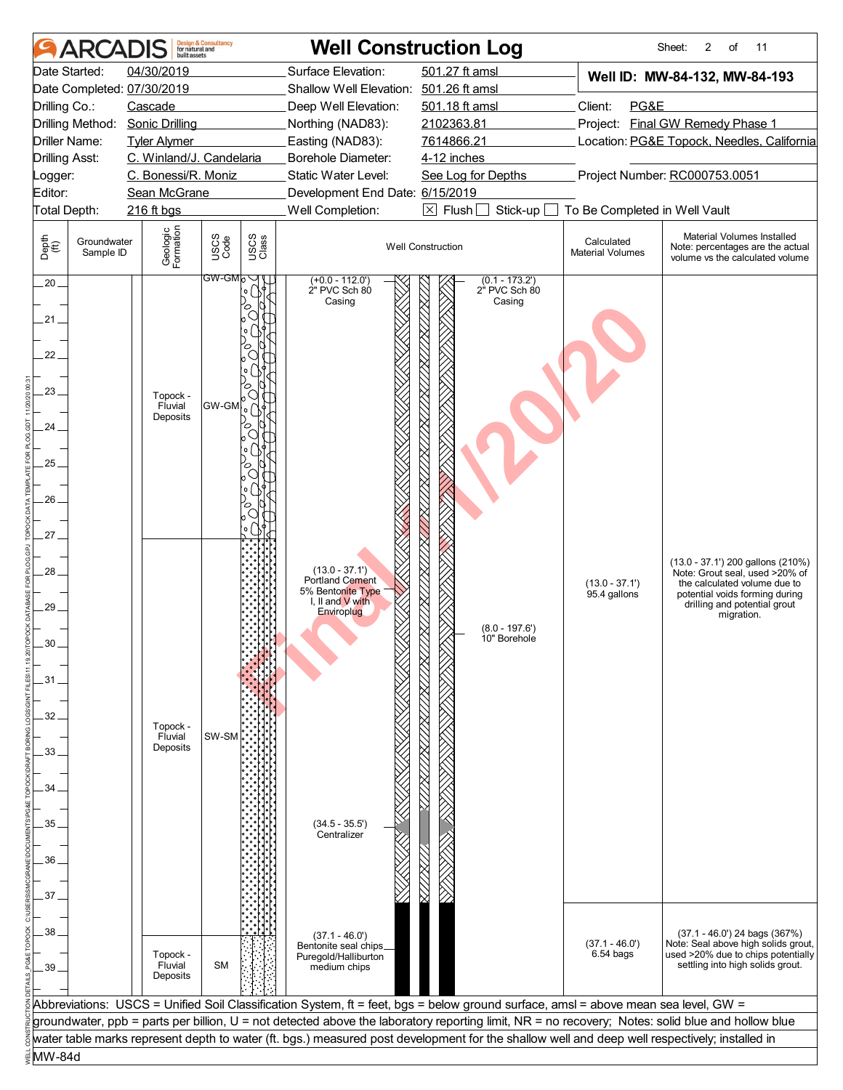| <b>ARCADIS</b>                                                                                    | <b>Design &amp; Consultancy</b><br>for natural and<br>built assets                                |                                                                      |                                                                                                                                                     | <b>Well Construction Log</b>                                                                                                                                                                                                                                                                                                                                                                                                            |                                                                        | Sheet:<br>2<br>of<br>11                                                                                                                                                             |
|---------------------------------------------------------------------------------------------------|---------------------------------------------------------------------------------------------------|----------------------------------------------------------------------|-----------------------------------------------------------------------------------------------------------------------------------------------------|-----------------------------------------------------------------------------------------------------------------------------------------------------------------------------------------------------------------------------------------------------------------------------------------------------------------------------------------------------------------------------------------------------------------------------------------|------------------------------------------------------------------------|-------------------------------------------------------------------------------------------------------------------------------------------------------------------------------------|
| Date Started:<br>Date Completed: 07/30/2019<br>Drilling Co.:<br>Drilling Method:<br>Driller Name: | 04/30/2019<br>Cascade<br><b>Sonic Drilling</b><br><b>Tyler Alymer</b><br>C. Winland/J. Candelaria |                                                                      | Surface Elevation:<br>Shallow Well Elevation: 501.26 ft amsl<br>Deep Well Elevation:<br>Northing (NAD83):<br>Easting (NAD83):<br>Borehole Diameter: | 501.27 ft amsl<br>501.18 ft amsl<br>2102363.81<br>7614866.21<br>4-12 inches                                                                                                                                                                                                                                                                                                                                                             | Client:<br>PG&E                                                        | Well ID: MW-84-132, MW-84-193<br>Project: Final GW Remedy Phase 1<br>Location: PG&E Topock, Needles, California                                                                     |
| <b>Drilling Asst:</b><br>_ogger:<br>Editor:                                                       | C. Bonessi/R. Moniz<br>Sean McGrane                                                               |                                                                      | Static Water Level:<br>Development End Date: 6/15/2019                                                                                              | See Log for Depths                                                                                                                                                                                                                                                                                                                                                                                                                      |                                                                        | Project Number: RC000753.0051                                                                                                                                                       |
| Total Depth:<br>Depth<br>$\bigoplus_{i=1}^{n}$<br>Groundwater<br>Sample ID                        | 216 ft bgs<br>Geologic<br>Formation                                                               | USCS<br>Code<br>USCS<br>Class                                        | Well Completion:                                                                                                                                    | $\boxtimes$ Flush<br>Stick-up<br><b>Well Construction</b>                                                                                                                                                                                                                                                                                                                                                                               | To Be Completed in Well Vault<br>Calculated<br><b>Material Volumes</b> | Material Volumes Installed<br>Note: percentages are the actual<br>volume vs the calculated volume                                                                                   |
| $.20 -$<br>.21.<br>22<br>23.<br>24.<br>25.<br>26<br>27                                            | Topock -<br>Fluvial<br>Deposits                                                                   | GW-GMb'<br>$\circ$<br>C<br>$ {\sf GW\text{-}GM} $ ် $\bigwedge$<br>ъ | (+0.0 - 112.0')<br>2" PVC Sch 80<br>Casing                                                                                                          | $(0.1 - 173.2)$<br>2" PVC Sch 80<br>Casing                                                                                                                                                                                                                                                                                                                                                                                              |                                                                        |                                                                                                                                                                                     |
| $28 -$<br>29<br>30<br>31<br>32<br>33<br>34                                                        | Topock -<br>Fluvial<br>Deposits                                                                   | SW-SM                                                                | $(13.0 - 37.1')$<br>Portland Cement<br>5% Bentonite Type<br>I, II and V with<br>Enviroplug                                                          | $(8.0 - 197.6')$<br>10" Borehole                                                                                                                                                                                                                                                                                                                                                                                                        | $(13.0 - 37.1')$<br>95.4 gallons                                       | (13.0 - 37.1') 200 gallons (210%)<br>Note: Grout seal, used >20% of<br>the calculated volume due to<br>potential voids forming during<br>drilling and potential grout<br>migration. |
| 35<br>36<br>37                                                                                    |                                                                                                   |                                                                      | $(34.5 - 35.5')$<br>Centralizer                                                                                                                     |                                                                                                                                                                                                                                                                                                                                                                                                                                         |                                                                        |                                                                                                                                                                                     |
| 38<br>39                                                                                          | Topock -<br>Fluvial<br>Deposits                                                                   | <b>SM</b>                                                            | $(37.1 - 46.0')$<br>Bentonite seal chips.<br>Puregold/Halliburton<br>medium chips                                                                   |                                                                                                                                                                                                                                                                                                                                                                                                                                         | $(37.1 - 46.0')$<br>$6.54$ bags                                        | $(37.1 - 46.0')$ 24 bags $(367%)$<br>Note: Seal above high solids grout,<br>used >20% due to chips potentially<br>settling into high solids grout.                                  |
|                                                                                                   |                                                                                                   |                                                                      |                                                                                                                                                     | Abbreviations: USCS = Unified Soil Classification System, ft = feet, bgs = below ground surface, amsl = above mean sea level, GW =<br>groundwater, ppb = parts per billion, U = not detected above the laboratory reporting limit, NR = no recovery; Notes: solid blue and hollow blue<br>water table marks represent depth to water (ft. bgs.) measured post development for the shallow well and deep well respectively; installed in |                                                                        |                                                                                                                                                                                     |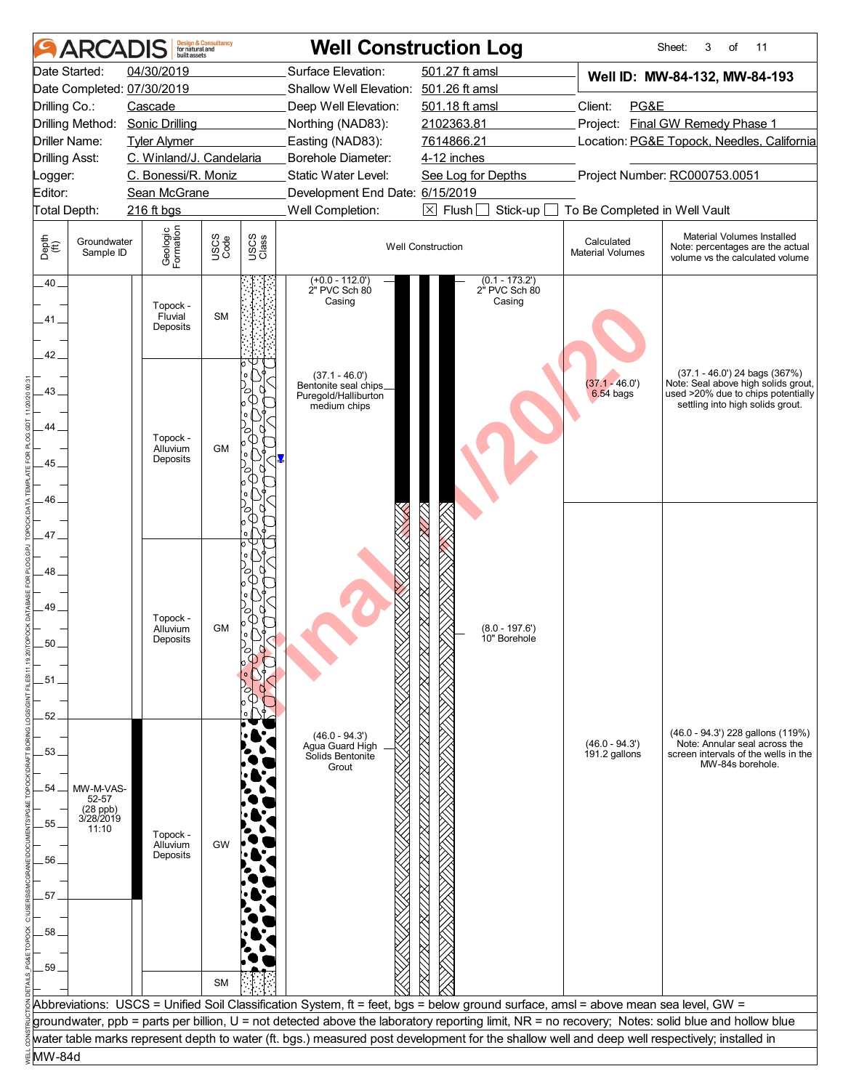|                                | <b>ARCADIS</b>                 | built assets                    | <b>Design &amp; Consultancy</b><br>for natural and |               |                                             | <b>Well Construction Log</b>                                                                                                                  |                                       | Sheet:<br>3<br>of<br>11                                                                                                                          |
|--------------------------------|--------------------------------|---------------------------------|----------------------------------------------------|---------------|---------------------------------------------|-----------------------------------------------------------------------------------------------------------------------------------------------|---------------------------------------|--------------------------------------------------------------------------------------------------------------------------------------------------|
|                                | Date Started:                  | 04/30/2019                      |                                                    |               | Surface Elevation:                          | 501.27 ft amsl                                                                                                                                |                                       | Well ID: MW-84-132, MW-84-193                                                                                                                    |
|                                |                                | Date Completed: 07/30/2019      |                                                    |               | Shallow Well Elevation: 501.26 ft amsl      |                                                                                                                                               |                                       |                                                                                                                                                  |
| Drilling Co.:                  |                                | Cascade                         |                                                    |               | Deep Well Elevation:                        | 501.18 ft amsl                                                                                                                                | Client:<br>PG&E                       |                                                                                                                                                  |
|                                | Drilling Method:               | <b>Sonic Drilling</b>           |                                                    |               | Northing (NAD83):                           | 2102363.81                                                                                                                                    |                                       | Project: Final GW Remedy Phase 1                                                                                                                 |
|                                | <b>Driller Name:</b>           | <b>Tyler Alymer</b>             |                                                    |               | Easting (NAD83):                            | 7614866.21                                                                                                                                    |                                       | Location: PG&E Topock, Needles, California                                                                                                       |
| <b>Drilling Asst:</b>          |                                | C. Winland/J. Candelaria        |                                                    |               | Borehole Diameter:                          | 4-12 inches                                                                                                                                   |                                       |                                                                                                                                                  |
| Logger:                        |                                | C. Bonessi/R. Moniz             |                                                    |               | Static Water Level:                         | See Log for Depths                                                                                                                            |                                       | Project Number: RC000753.0051                                                                                                                    |
| Editor:                        |                                | Sean McGrane                    |                                                    |               | Development End Date: 6/15/2019             |                                                                                                                                               |                                       |                                                                                                                                                  |
|                                | Total Depth:                   | 216 ft bgs                      |                                                    |               | Well Completion:                            | $\boxtimes$ Flush<br>Stick-up                                                                                                                 | To Be Completed in Well Vault         |                                                                                                                                                  |
| Depth<br>$\bigoplus_{i=1}^{n}$ | Groundwater<br>Sample ID       | Geologic<br>Formation           | USCS<br>Code                                       | USCS<br>Class |                                             | <b>Well Construction</b>                                                                                                                      | Calculated<br><b>Material Volumes</b> | Material Volumes Installed<br>Note: percentages are the actual<br>volume vs the calculated volume                                                |
| $.40 -$<br>41                  |                                | Topock -<br>Fluvial<br>Deposits | <b>SM</b>                                          |               | $(+0.0 - 112.0)$<br>2" PVC Sch 80<br>Casing | $(0.1 - 173.2)$<br>2" PVC Sch 80<br>Casing                                                                                                    |                                       |                                                                                                                                                  |
| 42.                            |                                |                                 |                                                    |               | $(37.1 - 46.0')$<br>Bentonite seal chips_   |                                                                                                                                               | $(37.1 - 46.0')$                      | (37.1 - 46.0') 24 bags (367%)<br>Note: Seal above high solids grout,                                                                             |
| 43.<br>44                      |                                |                                 |                                                    |               | Puregold/Halliburton<br>medium chips        |                                                                                                                                               | $6.54$ bags                           | used >20% due to chips potentially<br>settling into high solids grout.                                                                           |
|                                |                                | Topock -                        |                                                    |               |                                             |                                                                                                                                               |                                       |                                                                                                                                                  |
| 45.                            |                                | Alluvium<br>Deposits            | <b>GM</b>                                          |               |                                             |                                                                                                                                               |                                       |                                                                                                                                                  |
|                                |                                |                                 |                                                    |               |                                             |                                                                                                                                               |                                       |                                                                                                                                                  |
| 46                             |                                |                                 |                                                    |               |                                             |                                                                                                                                               |                                       |                                                                                                                                                  |
|                                |                                |                                 |                                                    |               |                                             |                                                                                                                                               |                                       |                                                                                                                                                  |
| 47.                            |                                |                                 |                                                    |               |                                             |                                                                                                                                               |                                       |                                                                                                                                                  |
|                                |                                |                                 |                                                    |               |                                             |                                                                                                                                               |                                       |                                                                                                                                                  |
| 48.                            |                                |                                 |                                                    |               |                                             |                                                                                                                                               |                                       |                                                                                                                                                  |
|                                |                                |                                 |                                                    |               |                                             |                                                                                                                                               |                                       |                                                                                                                                                  |
| 49                             |                                |                                 |                                                    |               |                                             |                                                                                                                                               |                                       |                                                                                                                                                  |
|                                |                                | Topock -<br>Alluvium            | <b>GM</b>                                          |               |                                             | $(8.0 - 197.6')$                                                                                                                              |                                       |                                                                                                                                                  |
| 50                             |                                | Deposits                        |                                                    |               |                                             | 10" Borehole                                                                                                                                  |                                       |                                                                                                                                                  |
|                                |                                |                                 |                                                    |               |                                             |                                                                                                                                               |                                       |                                                                                                                                                  |
| 51.                            |                                |                                 |                                                    |               |                                             |                                                                                                                                               |                                       |                                                                                                                                                  |
|                                |                                |                                 |                                                    |               |                                             |                                                                                                                                               |                                       |                                                                                                                                                  |
| 52                             |                                |                                 |                                                    |               |                                             |                                                                                                                                               |                                       |                                                                                                                                                  |
|                                |                                |                                 |                                                    |               | $(46.0 - 94.3')$                            |                                                                                                                                               |                                       | (46.0 - 94.3') 228 gallons (119%)                                                                                                                |
| 53.                            |                                |                                 |                                                    |               | Agua Guard High<br>Solids Bentonite         |                                                                                                                                               | $(46.0 - 94.3')$<br>$191.2$ gallons   | Note: Annular seal across the<br>screen intervals of the wells in the                                                                            |
|                                |                                |                                 |                                                    |               | Grout                                       |                                                                                                                                               |                                       | MW-84s borehole.                                                                                                                                 |
| 54                             | MW-M-VAS-                      |                                 |                                                    |               |                                             |                                                                                                                                               |                                       |                                                                                                                                                  |
|                                | 52-57                          |                                 |                                                    |               |                                             |                                                                                                                                               |                                       |                                                                                                                                                  |
| 55                             | (28 ppb)<br>3/28/2019<br>11:10 |                                 |                                                    |               |                                             |                                                                                                                                               |                                       |                                                                                                                                                  |
|                                |                                | Topock -<br>Alluvium            | <b>GW</b>                                          |               |                                             |                                                                                                                                               |                                       |                                                                                                                                                  |
| 56                             |                                | Deposits                        |                                                    |               |                                             |                                                                                                                                               |                                       |                                                                                                                                                  |
|                                |                                |                                 |                                                    |               |                                             |                                                                                                                                               |                                       |                                                                                                                                                  |
| 57                             |                                |                                 |                                                    |               |                                             |                                                                                                                                               |                                       |                                                                                                                                                  |
|                                |                                |                                 |                                                    |               |                                             |                                                                                                                                               |                                       |                                                                                                                                                  |
| 58                             |                                |                                 |                                                    |               |                                             |                                                                                                                                               |                                       |                                                                                                                                                  |
|                                |                                |                                 |                                                    |               |                                             |                                                                                                                                               |                                       |                                                                                                                                                  |
| 59                             |                                |                                 |                                                    |               |                                             |                                                                                                                                               |                                       |                                                                                                                                                  |
|                                |                                |                                 | <b>SM</b>                                          |               |                                             |                                                                                                                                               |                                       |                                                                                                                                                  |
|                                |                                |                                 |                                                    |               |                                             | Abbreviations: USCS = Unified Soil Classification System, ft = feet, bgs = below ground surface, amsl = above mean sea level, GW =            |                                       |                                                                                                                                                  |
|                                |                                |                                 |                                                    |               |                                             |                                                                                                                                               |                                       | groundwater, ppb = parts per billion, U = not detected above the laboratory reporting limit, NR = no recovery; Notes: solid blue and hollow blue |
|                                |                                |                                 |                                                    |               |                                             | water table marks represent depth to water (ft. bgs.) measured post development for the shallow well and deep well respectively; installed in |                                       |                                                                                                                                                  |
| MW-84d                         |                                |                                 |                                                    |               |                                             |                                                                                                                                               |                                       |                                                                                                                                                  |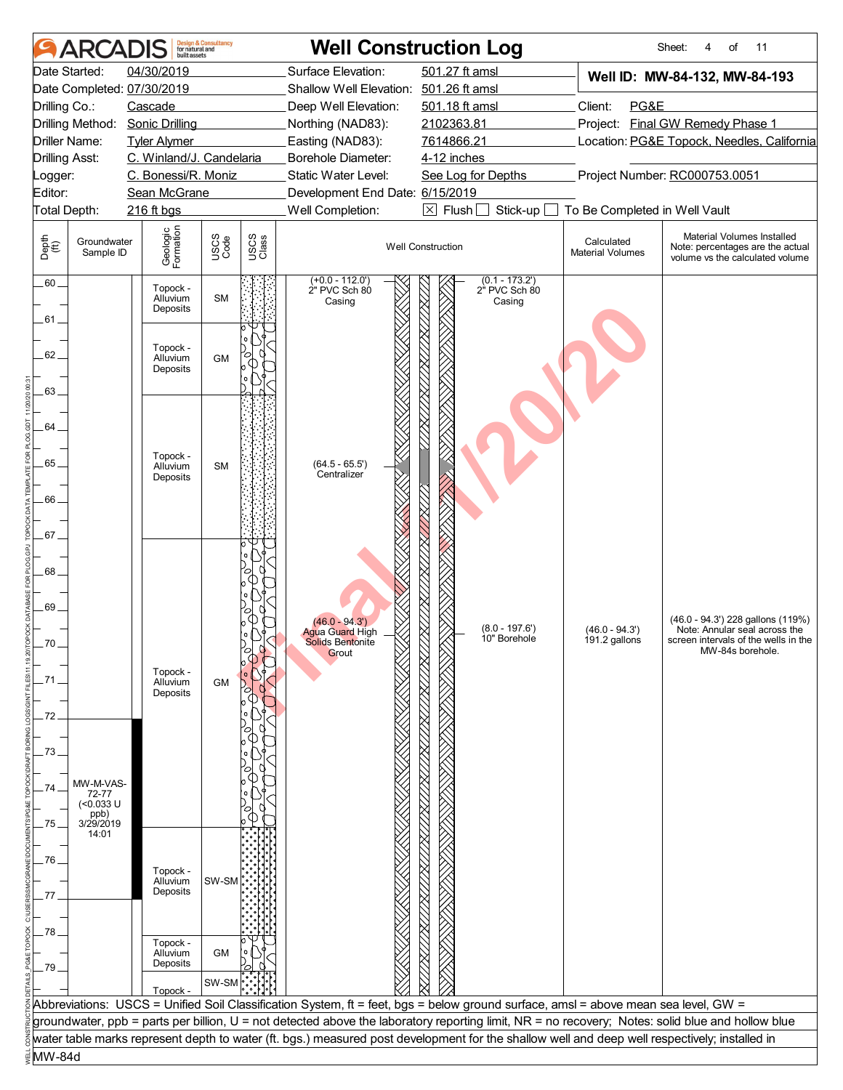|                       | <b>ARCADIS</b>           | built assets                     | <b>Design &amp; Consultancy</b><br>for natural and |               |                                              | <b>Well Construction Log</b>                                                                                                                     |                                       | Sheet:<br>of<br>11<br>4                                                                           |
|-----------------------|--------------------------|----------------------------------|----------------------------------------------------|---------------|----------------------------------------------|--------------------------------------------------------------------------------------------------------------------------------------------------|---------------------------------------|---------------------------------------------------------------------------------------------------|
|                       | Date Started:            | 04/30/2019                       |                                                    |               | Surface Elevation:                           | 501.27 ft amsl                                                                                                                                   |                                       | Well ID: MW-84-132, MW-84-193                                                                     |
|                       |                          | Date Completed: 07/30/2019       |                                                    |               | Shallow Well Elevation: 501.26 ft amsl       |                                                                                                                                                  |                                       |                                                                                                   |
| Drilling Co.:         |                          | Cascade                          |                                                    |               | Deep Well Elevation:                         | 501.18 ft amsl                                                                                                                                   | Client:<br>PG&E                       |                                                                                                   |
|                       | Drilling Method:         | <b>Sonic Drilling</b>            |                                                    |               | Northing (NAD83):                            | 2102363.81                                                                                                                                       |                                       | Project: Final GW Remedy Phase 1                                                                  |
|                       | Driller Name:            | <b>Tyler Alymer</b>              |                                                    |               | Easting (NAD83):                             | 7614866.21                                                                                                                                       |                                       | Location: PG&E Topock, Needles, California                                                        |
| <b>Drilling Asst:</b> |                          | C. Winland/J. Candelaria         |                                                    |               | Borehole Diameter:                           | 4-12 inches                                                                                                                                      |                                       |                                                                                                   |
| Logger:               |                          | C. Bonessi/R. Moniz              |                                                    |               | Static Water Level:                          | See Log for Depths                                                                                                                               |                                       | Project Number: RC000753.0051                                                                     |
| Editor:               |                          | Sean McGrane                     |                                                    |               | Development End Date: 6/15/2019              |                                                                                                                                                  |                                       |                                                                                                   |
| Total Depth:          |                          | 216 ft bgs                       |                                                    |               | Well Completion:                             | $\boxtimes$ Flush [<br>Stick-up                                                                                                                  | To Be Completed in Well Vault         |                                                                                                   |
| Depth<br>(ff)         | Groundwater<br>Sample ID | Geologic<br>Formation            | USCS<br>Code                                       | USCS<br>Class |                                              | <b>Well Construction</b>                                                                                                                         | Calculated<br><b>Material Volumes</b> | Material Volumes Installed<br>Note: percentages are the actual<br>volume vs the calculated volume |
| $.60 -$<br>61.        |                          | Topock -<br>Alluvium<br>Deposits | <b>SM</b>                                          |               | $(+0.0 - 112.0')$<br>2" PVC Sch 80<br>Casing | $(0.1 - 173.2)$<br>2" PVC Sch 80<br>Casing                                                                                                       |                                       |                                                                                                   |
| 62.                   |                          | Topock -<br>Alluvium<br>Deposits | <b>GM</b>                                          |               |                                              |                                                                                                                                                  |                                       |                                                                                                   |
| 63_                   |                          |                                  |                                                    |               |                                              |                                                                                                                                                  |                                       |                                                                                                   |
|                       |                          |                                  |                                                    |               |                                              |                                                                                                                                                  |                                       |                                                                                                   |
| 64.                   |                          |                                  |                                                    |               |                                              |                                                                                                                                                  |                                       |                                                                                                   |
|                       |                          | Topock -                         |                                                    |               |                                              |                                                                                                                                                  |                                       |                                                                                                   |
| 65.                   |                          | Alluvium<br>Deposits             | <b>SM</b>                                          |               | $(64.5 - 65.5')$<br>Centralizer              |                                                                                                                                                  |                                       |                                                                                                   |
|                       |                          |                                  |                                                    |               |                                              |                                                                                                                                                  |                                       |                                                                                                   |
| .66                   |                          |                                  |                                                    |               |                                              |                                                                                                                                                  |                                       |                                                                                                   |
| .67.                  |                          |                                  |                                                    |               |                                              |                                                                                                                                                  |                                       |                                                                                                   |
|                       |                          |                                  |                                                    |               |                                              |                                                                                                                                                  |                                       |                                                                                                   |
| 68_                   |                          |                                  |                                                    |               |                                              |                                                                                                                                                  |                                       |                                                                                                   |
|                       |                          |                                  |                                                    |               |                                              |                                                                                                                                                  |                                       |                                                                                                   |
| 69.                   |                          |                                  |                                                    |               |                                              |                                                                                                                                                  |                                       |                                                                                                   |
|                       |                          |                                  |                                                    |               | $(46.0 - 94.3')$                             |                                                                                                                                                  |                                       | (46.0 - 94.3') 228 gallons (119%)                                                                 |
| 70                    |                          |                                  |                                                    |               | <b>Agua Guard High</b><br>Solids Bentonite   | $(8.0 - 197.6')$<br>10" Borehole                                                                                                                 | $(46.0 - 94.3')$<br>191.2 gallons     | Note: Annular seal across the<br>screen intervals of the wells in the                             |
|                       |                          |                                  |                                                    |               | Grout                                        |                                                                                                                                                  |                                       | MW-84s borehole.                                                                                  |
| .71.                  |                          | Topock -<br>Alluvium             |                                                    |               |                                              |                                                                                                                                                  |                                       |                                                                                                   |
|                       |                          | Deposits                         | <b>GM</b>                                          |               |                                              |                                                                                                                                                  |                                       |                                                                                                   |
| 72                    |                          |                                  |                                                    |               |                                              |                                                                                                                                                  |                                       |                                                                                                   |
|                       |                          |                                  |                                                    |               |                                              |                                                                                                                                                  |                                       |                                                                                                   |
| 73                    |                          |                                  |                                                    |               |                                              |                                                                                                                                                  |                                       |                                                                                                   |
|                       |                          |                                  |                                                    |               |                                              |                                                                                                                                                  |                                       |                                                                                                   |
| 74                    | MW-M-VAS-                |                                  |                                                    |               |                                              |                                                                                                                                                  |                                       |                                                                                                   |
|                       | 72-77<br>$($ <0.033 U    |                                  |                                                    |               |                                              |                                                                                                                                                  |                                       |                                                                                                   |
| .75.                  | ppb)<br>3/29/2019        |                                  |                                                    |               |                                              |                                                                                                                                                  |                                       |                                                                                                   |
|                       | 14:01                    |                                  |                                                    |               |                                              |                                                                                                                                                  |                                       |                                                                                                   |
| 76.                   |                          |                                  |                                                    |               |                                              |                                                                                                                                                  |                                       |                                                                                                   |
|                       |                          | Topock -<br>Alluvium             | SW-SM                                              |               |                                              |                                                                                                                                                  |                                       |                                                                                                   |
| 77                    |                          | Deposits                         |                                                    |               |                                              |                                                                                                                                                  |                                       |                                                                                                   |
|                       |                          |                                  |                                                    |               |                                              |                                                                                                                                                  |                                       |                                                                                                   |
| .78                   |                          |                                  |                                                    |               |                                              |                                                                                                                                                  |                                       |                                                                                                   |
|                       |                          | Topock -<br>Alluvium             | <b>GM</b>                                          |               |                                              |                                                                                                                                                  |                                       |                                                                                                   |
| 79                    |                          | Deposits                         |                                                    |               |                                              |                                                                                                                                                  |                                       |                                                                                                   |
|                       |                          |                                  | SW-SM                                              |               |                                              |                                                                                                                                                  |                                       |                                                                                                   |
|                       |                          | Topock -                         |                                                    |               |                                              | Abbreviations: USCS = Unified Soil Classification System, ft = feet, bgs = below ground surface, amsl = above mean sea level, GW =               |                                       |                                                                                                   |
|                       |                          |                                  |                                                    |               |                                              | groundwater, ppb = parts per billion, U = not detected above the laboratory reporting limit, NR = no recovery; Notes: solid blue and hollow blue |                                       |                                                                                                   |
|                       |                          |                                  |                                                    |               |                                              | water table marks represent depth to water (ft. bgs.) measured post development for the shallow well and deep well respectively; installed in    |                                       |                                                                                                   |
| MW-84d                |                          |                                  |                                                    |               |                                              |                                                                                                                                                  |                                       |                                                                                                   |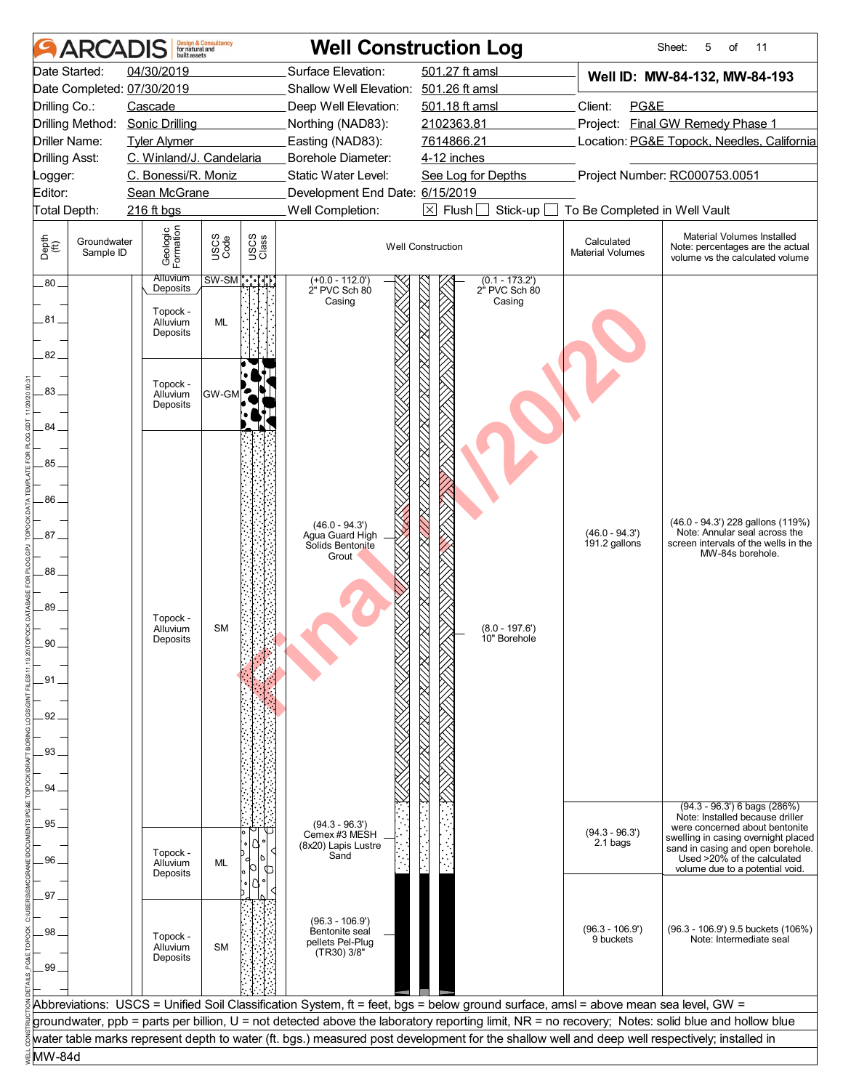|                                | <b>ARCAI</b>             | built assets                | <b>Design &amp; Consultancy</b><br>for natural and |               |                                        | <b>Well Construction Log</b>                                                                                                                     |                                       | Sheet:<br>5<br>οf<br>11                                                                           |
|--------------------------------|--------------------------|-----------------------------|----------------------------------------------------|---------------|----------------------------------------|--------------------------------------------------------------------------------------------------------------------------------------------------|---------------------------------------|---------------------------------------------------------------------------------------------------|
| Date Started:                  |                          | 04/30/2019                  |                                                    |               | Surface Elevation:                     | 501.27 ft amsl                                                                                                                                   |                                       | Well ID: MW-84-132, MW-84-193                                                                     |
|                                |                          | Date Completed: 07/30/2019  |                                                    |               | Shallow Well Elevation: 501.26 ft amsl |                                                                                                                                                  |                                       |                                                                                                   |
| Drilling Co.:                  |                          | Cascade                     |                                                    |               | Deep Well Elevation:                   | 501.18 ft amsl                                                                                                                                   | Client:<br>PG&E                       |                                                                                                   |
|                                | Drilling Method:         | <b>Sonic Drilling</b>       |                                                    |               | Northing (NAD83):                      | 2102363.81                                                                                                                                       | Project:                              | <b>Final GW Remedy Phase 1</b>                                                                    |
| Driller Name:                  |                          | <b>Tyler Alymer</b>         |                                                    |               | Easting (NAD83):                       | 7614866.21                                                                                                                                       |                                       | Location: PG&E Topock, Needles, California                                                        |
| <b>Drilling Asst:</b>          |                          | C. Winland/J. Candelaria    |                                                    |               | <b>Borehole Diameter:</b>              | 4-12 inches                                                                                                                                      |                                       |                                                                                                   |
| _ogger:                        |                          | C. Bonessi/R. Moniz         |                                                    |               | Static Water Level:                    | See Log for Depths                                                                                                                               |                                       | Project Number: RC000753.0051                                                                     |
| Editor:                        |                          | Sean McGrane                |                                                    |               | Development End Date: 6/15/2019        |                                                                                                                                                  |                                       |                                                                                                   |
| Total Depth:                   |                          | 216 ft bgs                  |                                                    |               | Well Completion:                       | $\boxtimes$ Flush<br>Stick-up                                                                                                                    | To Be Completed in Well Vault         |                                                                                                   |
| Depth<br>$\bigoplus_{i=1}^{n}$ | Groundwater<br>Sample ID | Geologic<br>Formation       | USCS<br>Code                                       | USCS<br>Class |                                        | <b>Well Construction</b>                                                                                                                         | Calculated<br><b>Material Volumes</b> | Material Volumes Installed<br>Note: percentages are the actual<br>volume vs the calculated volume |
| $.80 -$                        |                          | <b>Alluvium</b><br>Deposits |                                                    | $SW-SM$ ိ     | $(+0.0 - 112.0)$<br>2" PVC Sch 80      | $(0.1 - 173.2)$<br>2" PVC Sch 80                                                                                                                 |                                       |                                                                                                   |
|                                |                          | Topock -                    |                                                    |               | Casing                                 | Casing                                                                                                                                           |                                       |                                                                                                   |
| .81.                           |                          | Alluvium<br>Deposits        | <b>ML</b>                                          |               |                                        |                                                                                                                                                  |                                       |                                                                                                   |
|                                |                          |                             |                                                    |               |                                        |                                                                                                                                                  |                                       |                                                                                                   |
| 82.                            |                          |                             |                                                    |               |                                        |                                                                                                                                                  |                                       |                                                                                                   |
|                                |                          | Topock -                    |                                                    |               |                                        |                                                                                                                                                  |                                       |                                                                                                   |
| 83.                            |                          | Alluvium                    | GW-GM                                              |               |                                        |                                                                                                                                                  |                                       |                                                                                                   |
|                                |                          | Deposits                    |                                                    |               |                                        |                                                                                                                                                  |                                       |                                                                                                   |
| 84                             |                          |                             |                                                    |               |                                        |                                                                                                                                                  |                                       |                                                                                                   |
|                                |                          |                             |                                                    |               |                                        |                                                                                                                                                  |                                       |                                                                                                   |
| 85                             |                          |                             |                                                    |               |                                        |                                                                                                                                                  |                                       |                                                                                                   |
|                                |                          |                             |                                                    |               |                                        |                                                                                                                                                  |                                       |                                                                                                   |
| 86                             |                          |                             |                                                    |               |                                        |                                                                                                                                                  |                                       |                                                                                                   |
|                                |                          |                             |                                                    |               |                                        |                                                                                                                                                  |                                       |                                                                                                   |
| .87                            |                          |                             |                                                    |               | $(46.0 - 94.3')$<br>Agua Guard High    |                                                                                                                                                  | $(46.0 - 94.3')$                      | (46.0 - 94.3') 228 gallons (119%)<br>Note: Annular seal across the                                |
|                                |                          |                             |                                                    |               | Solids Bentonite                       |                                                                                                                                                  | $191.2$ gallons                       | screen intervals of the wells in the                                                              |
|                                |                          |                             |                                                    |               | Grout                                  |                                                                                                                                                  |                                       | MW-84s borehole.                                                                                  |
| 88                             |                          |                             |                                                    |               |                                        |                                                                                                                                                  |                                       |                                                                                                   |
|                                |                          |                             |                                                    |               |                                        |                                                                                                                                                  |                                       |                                                                                                   |
| 89                             |                          | Topock -                    |                                                    |               |                                        |                                                                                                                                                  |                                       |                                                                                                   |
|                                |                          | Alluvium                    | <b>SM</b>                                          |               |                                        | $(8.0 - 197.6')$                                                                                                                                 |                                       |                                                                                                   |
| $90^{\circ}$                   |                          | Deposits                    |                                                    |               |                                        | 10" Borehole                                                                                                                                     |                                       |                                                                                                   |
|                                |                          |                             |                                                    |               |                                        |                                                                                                                                                  |                                       |                                                                                                   |
| .91.                           |                          |                             |                                                    |               |                                        |                                                                                                                                                  |                                       |                                                                                                   |
|                                |                          |                             |                                                    |               |                                        |                                                                                                                                                  |                                       |                                                                                                   |
| 92                             |                          |                             |                                                    |               |                                        |                                                                                                                                                  |                                       |                                                                                                   |
|                                |                          |                             |                                                    |               |                                        |                                                                                                                                                  |                                       |                                                                                                   |
| 93                             |                          |                             |                                                    |               |                                        |                                                                                                                                                  |                                       |                                                                                                   |
|                                |                          |                             |                                                    |               |                                        |                                                                                                                                                  |                                       |                                                                                                   |
| 94                             |                          |                             |                                                    |               |                                        |                                                                                                                                                  |                                       |                                                                                                   |
|                                |                          |                             |                                                    |               |                                        |                                                                                                                                                  |                                       | (94.3 - 96.3') 6 bags (286%)                                                                      |
| 95                             |                          |                             |                                                    |               |                                        |                                                                                                                                                  |                                       | Note: Installed because driller                                                                   |
|                                |                          |                             |                                                    |               | $(94.3 - 96.3')$<br>Cemex #3 MESH      |                                                                                                                                                  | $(94.3 - 96.3')$                      | were concerned about bentonite<br>swelling in casing overnight placed                             |
|                                |                          | Topock -                    |                                                    |               | (8x20) Lapis Lustre<br>Sand            |                                                                                                                                                  | 2.1 bags                              | sand in casing and open borehole.                                                                 |
| 96.                            |                          | Alluvium<br>Deposits        | ML                                                 |               |                                        |                                                                                                                                                  |                                       | Used >20% of the calculated<br>volume due to a potential void.                                    |
|                                |                          |                             |                                                    |               |                                        |                                                                                                                                                  |                                       |                                                                                                   |
| 97.                            |                          |                             |                                                    |               |                                        |                                                                                                                                                  |                                       |                                                                                                   |
|                                |                          |                             |                                                    |               | $(96.3 - 106.9')$                      |                                                                                                                                                  |                                       |                                                                                                   |
| 98                             |                          | Topock -                    |                                                    |               | Bentonite seal                         |                                                                                                                                                  | $(96.3 - 106.9')$<br>9 buckets        | (96.3 - 106.9') 9.5 buckets (106%)<br>Note: Intermediate seal                                     |
|                                |                          | Alluvium                    | <b>SM</b>                                          |               | pellets Pel-Plug<br>(TR30) 3/8"        |                                                                                                                                                  |                                       |                                                                                                   |
| 99                             |                          | Deposits                    |                                                    |               |                                        |                                                                                                                                                  |                                       |                                                                                                   |
|                                |                          |                             |                                                    |               |                                        |                                                                                                                                                  |                                       |                                                                                                   |
|                                |                          |                             |                                                    |               |                                        | Abbreviations: USCS = Unified Soil Classification System, ft = feet, bgs = below ground surface, amsl = above mean sea level, GW =               |                                       |                                                                                                   |
|                                |                          |                             |                                                    |               |                                        | groundwater, ppb = parts per billion, U = not detected above the laboratory reporting limit, NR = no recovery; Notes: solid blue and hollow blue |                                       |                                                                                                   |
|                                |                          |                             |                                                    |               |                                        | water table marks represent depth to water (ft. bgs.) measured post development for the shallow well and deep well respectively; installed in    |                                       |                                                                                                   |
|                                |                          |                             |                                                    |               |                                        |                                                                                                                                                  |                                       |                                                                                                   |
| MW-84d                         |                          |                             |                                                    |               |                                        |                                                                                                                                                  |                                       |                                                                                                   |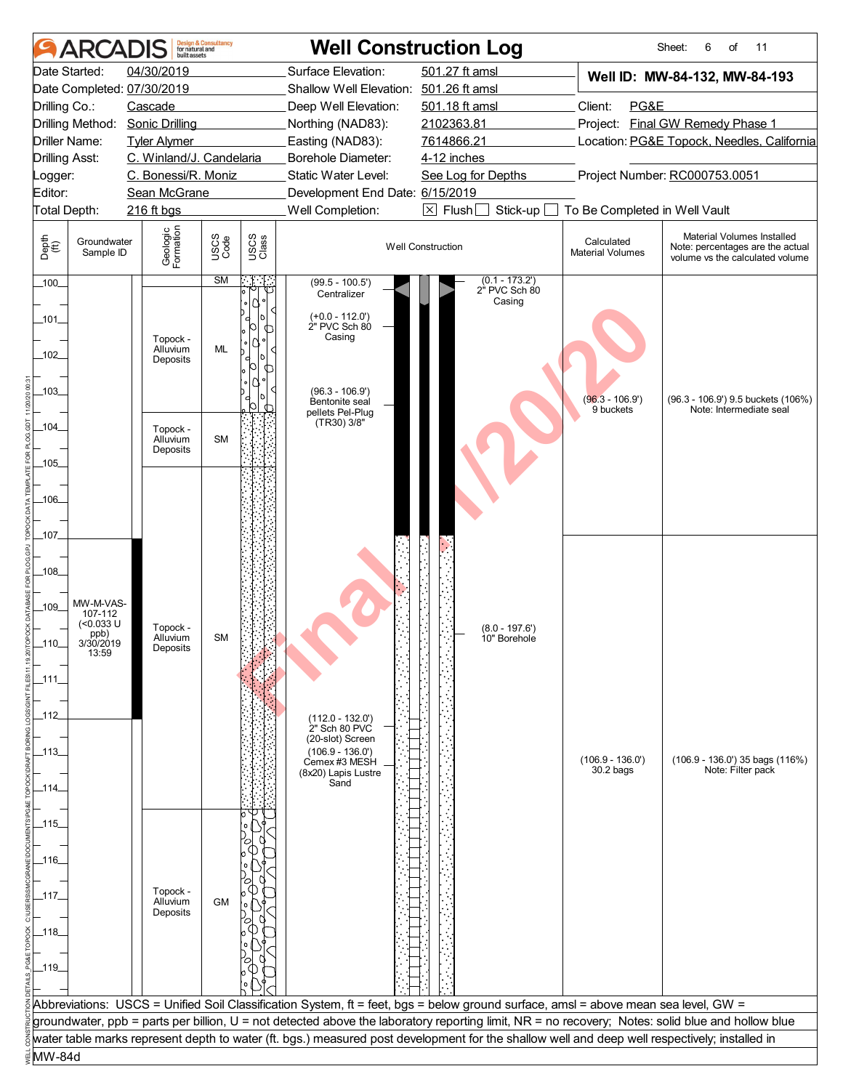|                       | <b>ARCAI</b>             | built assets               | <b>Design &amp; Consultancy</b><br>for natural and |               |                                        | <b>Well Construction Log</b>                                                                                                                     |                                       | Sheet:<br>6<br>of<br>11                                                                           |
|-----------------------|--------------------------|----------------------------|----------------------------------------------------|---------------|----------------------------------------|--------------------------------------------------------------------------------------------------------------------------------------------------|---------------------------------------|---------------------------------------------------------------------------------------------------|
|                       | Date Started:            | 04/30/2019                 |                                                    |               | Surface Elevation:                     | 501.27 ft amsl                                                                                                                                   |                                       | Well ID: MW-84-132, MW-84-193                                                                     |
|                       |                          | Date Completed: 07/30/2019 |                                                    |               | Shallow Well Elevation: 501.26 ft amsl |                                                                                                                                                  |                                       |                                                                                                   |
| Drilling Co.:         |                          | Cascade                    |                                                    |               | Deep Well Elevation:                   | 501.18 ft amsl                                                                                                                                   | Client:<br>PG&E                       |                                                                                                   |
|                       | Drilling Method:         | <b>Sonic Drilling</b>      |                                                    |               | Northing (NAD83):                      | 2102363.81                                                                                                                                       | Project:                              | <b>Final GW Remedy Phase 1</b>                                                                    |
| Driller Name:         |                          | <b>Tyler Alymer</b>        |                                                    |               | Easting (NAD83):                       | 7614866.21                                                                                                                                       |                                       | Location: PG&E Topock, Needles, California                                                        |
| <b>Drilling Asst:</b> |                          | C. Winland/J. Candelaria   |                                                    |               | Borehole Diameter:                     | 4-12 inches                                                                                                                                      |                                       |                                                                                                   |
| Logger:               |                          | C. Bonessi/R. Moniz        |                                                    |               | Static Water Level:                    | See Log for Depths                                                                                                                               |                                       | Project Number: RC000753.0051                                                                     |
| Editor:               |                          | Sean McGrane               |                                                    |               | Development End Date: 6/15/2019        |                                                                                                                                                  |                                       |                                                                                                   |
| Total Depth:          |                          | 216 ft bgs                 |                                                    |               | Well Completion:                       | $\boxtimes$ Flush [<br>Stick-up                                                                                                                  | To Be Completed in Well Vault         |                                                                                                   |
| Depth<br>(ff)         | Groundwater<br>Sample ID | Geologic<br>Formation      | USCS<br>Code                                       | USCS<br>Class |                                        | <b>Well Construction</b>                                                                                                                         | Calculated<br><b>Material Volumes</b> | Material Volumes Installed<br>Note: percentages are the actual<br>volume vs the calculated volume |
| $-100$                |                          |                            | SM                                                 | ान            | $(99.5 - 100.5')$<br>Centralizer       | $(0.1 - 173.2)$<br>2" PVC Sch 80                                                                                                                 |                                       |                                                                                                   |
|                       |                          |                            |                                                    | $^{\prime}$   |                                        | Casing                                                                                                                                           |                                       |                                                                                                   |
| _101_                 |                          |                            |                                                    | ⋂             | $(+0.0 - 112.0')$<br>2" PVC Sch 80     |                                                                                                                                                  |                                       |                                                                                                   |
|                       |                          | Topock -                   |                                                    |               | Casing                                 |                                                                                                                                                  |                                       |                                                                                                   |
| 102                   |                          | Alluvium<br>Deposits       | ML                                                 |               |                                        |                                                                                                                                                  |                                       |                                                                                                   |
|                       |                          |                            |                                                    | ∩             |                                        |                                                                                                                                                  |                                       |                                                                                                   |
| $-103$                |                          |                            |                                                    |               | $(96.3 - 106.9')$                      |                                                                                                                                                  | $(96.3 - 106.9')$                     |                                                                                                   |
|                       |                          |                            |                                                    | OI<br>∩       | Bentonite seal<br>pellets Pel-Plug     |                                                                                                                                                  | 9 buckets                             | (96.3 - 106.9') 9.5 buckets (106%)<br>Note: Intermediate seal                                     |
| $-104$                |                          | Topock -                   |                                                    |               | (TR30) 3/8"                            |                                                                                                                                                  |                                       |                                                                                                   |
|                       |                          | Alluvium<br>Deposits       | <b>SM</b>                                          |               |                                        |                                                                                                                                                  |                                       |                                                                                                   |
| $-105$                |                          |                            |                                                    |               |                                        |                                                                                                                                                  |                                       |                                                                                                   |
|                       |                          |                            |                                                    |               |                                        |                                                                                                                                                  |                                       |                                                                                                   |
| $-106$                |                          |                            |                                                    |               |                                        |                                                                                                                                                  |                                       |                                                                                                   |
|                       |                          |                            |                                                    |               |                                        |                                                                                                                                                  |                                       |                                                                                                   |
| _107_                 |                          |                            |                                                    |               |                                        |                                                                                                                                                  |                                       |                                                                                                   |
|                       |                          |                            |                                                    |               |                                        |                                                                                                                                                  |                                       |                                                                                                   |
| $-108$                |                          |                            |                                                    |               |                                        |                                                                                                                                                  |                                       |                                                                                                   |
|                       |                          |                            |                                                    |               |                                        |                                                                                                                                                  |                                       |                                                                                                   |
| $-109$                | MW-M-VAS-                |                            |                                                    |               |                                        |                                                                                                                                                  |                                       |                                                                                                   |
|                       | 107-112<br>$(0.033 \cup$ | Topock -                   |                                                    |               |                                        |                                                                                                                                                  |                                       |                                                                                                   |
| .110.                 | ppb)<br>3/30/2019        | Alluvium                   | <b>SM</b>                                          |               |                                        | $(8.0 - 197.6')$<br>10" Borehole                                                                                                                 |                                       |                                                                                                   |
|                       | 13:59                    | Deposits                   |                                                    |               |                                        |                                                                                                                                                  |                                       |                                                                                                   |
| $-111-$               |                          |                            |                                                    |               |                                        |                                                                                                                                                  |                                       |                                                                                                   |
|                       |                          |                            |                                                    |               |                                        |                                                                                                                                                  |                                       |                                                                                                   |
|                       |                          |                            |                                                    |               |                                        |                                                                                                                                                  |                                       |                                                                                                   |
| _112_                 |                          |                            |                                                    |               | $(112.0 - 132.0)$<br>2" Sch 80 PVC     |                                                                                                                                                  |                                       |                                                                                                   |
|                       |                          |                            |                                                    |               | (20-slot) Screen                       |                                                                                                                                                  |                                       |                                                                                                   |
| _113_                 |                          |                            |                                                    |               | $(106.9 - 136.0')$<br>Cemex #3 MESH    |                                                                                                                                                  | $(106.9 - 136.0')$                    | (106.9 - 136.0') 35 bags (116%)                                                                   |
|                       |                          |                            |                                                    |               | (8x20) Lapis Lustre<br>Sand            |                                                                                                                                                  | $30.2$ bags                           | Note: Filter pack                                                                                 |
| _114_                 |                          |                            |                                                    |               |                                        |                                                                                                                                                  |                                       |                                                                                                   |
|                       |                          |                            |                                                    |               |                                        |                                                                                                                                                  |                                       |                                                                                                   |
| _115_                 |                          |                            |                                                    |               |                                        |                                                                                                                                                  |                                       |                                                                                                   |
|                       |                          |                            |                                                    |               |                                        |                                                                                                                                                  |                                       |                                                                                                   |
| _116_                 |                          |                            |                                                    |               |                                        |                                                                                                                                                  |                                       |                                                                                                   |
|                       |                          |                            |                                                    |               |                                        |                                                                                                                                                  |                                       |                                                                                                   |
| _117_                 |                          | Topock -<br>Alluvium       | <b>GM</b>                                          |               |                                        |                                                                                                                                                  |                                       |                                                                                                   |
|                       |                          | Deposits                   |                                                    |               |                                        |                                                                                                                                                  |                                       |                                                                                                   |
| _118_                 |                          |                            |                                                    |               |                                        |                                                                                                                                                  |                                       |                                                                                                   |
|                       |                          |                            |                                                    |               |                                        |                                                                                                                                                  |                                       |                                                                                                   |
| _119_                 |                          |                            |                                                    |               |                                        |                                                                                                                                                  |                                       |                                                                                                   |
|                       |                          |                            |                                                    |               |                                        |                                                                                                                                                  |                                       |                                                                                                   |
|                       |                          |                            |                                                    |               |                                        | Abbreviations: USCS = Unified Soil Classification System, ft = feet, bgs = below ground surface, amsl = above mean sea level, GW =               |                                       |                                                                                                   |
|                       |                          |                            |                                                    |               |                                        | groundwater, ppb = parts per billion, U = not detected above the laboratory reporting limit, NR = no recovery; Notes: solid blue and hollow blue |                                       |                                                                                                   |
|                       |                          |                            |                                                    |               |                                        | water table marks represent depth to water (ft. bgs.) measured post development for the shallow well and deep well respectively; installed in    |                                       |                                                                                                   |
| MW-84d                |                          |                            |                                                    |               |                                        |                                                                                                                                                  |                                       |                                                                                                   |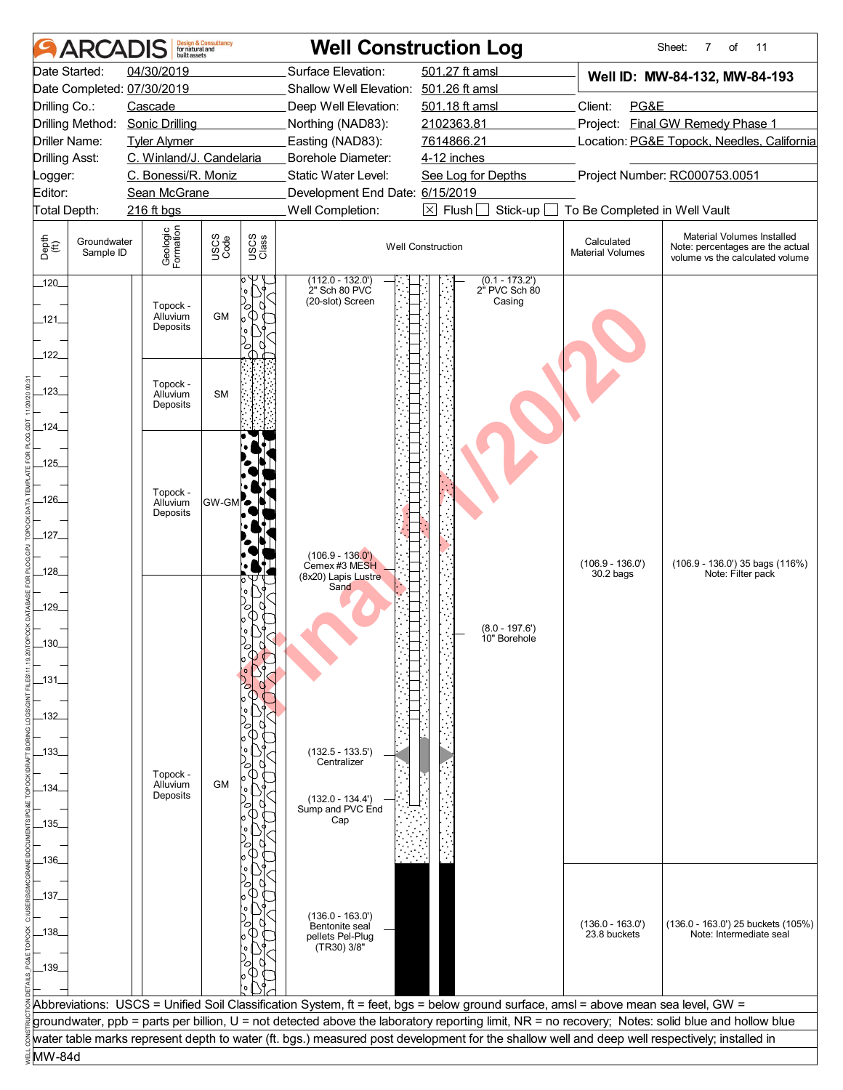|                        | <b>ARCADIS</b>           | built assets                     | <b>Design &amp; Consultancy</b><br>for natural and |               |                                                        | <b>Well Construction Log</b>                                                                                                                     |                                       | 7<br>Sheet:<br>of<br>11                                                                           |
|------------------------|--------------------------|----------------------------------|----------------------------------------------------|---------------|--------------------------------------------------------|--------------------------------------------------------------------------------------------------------------------------------------------------|---------------------------------------|---------------------------------------------------------------------------------------------------|
|                        | Date Started:            | 04/30/2019                       |                                                    |               | Surface Elevation:                                     | 501.27 ft amsl                                                                                                                                   |                                       | Well ID: MW-84-132, MW-84-193                                                                     |
|                        |                          | Date Completed: 07/30/2019       |                                                    |               | Shallow Well Elevation: 501.26 ft amsl                 |                                                                                                                                                  |                                       |                                                                                                   |
| Drilling Co.:          |                          | Cascade                          |                                                    |               | Deep Well Elevation:                                   | 501.18 ft amsl                                                                                                                                   | Client:<br>PG&E                       |                                                                                                   |
|                        | Drilling Method:         | <b>Sonic Drilling</b>            |                                                    |               | Northing (NAD83):                                      | 2102363.81                                                                                                                                       |                                       | Project: Final GW Remedy Phase 1                                                                  |
| Driller Name:          |                          | <b>Tyler Alymer</b>              |                                                    |               | Easting (NAD83):                                       | 7614866.21                                                                                                                                       |                                       | Location: PG&E Topock, Needles, California                                                        |
| <b>Drilling Asst:</b>  |                          | C. Winland/J. Candelaria         |                                                    |               | <b>Borehole Diameter:</b>                              | 4-12 inches                                                                                                                                      |                                       |                                                                                                   |
| Logger:                |                          | C. Bonessi/R. Moniz              |                                                    |               | Static Water Level:                                    | See Log for Depths                                                                                                                               |                                       | Project Number: RC000753.0051                                                                     |
| Editor:                |                          | Sean McGrane                     |                                                    |               | Development End Date: 6/15/2019                        |                                                                                                                                                  |                                       |                                                                                                   |
| Total Depth:           |                          | 216 ft bgs                       |                                                    |               | Well Completion:                                       | $\boxtimes$ Flush [<br>Stick-up                                                                                                                  | To Be Completed in Well Vault         |                                                                                                   |
| Depth<br>(ff)          | Groundwater<br>Sample ID | Geologic<br>Formation            | USCS<br>Code                                       | USCS<br>Class |                                                        | <b>Well Construction</b>                                                                                                                         | Calculated<br><b>Material Volumes</b> | Material Volumes Installed<br>Note: percentages are the actual<br>volume vs the calculated volume |
| $-120$<br>_121_<br>122 |                          | Topock -<br>Alluvium<br>Deposits | <b>GM</b>                                          | Ο             | $(112.0 - 132.0)$<br>2" Sch 80 PVC<br>(20-slot) Screen | $(0.1 - 173.2)$<br>2" PVC Sch 80<br>Casing                                                                                                       |                                       |                                                                                                   |
| $-123$                 |                          | Topock -<br>Alluvium<br>Deposits | <b>SM</b>                                          |               |                                                        |                                                                                                                                                  |                                       |                                                                                                   |
| $-124$                 |                          |                                  |                                                    |               |                                                        |                                                                                                                                                  |                                       |                                                                                                   |
|                        |                          |                                  |                                                    |               |                                                        |                                                                                                                                                  |                                       |                                                                                                   |
| .125                   |                          |                                  |                                                    |               |                                                        |                                                                                                                                                  |                                       |                                                                                                   |
|                        |                          | Topock -                         |                                                    |               |                                                        |                                                                                                                                                  |                                       |                                                                                                   |
| $-126$                 |                          | Alluvium<br>Deposits             | <b>GW-GM</b>                                       | ъ             |                                                        |                                                                                                                                                  |                                       |                                                                                                   |
|                        |                          |                                  |                                                    |               |                                                        |                                                                                                                                                  |                                       |                                                                                                   |
| $-127$                 |                          |                                  |                                                    |               |                                                        |                                                                                                                                                  |                                       |                                                                                                   |
|                        |                          |                                  |                                                    |               | $(106.9 - 136.0')$                                     |                                                                                                                                                  | $(106.9 - 136.0')$                    | $(106.9 - 136.0')$ 35 bags $(116%)$                                                               |
| _128_                  |                          |                                  |                                                    |               | Cemex #3 MESH<br>(8x20) Lapis Lustre                   |                                                                                                                                                  | $30.2$ bags                           | Note: Filter pack                                                                                 |
|                        |                          |                                  |                                                    |               | Sand                                                   |                                                                                                                                                  |                                       |                                                                                                   |
| 129                    |                          |                                  |                                                    |               |                                                        |                                                                                                                                                  |                                       |                                                                                                   |
|                        |                          |                                  |                                                    |               |                                                        | $(8.0 - 197.6')$                                                                                                                                 |                                       |                                                                                                   |
| 130                    |                          |                                  |                                                    |               |                                                        | 10" Borehole                                                                                                                                     |                                       |                                                                                                   |
|                        |                          |                                  |                                                    |               |                                                        |                                                                                                                                                  |                                       |                                                                                                   |
| _131_                  |                          |                                  |                                                    |               |                                                        |                                                                                                                                                  |                                       |                                                                                                   |
|                        |                          |                                  |                                                    |               |                                                        |                                                                                                                                                  |                                       |                                                                                                   |
| _132_                  |                          |                                  |                                                    |               |                                                        |                                                                                                                                                  |                                       |                                                                                                   |
|                        |                          |                                  |                                                    |               |                                                        |                                                                                                                                                  |                                       |                                                                                                   |
| -133.                  |                          |                                  |                                                    |               | $(132.5 - 133.5)$                                      |                                                                                                                                                  |                                       |                                                                                                   |
|                        |                          |                                  |                                                    |               | Centralizer                                            |                                                                                                                                                  |                                       |                                                                                                   |
| .134.                  |                          | Topock -<br>Alluvium             | <b>GM</b>                                          |               |                                                        |                                                                                                                                                  |                                       |                                                                                                   |
|                        |                          | Deposits                         |                                                    |               | $(132.0 - 134.4')$                                     |                                                                                                                                                  |                                       |                                                                                                   |
| _135_                  |                          |                                  |                                                    |               | Sump and PVC End<br>Cap                                |                                                                                                                                                  |                                       |                                                                                                   |
|                        |                          |                                  |                                                    |               |                                                        |                                                                                                                                                  |                                       |                                                                                                   |
|                        |                          |                                  |                                                    |               |                                                        |                                                                                                                                                  |                                       |                                                                                                   |
| _136_                  |                          |                                  |                                                    |               |                                                        |                                                                                                                                                  |                                       |                                                                                                   |
|                        |                          |                                  |                                                    |               |                                                        |                                                                                                                                                  |                                       |                                                                                                   |
| _137_                  |                          |                                  |                                                    |               |                                                        |                                                                                                                                                  |                                       |                                                                                                   |
|                        |                          |                                  |                                                    |               | $(136.0 - 163.0)$<br>Bentonite seal                    |                                                                                                                                                  | $(136.0 - 163.0)$                     | (136.0 - 163.0') 25 buckets (105%)                                                                |
| _138_                  |                          |                                  |                                                    |               | pellets Pel-Plug                                       |                                                                                                                                                  | 23.8 buckets                          | Note: Intermediate seal                                                                           |
|                        |                          |                                  |                                                    |               | (TR30) 3/8"                                            |                                                                                                                                                  |                                       |                                                                                                   |
| _139_                  |                          |                                  |                                                    |               |                                                        |                                                                                                                                                  |                                       |                                                                                                   |
|                        |                          |                                  |                                                    |               |                                                        |                                                                                                                                                  |                                       |                                                                                                   |
|                        |                          |                                  |                                                    |               |                                                        | Abbreviations: USCS = Unified Soil Classification System, ft = feet, bgs = below ground surface, amsl = above mean sea level, GW =               |                                       |                                                                                                   |
|                        |                          |                                  |                                                    |               |                                                        | groundwater, ppb = parts per billion, U = not detected above the laboratory reporting limit, NR = no recovery; Notes: solid blue and hollow blue |                                       |                                                                                                   |
|                        |                          |                                  |                                                    |               |                                                        | water table marks represent depth to water (ft. bgs.) measured post development for the shallow well and deep well respectively; installed in    |                                       |                                                                                                   |
| MW-84d                 |                          |                                  |                                                    |               |                                                        |                                                                                                                                                  |                                       |                                                                                                   |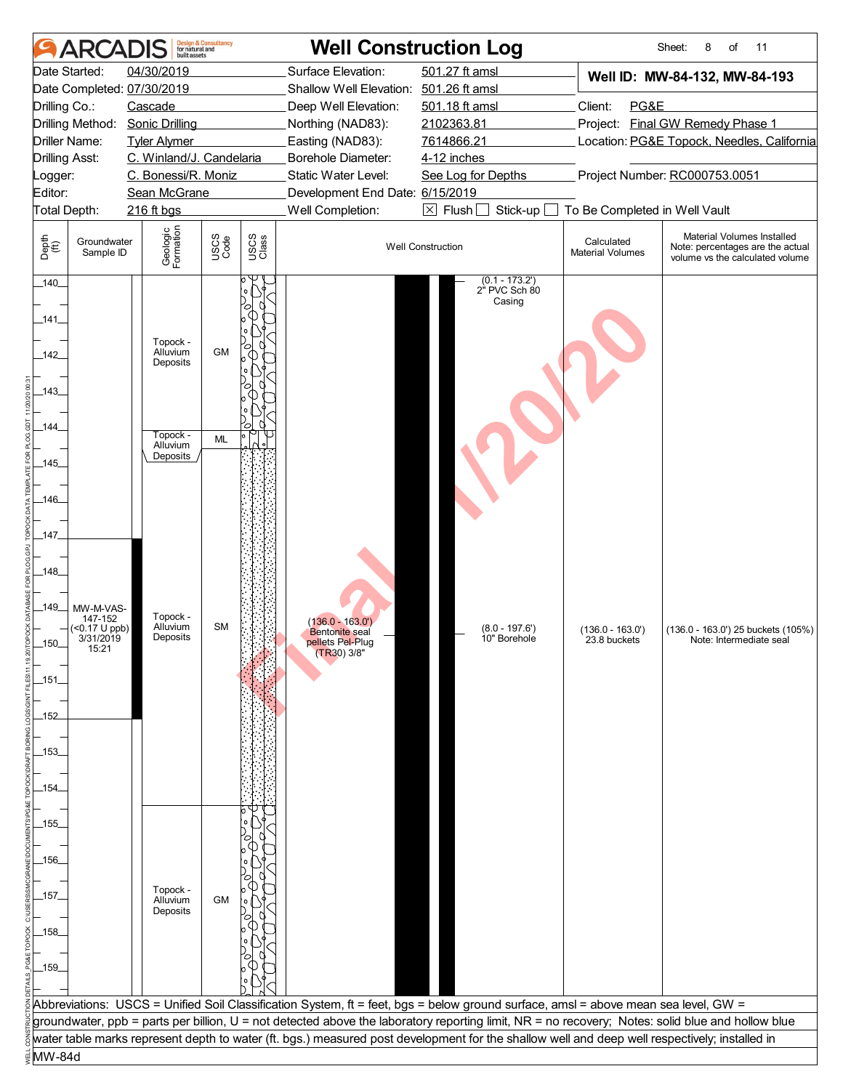| 501.27 ft amsl<br>04/30/2019<br>Surface Elevation:<br>Date Started:<br>Well ID: MW-84-132, MW-84-193<br>Date Completed: 07/30/2019<br>Shallow Well Elevation: 501.26 ft amsl<br>501.18 ft amsl<br>Client:<br>PG&E<br>Drilling Co.:<br>Cascade<br>Deep Well Elevation:<br>Project: Final GW Remedy Phase 1<br>Drilling Method:<br><b>Sonic Drilling</b><br>2102363.81<br>Northing (NAD83):<br>7614866.21<br>Location: PG&E Topock, Needles, California<br>Driller Name:<br><b>Tyler Alymer</b><br>Easting (NAD83):<br>C. Winland/J. Candelaria<br><b>Drilling Asst:</b><br><b>Borehole Diameter:</b><br>4-12 inches<br>C. Bonessi/R. Moniz<br>Project Number: RC000753.0051<br>Static Water Level:<br>See Log for Depths<br>Logger:<br>Editor:<br>Development End Date: 6/15/2019<br>Sean McGrane<br>Well Completion:<br>$\boxed{\times}$ Flush<br>Stick-up<br>To Be Completed in Well Vault<br>Total Depth:<br>216 ft bgs<br>Geologic<br>Formation<br>Material Volumes Installed<br>USCS<br>Code<br>USCS<br>Class<br>Depth<br>$\bigoplus_{i=1}^{n}$<br>Groundwater<br>Calculated<br><b>Well Construction</b><br>Note: percentages are the actual<br><b>Material Volumes</b><br>Sample ID<br>volume vs the calculated volume<br>$(0.1 - 173.2)$<br>$-140$<br>2" PVC Sch 80<br>Casing<br>$-141$<br>Topock -<br>Alluvium<br><b>GM</b><br>_142_<br>Deposits<br>_143_<br>_144_<br>Topock -<br>ML<br>Alluvium<br>Deposits<br>$-145$<br>-146-<br>_147_<br>$-148$<br>$-149$<br>MW-M-VAS-<br>Topock -<br>147-152<br>$(136.0 - 163.0)$<br><b>SM</b><br>Alluvium<br>$($ <0.17 U ppb)<br>$(8.0 - 197.6')$<br>$(136.0 - 163.0')$<br>(136.0 - 163.0') 25 buckets (105%)<br><b>Bentonite</b> seal<br>Deposits<br>3/31/2019<br>10" Borehole<br>23.8 buckets<br>Note: Intermediate seal<br>pellets Pel-Plug<br>15:21<br>$(TR30)$ 3/8"<br>_151_<br>_152_<br>_153_<br>_154_<br>_155_<br>_156_<br>Topock -<br>_157_<br><b>GM</b><br>Alluvium<br>Deposits<br>_158_<br>159<br>Abbreviations: USCS = Unified Soil Classification System, ft = feet, bgs = below ground surface, amsl = above mean sea level, GW =<br>groundwater, ppb = parts per billion, U = not detected above the laboratory reporting limit, NR = no recovery; Notes: solid blue and hollow blue<br>water table marks represent depth to water (ft. bgs.) measured post development for the shallow well and deep well respectively; installed in<br>MW-84d | ARCADIS | built assets | <b>Design &amp; Consultancy</b><br>for natural and | <b>Well Construction Log</b> |  |  | Sheet:<br>11<br>8<br>of |
|-----------------------------------------------------------------------------------------------------------------------------------------------------------------------------------------------------------------------------------------------------------------------------------------------------------------------------------------------------------------------------------------------------------------------------------------------------------------------------------------------------------------------------------------------------------------------------------------------------------------------------------------------------------------------------------------------------------------------------------------------------------------------------------------------------------------------------------------------------------------------------------------------------------------------------------------------------------------------------------------------------------------------------------------------------------------------------------------------------------------------------------------------------------------------------------------------------------------------------------------------------------------------------------------------------------------------------------------------------------------------------------------------------------------------------------------------------------------------------------------------------------------------------------------------------------------------------------------------------------------------------------------------------------------------------------------------------------------------------------------------------------------------------------------------------------------------------------------------------------------------------------------------------------------------------------------------------------------------------------------------------------------------------------------------------------------------------------------------------------------------------------------------------------------------------------------------------------------------------------------------------------------------------------------------------------------------------------------------------------------------------------------------------------|---------|--------------|----------------------------------------------------|------------------------------|--|--|-------------------------|
|                                                                                                                                                                                                                                                                                                                                                                                                                                                                                                                                                                                                                                                                                                                                                                                                                                                                                                                                                                                                                                                                                                                                                                                                                                                                                                                                                                                                                                                                                                                                                                                                                                                                                                                                                                                                                                                                                                                                                                                                                                                                                                                                                                                                                                                                                                                                                                                                           |         |              |                                                    |                              |  |  |                         |
|                                                                                                                                                                                                                                                                                                                                                                                                                                                                                                                                                                                                                                                                                                                                                                                                                                                                                                                                                                                                                                                                                                                                                                                                                                                                                                                                                                                                                                                                                                                                                                                                                                                                                                                                                                                                                                                                                                                                                                                                                                                                                                                                                                                                                                                                                                                                                                                                           |         |              |                                                    |                              |  |  |                         |
|                                                                                                                                                                                                                                                                                                                                                                                                                                                                                                                                                                                                                                                                                                                                                                                                                                                                                                                                                                                                                                                                                                                                                                                                                                                                                                                                                                                                                                                                                                                                                                                                                                                                                                                                                                                                                                                                                                                                                                                                                                                                                                                                                                                                                                                                                                                                                                                                           |         |              |                                                    |                              |  |  |                         |
|                                                                                                                                                                                                                                                                                                                                                                                                                                                                                                                                                                                                                                                                                                                                                                                                                                                                                                                                                                                                                                                                                                                                                                                                                                                                                                                                                                                                                                                                                                                                                                                                                                                                                                                                                                                                                                                                                                                                                                                                                                                                                                                                                                                                                                                                                                                                                                                                           |         |              |                                                    |                              |  |  |                         |
|                                                                                                                                                                                                                                                                                                                                                                                                                                                                                                                                                                                                                                                                                                                                                                                                                                                                                                                                                                                                                                                                                                                                                                                                                                                                                                                                                                                                                                                                                                                                                                                                                                                                                                                                                                                                                                                                                                                                                                                                                                                                                                                                                                                                                                                                                                                                                                                                           |         |              |                                                    |                              |  |  |                         |
|                                                                                                                                                                                                                                                                                                                                                                                                                                                                                                                                                                                                                                                                                                                                                                                                                                                                                                                                                                                                                                                                                                                                                                                                                                                                                                                                                                                                                                                                                                                                                                                                                                                                                                                                                                                                                                                                                                                                                                                                                                                                                                                                                                                                                                                                                                                                                                                                           |         |              |                                                    |                              |  |  |                         |
|                                                                                                                                                                                                                                                                                                                                                                                                                                                                                                                                                                                                                                                                                                                                                                                                                                                                                                                                                                                                                                                                                                                                                                                                                                                                                                                                                                                                                                                                                                                                                                                                                                                                                                                                                                                                                                                                                                                                                                                                                                                                                                                                                                                                                                                                                                                                                                                                           |         |              |                                                    |                              |  |  |                         |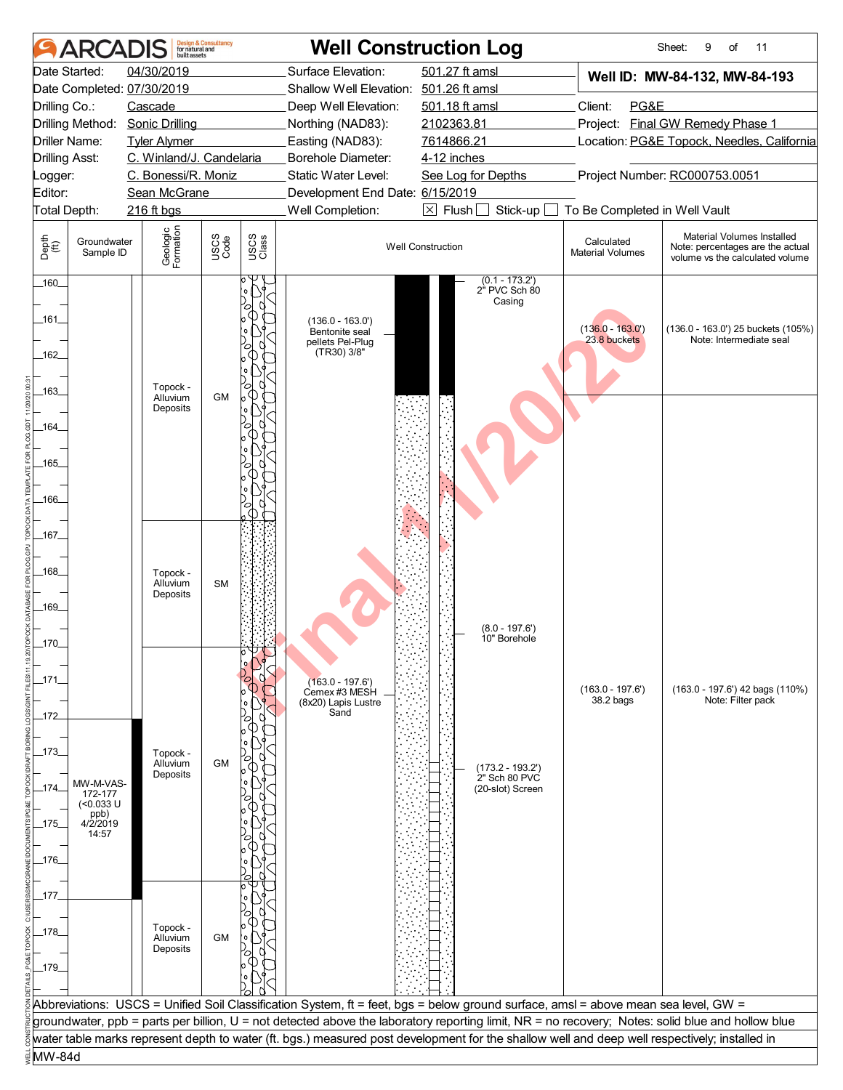| Date Started:<br>04/30/2019<br>Surface Elevation:<br>501.27 ft amsl<br>Well ID: MW-84-132, MW-84-193<br>Date Completed: 07/30/2019<br>Shallow Well Elevation: 501.26 ft amsl<br>Client:<br>PG&E<br>Drilling Co.:<br>Cascade<br>Deep Well Elevation:<br>501.18 ft amsl<br>Drilling Method:<br>2102363.81<br>Project: Final GW Remedy Phase 1<br><b>Sonic Drilling</b><br>Northing (NAD83):<br>Easting (NAD83):<br>Location: PG&E Topock, Needles, California<br>Driller Name:<br><b>Tyler Alymer</b><br>7614866.21<br>C. Winland/J. Candelaria<br>Borehole Diameter:<br><b>Drilling Asst:</b><br>4-12 inches<br>C. Bonessi/R. Moniz<br>Project Number: RC000753.0051<br>Static Water Level:<br>See Log for Depths<br>Logger:<br>Editor:<br>Sean McGrane<br>Development End Date: 6/15/2019<br>$\boxtimes$ Flush [<br>Well Completion:<br>Stick-up<br>To Be Completed in Well Vault<br>Total Depth:<br>216 ft bgs<br>Geologic<br>Formation<br>Material Volumes Installed<br>USCS<br>Code<br>USCS<br>Class<br>Depth<br>(ff)<br>Groundwater<br>Calculated<br><b>Well Construction</b><br>Note: percentages are the actual<br>Sample ID<br><b>Material Volumes</b><br>volume vs the calculated volume<br>$(0.1 - 173.2)$<br>160<br>2" PVC Sch 80<br>Casing<br>_161_<br>$(136.0 - 163.0)$<br>$(136.0 - 163.0)$<br>(136.0 - 163.0') 25 buckets (105%)<br>Bentonite seal<br>23.8 buckets<br>Note: Intermediate seal<br>pellets Pel-Plug<br>(TR30) 3/8"<br>162<br>Topock -<br>-163<br>Alluvium<br><b>GM</b><br>Deposits<br>_164_<br>_165_<br>-166<br>_167_<br>_168_<br>Topock -<br><b>SM</b><br>Alluvium<br>Deposits<br>_169_<br>$(8.0 - 197.6')$<br>10" Borehole<br>170<br>$-171-$<br>$(163.0 - 197.6)$<br>$(163.0 - 197.6')$<br>(163.0 - 197.6') 42 bags (110%)<br>Cemex #3 MESH<br>Note: Filter pack<br>38.2 bags<br>(8x20) Lapis Lustre<br>Sand<br>_172_<br>_173_<br>Topock -<br>Alluvium<br>GM<br>$(173.2 - 193.2)$<br>Deposits<br>2" Sch 80 PVC<br>MW-M-VAS-<br>.174.<br>(20-slot) Screen<br>172-177<br>$(<0.033$ U<br>ppb)<br>4/2/2019<br>_175_<br>14:57<br>_176_<br>_177_<br>Topock -<br>_178_<br>Alluvium<br>GM<br>Deposits<br>_179_<br>Abbreviations: USCS = Unified Soil Classification System, ft = feet, bgs = below ground surface, amsl = above mean sea level, GW =<br>groundwater, ppb = parts per billion, U = not detected above the laboratory reporting limit, NR = no recovery; Notes: solid blue and hollow blue<br>water table marks represent depth to water (ft. bgs.) measured post development for the shallow well and deep well respectively; installed in |        | <b>ARCADIS</b> | built assets | <b>Design &amp; Consultancy</b><br>for natural and |  | <b>Well Construction Log</b> | Sheet:<br>9<br>of<br>11 |
|---------------------------------------------------------------------------------------------------------------------------------------------------------------------------------------------------------------------------------------------------------------------------------------------------------------------------------------------------------------------------------------------------------------------------------------------------------------------------------------------------------------------------------------------------------------------------------------------------------------------------------------------------------------------------------------------------------------------------------------------------------------------------------------------------------------------------------------------------------------------------------------------------------------------------------------------------------------------------------------------------------------------------------------------------------------------------------------------------------------------------------------------------------------------------------------------------------------------------------------------------------------------------------------------------------------------------------------------------------------------------------------------------------------------------------------------------------------------------------------------------------------------------------------------------------------------------------------------------------------------------------------------------------------------------------------------------------------------------------------------------------------------------------------------------------------------------------------------------------------------------------------------------------------------------------------------------------------------------------------------------------------------------------------------------------------------------------------------------------------------------------------------------------------------------------------------------------------------------------------------------------------------------------------------------------------------------------------------------------------------------------------------------------------------------------------------------------------------------------------------------------------------------------------------------------------------------------|--------|----------------|--------------|----------------------------------------------------|--|------------------------------|-------------------------|
|                                                                                                                                                                                                                                                                                                                                                                                                                                                                                                                                                                                                                                                                                                                                                                                                                                                                                                                                                                                                                                                                                                                                                                                                                                                                                                                                                                                                                                                                                                                                                                                                                                                                                                                                                                                                                                                                                                                                                                                                                                                                                                                                                                                                                                                                                                                                                                                                                                                                                                                                                                                 |        |                |              |                                                    |  |                              |                         |
|                                                                                                                                                                                                                                                                                                                                                                                                                                                                                                                                                                                                                                                                                                                                                                                                                                                                                                                                                                                                                                                                                                                                                                                                                                                                                                                                                                                                                                                                                                                                                                                                                                                                                                                                                                                                                                                                                                                                                                                                                                                                                                                                                                                                                                                                                                                                                                                                                                                                                                                                                                                 |        |                |              |                                                    |  |                              |                         |
|                                                                                                                                                                                                                                                                                                                                                                                                                                                                                                                                                                                                                                                                                                                                                                                                                                                                                                                                                                                                                                                                                                                                                                                                                                                                                                                                                                                                                                                                                                                                                                                                                                                                                                                                                                                                                                                                                                                                                                                                                                                                                                                                                                                                                                                                                                                                                                                                                                                                                                                                                                                 |        |                |              |                                                    |  |                              |                         |
|                                                                                                                                                                                                                                                                                                                                                                                                                                                                                                                                                                                                                                                                                                                                                                                                                                                                                                                                                                                                                                                                                                                                                                                                                                                                                                                                                                                                                                                                                                                                                                                                                                                                                                                                                                                                                                                                                                                                                                                                                                                                                                                                                                                                                                                                                                                                                                                                                                                                                                                                                                                 |        |                |              |                                                    |  |                              |                         |
|                                                                                                                                                                                                                                                                                                                                                                                                                                                                                                                                                                                                                                                                                                                                                                                                                                                                                                                                                                                                                                                                                                                                                                                                                                                                                                                                                                                                                                                                                                                                                                                                                                                                                                                                                                                                                                                                                                                                                                                                                                                                                                                                                                                                                                                                                                                                                                                                                                                                                                                                                                                 |        |                |              |                                                    |  |                              |                         |
|                                                                                                                                                                                                                                                                                                                                                                                                                                                                                                                                                                                                                                                                                                                                                                                                                                                                                                                                                                                                                                                                                                                                                                                                                                                                                                                                                                                                                                                                                                                                                                                                                                                                                                                                                                                                                                                                                                                                                                                                                                                                                                                                                                                                                                                                                                                                                                                                                                                                                                                                                                                 |        |                |              |                                                    |  |                              |                         |
|                                                                                                                                                                                                                                                                                                                                                                                                                                                                                                                                                                                                                                                                                                                                                                                                                                                                                                                                                                                                                                                                                                                                                                                                                                                                                                                                                                                                                                                                                                                                                                                                                                                                                                                                                                                                                                                                                                                                                                                                                                                                                                                                                                                                                                                                                                                                                                                                                                                                                                                                                                                 |        |                |              |                                                    |  |                              |                         |
|                                                                                                                                                                                                                                                                                                                                                                                                                                                                                                                                                                                                                                                                                                                                                                                                                                                                                                                                                                                                                                                                                                                                                                                                                                                                                                                                                                                                                                                                                                                                                                                                                                                                                                                                                                                                                                                                                                                                                                                                                                                                                                                                                                                                                                                                                                                                                                                                                                                                                                                                                                                 |        |                |              |                                                    |  |                              |                         |
|                                                                                                                                                                                                                                                                                                                                                                                                                                                                                                                                                                                                                                                                                                                                                                                                                                                                                                                                                                                                                                                                                                                                                                                                                                                                                                                                                                                                                                                                                                                                                                                                                                                                                                                                                                                                                                                                                                                                                                                                                                                                                                                                                                                                                                                                                                                                                                                                                                                                                                                                                                                 |        |                |              |                                                    |  |                              |                         |
|                                                                                                                                                                                                                                                                                                                                                                                                                                                                                                                                                                                                                                                                                                                                                                                                                                                                                                                                                                                                                                                                                                                                                                                                                                                                                                                                                                                                                                                                                                                                                                                                                                                                                                                                                                                                                                                                                                                                                                                                                                                                                                                                                                                                                                                                                                                                                                                                                                                                                                                                                                                 |        |                |              |                                                    |  |                              |                         |
|                                                                                                                                                                                                                                                                                                                                                                                                                                                                                                                                                                                                                                                                                                                                                                                                                                                                                                                                                                                                                                                                                                                                                                                                                                                                                                                                                                                                                                                                                                                                                                                                                                                                                                                                                                                                                                                                                                                                                                                                                                                                                                                                                                                                                                                                                                                                                                                                                                                                                                                                                                                 |        |                |              |                                                    |  |                              |                         |
|                                                                                                                                                                                                                                                                                                                                                                                                                                                                                                                                                                                                                                                                                                                                                                                                                                                                                                                                                                                                                                                                                                                                                                                                                                                                                                                                                                                                                                                                                                                                                                                                                                                                                                                                                                                                                                                                                                                                                                                                                                                                                                                                                                                                                                                                                                                                                                                                                                                                                                                                                                                 |        |                |              |                                                    |  |                              |                         |
|                                                                                                                                                                                                                                                                                                                                                                                                                                                                                                                                                                                                                                                                                                                                                                                                                                                                                                                                                                                                                                                                                                                                                                                                                                                                                                                                                                                                                                                                                                                                                                                                                                                                                                                                                                                                                                                                                                                                                                                                                                                                                                                                                                                                                                                                                                                                                                                                                                                                                                                                                                                 |        |                |              |                                                    |  |                              |                         |
|                                                                                                                                                                                                                                                                                                                                                                                                                                                                                                                                                                                                                                                                                                                                                                                                                                                                                                                                                                                                                                                                                                                                                                                                                                                                                                                                                                                                                                                                                                                                                                                                                                                                                                                                                                                                                                                                                                                                                                                                                                                                                                                                                                                                                                                                                                                                                                                                                                                                                                                                                                                 |        |                |              |                                                    |  |                              |                         |
|                                                                                                                                                                                                                                                                                                                                                                                                                                                                                                                                                                                                                                                                                                                                                                                                                                                                                                                                                                                                                                                                                                                                                                                                                                                                                                                                                                                                                                                                                                                                                                                                                                                                                                                                                                                                                                                                                                                                                                                                                                                                                                                                                                                                                                                                                                                                                                                                                                                                                                                                                                                 |        |                |              |                                                    |  |                              |                         |
|                                                                                                                                                                                                                                                                                                                                                                                                                                                                                                                                                                                                                                                                                                                                                                                                                                                                                                                                                                                                                                                                                                                                                                                                                                                                                                                                                                                                                                                                                                                                                                                                                                                                                                                                                                                                                                                                                                                                                                                                                                                                                                                                                                                                                                                                                                                                                                                                                                                                                                                                                                                 |        |                |              |                                                    |  |                              |                         |
|                                                                                                                                                                                                                                                                                                                                                                                                                                                                                                                                                                                                                                                                                                                                                                                                                                                                                                                                                                                                                                                                                                                                                                                                                                                                                                                                                                                                                                                                                                                                                                                                                                                                                                                                                                                                                                                                                                                                                                                                                                                                                                                                                                                                                                                                                                                                                                                                                                                                                                                                                                                 |        |                |              |                                                    |  |                              |                         |
|                                                                                                                                                                                                                                                                                                                                                                                                                                                                                                                                                                                                                                                                                                                                                                                                                                                                                                                                                                                                                                                                                                                                                                                                                                                                                                                                                                                                                                                                                                                                                                                                                                                                                                                                                                                                                                                                                                                                                                                                                                                                                                                                                                                                                                                                                                                                                                                                                                                                                                                                                                                 |        |                |              |                                                    |  |                              |                         |
|                                                                                                                                                                                                                                                                                                                                                                                                                                                                                                                                                                                                                                                                                                                                                                                                                                                                                                                                                                                                                                                                                                                                                                                                                                                                                                                                                                                                                                                                                                                                                                                                                                                                                                                                                                                                                                                                                                                                                                                                                                                                                                                                                                                                                                                                                                                                                                                                                                                                                                                                                                                 |        |                |              |                                                    |  |                              |                         |
|                                                                                                                                                                                                                                                                                                                                                                                                                                                                                                                                                                                                                                                                                                                                                                                                                                                                                                                                                                                                                                                                                                                                                                                                                                                                                                                                                                                                                                                                                                                                                                                                                                                                                                                                                                                                                                                                                                                                                                                                                                                                                                                                                                                                                                                                                                                                                                                                                                                                                                                                                                                 |        |                |              |                                                    |  |                              |                         |
|                                                                                                                                                                                                                                                                                                                                                                                                                                                                                                                                                                                                                                                                                                                                                                                                                                                                                                                                                                                                                                                                                                                                                                                                                                                                                                                                                                                                                                                                                                                                                                                                                                                                                                                                                                                                                                                                                                                                                                                                                                                                                                                                                                                                                                                                                                                                                                                                                                                                                                                                                                                 |        |                |              |                                                    |  |                              |                         |
|                                                                                                                                                                                                                                                                                                                                                                                                                                                                                                                                                                                                                                                                                                                                                                                                                                                                                                                                                                                                                                                                                                                                                                                                                                                                                                                                                                                                                                                                                                                                                                                                                                                                                                                                                                                                                                                                                                                                                                                                                                                                                                                                                                                                                                                                                                                                                                                                                                                                                                                                                                                 |        |                |              |                                                    |  |                              |                         |
|                                                                                                                                                                                                                                                                                                                                                                                                                                                                                                                                                                                                                                                                                                                                                                                                                                                                                                                                                                                                                                                                                                                                                                                                                                                                                                                                                                                                                                                                                                                                                                                                                                                                                                                                                                                                                                                                                                                                                                                                                                                                                                                                                                                                                                                                                                                                                                                                                                                                                                                                                                                 |        |                |              |                                                    |  |                              |                         |
|                                                                                                                                                                                                                                                                                                                                                                                                                                                                                                                                                                                                                                                                                                                                                                                                                                                                                                                                                                                                                                                                                                                                                                                                                                                                                                                                                                                                                                                                                                                                                                                                                                                                                                                                                                                                                                                                                                                                                                                                                                                                                                                                                                                                                                                                                                                                                                                                                                                                                                                                                                                 |        |                |              |                                                    |  |                              |                         |
|                                                                                                                                                                                                                                                                                                                                                                                                                                                                                                                                                                                                                                                                                                                                                                                                                                                                                                                                                                                                                                                                                                                                                                                                                                                                                                                                                                                                                                                                                                                                                                                                                                                                                                                                                                                                                                                                                                                                                                                                                                                                                                                                                                                                                                                                                                                                                                                                                                                                                                                                                                                 |        |                |              |                                                    |  |                              |                         |
|                                                                                                                                                                                                                                                                                                                                                                                                                                                                                                                                                                                                                                                                                                                                                                                                                                                                                                                                                                                                                                                                                                                                                                                                                                                                                                                                                                                                                                                                                                                                                                                                                                                                                                                                                                                                                                                                                                                                                                                                                                                                                                                                                                                                                                                                                                                                                                                                                                                                                                                                                                                 |        |                |              |                                                    |  |                              |                         |
|                                                                                                                                                                                                                                                                                                                                                                                                                                                                                                                                                                                                                                                                                                                                                                                                                                                                                                                                                                                                                                                                                                                                                                                                                                                                                                                                                                                                                                                                                                                                                                                                                                                                                                                                                                                                                                                                                                                                                                                                                                                                                                                                                                                                                                                                                                                                                                                                                                                                                                                                                                                 |        |                |              |                                                    |  |                              |                         |
|                                                                                                                                                                                                                                                                                                                                                                                                                                                                                                                                                                                                                                                                                                                                                                                                                                                                                                                                                                                                                                                                                                                                                                                                                                                                                                                                                                                                                                                                                                                                                                                                                                                                                                                                                                                                                                                                                                                                                                                                                                                                                                                                                                                                                                                                                                                                                                                                                                                                                                                                                                                 |        |                |              |                                                    |  |                              |                         |
|                                                                                                                                                                                                                                                                                                                                                                                                                                                                                                                                                                                                                                                                                                                                                                                                                                                                                                                                                                                                                                                                                                                                                                                                                                                                                                                                                                                                                                                                                                                                                                                                                                                                                                                                                                                                                                                                                                                                                                                                                                                                                                                                                                                                                                                                                                                                                                                                                                                                                                                                                                                 |        |                |              |                                                    |  |                              |                         |
|                                                                                                                                                                                                                                                                                                                                                                                                                                                                                                                                                                                                                                                                                                                                                                                                                                                                                                                                                                                                                                                                                                                                                                                                                                                                                                                                                                                                                                                                                                                                                                                                                                                                                                                                                                                                                                                                                                                                                                                                                                                                                                                                                                                                                                                                                                                                                                                                                                                                                                                                                                                 |        |                |              |                                                    |  |                              |                         |
|                                                                                                                                                                                                                                                                                                                                                                                                                                                                                                                                                                                                                                                                                                                                                                                                                                                                                                                                                                                                                                                                                                                                                                                                                                                                                                                                                                                                                                                                                                                                                                                                                                                                                                                                                                                                                                                                                                                                                                                                                                                                                                                                                                                                                                                                                                                                                                                                                                                                                                                                                                                 |        |                |              |                                                    |  |                              |                         |
|                                                                                                                                                                                                                                                                                                                                                                                                                                                                                                                                                                                                                                                                                                                                                                                                                                                                                                                                                                                                                                                                                                                                                                                                                                                                                                                                                                                                                                                                                                                                                                                                                                                                                                                                                                                                                                                                                                                                                                                                                                                                                                                                                                                                                                                                                                                                                                                                                                                                                                                                                                                 |        |                |              |                                                    |  |                              |                         |
|                                                                                                                                                                                                                                                                                                                                                                                                                                                                                                                                                                                                                                                                                                                                                                                                                                                                                                                                                                                                                                                                                                                                                                                                                                                                                                                                                                                                                                                                                                                                                                                                                                                                                                                                                                                                                                                                                                                                                                                                                                                                                                                                                                                                                                                                                                                                                                                                                                                                                                                                                                                 |        |                |              |                                                    |  |                              |                         |
|                                                                                                                                                                                                                                                                                                                                                                                                                                                                                                                                                                                                                                                                                                                                                                                                                                                                                                                                                                                                                                                                                                                                                                                                                                                                                                                                                                                                                                                                                                                                                                                                                                                                                                                                                                                                                                                                                                                                                                                                                                                                                                                                                                                                                                                                                                                                                                                                                                                                                                                                                                                 |        |                |              |                                                    |  |                              |                         |
|                                                                                                                                                                                                                                                                                                                                                                                                                                                                                                                                                                                                                                                                                                                                                                                                                                                                                                                                                                                                                                                                                                                                                                                                                                                                                                                                                                                                                                                                                                                                                                                                                                                                                                                                                                                                                                                                                                                                                                                                                                                                                                                                                                                                                                                                                                                                                                                                                                                                                                                                                                                 |        |                |              |                                                    |  |                              |                         |
|                                                                                                                                                                                                                                                                                                                                                                                                                                                                                                                                                                                                                                                                                                                                                                                                                                                                                                                                                                                                                                                                                                                                                                                                                                                                                                                                                                                                                                                                                                                                                                                                                                                                                                                                                                                                                                                                                                                                                                                                                                                                                                                                                                                                                                                                                                                                                                                                                                                                                                                                                                                 |        |                |              |                                                    |  |                              |                         |
|                                                                                                                                                                                                                                                                                                                                                                                                                                                                                                                                                                                                                                                                                                                                                                                                                                                                                                                                                                                                                                                                                                                                                                                                                                                                                                                                                                                                                                                                                                                                                                                                                                                                                                                                                                                                                                                                                                                                                                                                                                                                                                                                                                                                                                                                                                                                                                                                                                                                                                                                                                                 |        |                |              |                                                    |  |                              |                         |
|                                                                                                                                                                                                                                                                                                                                                                                                                                                                                                                                                                                                                                                                                                                                                                                                                                                                                                                                                                                                                                                                                                                                                                                                                                                                                                                                                                                                                                                                                                                                                                                                                                                                                                                                                                                                                                                                                                                                                                                                                                                                                                                                                                                                                                                                                                                                                                                                                                                                                                                                                                                 |        |                |              |                                                    |  |                              |                         |
|                                                                                                                                                                                                                                                                                                                                                                                                                                                                                                                                                                                                                                                                                                                                                                                                                                                                                                                                                                                                                                                                                                                                                                                                                                                                                                                                                                                                                                                                                                                                                                                                                                                                                                                                                                                                                                                                                                                                                                                                                                                                                                                                                                                                                                                                                                                                                                                                                                                                                                                                                                                 |        |                |              |                                                    |  |                              |                         |
|                                                                                                                                                                                                                                                                                                                                                                                                                                                                                                                                                                                                                                                                                                                                                                                                                                                                                                                                                                                                                                                                                                                                                                                                                                                                                                                                                                                                                                                                                                                                                                                                                                                                                                                                                                                                                                                                                                                                                                                                                                                                                                                                                                                                                                                                                                                                                                                                                                                                                                                                                                                 |        |                |              |                                                    |  |                              |                         |
|                                                                                                                                                                                                                                                                                                                                                                                                                                                                                                                                                                                                                                                                                                                                                                                                                                                                                                                                                                                                                                                                                                                                                                                                                                                                                                                                                                                                                                                                                                                                                                                                                                                                                                                                                                                                                                                                                                                                                                                                                                                                                                                                                                                                                                                                                                                                                                                                                                                                                                                                                                                 |        |                |              |                                                    |  |                              |                         |
|                                                                                                                                                                                                                                                                                                                                                                                                                                                                                                                                                                                                                                                                                                                                                                                                                                                                                                                                                                                                                                                                                                                                                                                                                                                                                                                                                                                                                                                                                                                                                                                                                                                                                                                                                                                                                                                                                                                                                                                                                                                                                                                                                                                                                                                                                                                                                                                                                                                                                                                                                                                 |        |                |              |                                                    |  |                              |                         |
|                                                                                                                                                                                                                                                                                                                                                                                                                                                                                                                                                                                                                                                                                                                                                                                                                                                                                                                                                                                                                                                                                                                                                                                                                                                                                                                                                                                                                                                                                                                                                                                                                                                                                                                                                                                                                                                                                                                                                                                                                                                                                                                                                                                                                                                                                                                                                                                                                                                                                                                                                                                 |        |                |              |                                                    |  |                              |                         |
|                                                                                                                                                                                                                                                                                                                                                                                                                                                                                                                                                                                                                                                                                                                                                                                                                                                                                                                                                                                                                                                                                                                                                                                                                                                                                                                                                                                                                                                                                                                                                                                                                                                                                                                                                                                                                                                                                                                                                                                                                                                                                                                                                                                                                                                                                                                                                                                                                                                                                                                                                                                 |        |                |              |                                                    |  |                              |                         |
|                                                                                                                                                                                                                                                                                                                                                                                                                                                                                                                                                                                                                                                                                                                                                                                                                                                                                                                                                                                                                                                                                                                                                                                                                                                                                                                                                                                                                                                                                                                                                                                                                                                                                                                                                                                                                                                                                                                                                                                                                                                                                                                                                                                                                                                                                                                                                                                                                                                                                                                                                                                 |        |                |              |                                                    |  |                              |                         |
|                                                                                                                                                                                                                                                                                                                                                                                                                                                                                                                                                                                                                                                                                                                                                                                                                                                                                                                                                                                                                                                                                                                                                                                                                                                                                                                                                                                                                                                                                                                                                                                                                                                                                                                                                                                                                                                                                                                                                                                                                                                                                                                                                                                                                                                                                                                                                                                                                                                                                                                                                                                 |        |                |              |                                                    |  |                              |                         |
|                                                                                                                                                                                                                                                                                                                                                                                                                                                                                                                                                                                                                                                                                                                                                                                                                                                                                                                                                                                                                                                                                                                                                                                                                                                                                                                                                                                                                                                                                                                                                                                                                                                                                                                                                                                                                                                                                                                                                                                                                                                                                                                                                                                                                                                                                                                                                                                                                                                                                                                                                                                 |        |                |              |                                                    |  |                              |                         |
|                                                                                                                                                                                                                                                                                                                                                                                                                                                                                                                                                                                                                                                                                                                                                                                                                                                                                                                                                                                                                                                                                                                                                                                                                                                                                                                                                                                                                                                                                                                                                                                                                                                                                                                                                                                                                                                                                                                                                                                                                                                                                                                                                                                                                                                                                                                                                                                                                                                                                                                                                                                 |        |                |              |                                                    |  |                              |                         |
|                                                                                                                                                                                                                                                                                                                                                                                                                                                                                                                                                                                                                                                                                                                                                                                                                                                                                                                                                                                                                                                                                                                                                                                                                                                                                                                                                                                                                                                                                                                                                                                                                                                                                                                                                                                                                                                                                                                                                                                                                                                                                                                                                                                                                                                                                                                                                                                                                                                                                                                                                                                 |        |                |              |                                                    |  |                              |                         |
|                                                                                                                                                                                                                                                                                                                                                                                                                                                                                                                                                                                                                                                                                                                                                                                                                                                                                                                                                                                                                                                                                                                                                                                                                                                                                                                                                                                                                                                                                                                                                                                                                                                                                                                                                                                                                                                                                                                                                                                                                                                                                                                                                                                                                                                                                                                                                                                                                                                                                                                                                                                 |        |                |              |                                                    |  |                              |                         |
|                                                                                                                                                                                                                                                                                                                                                                                                                                                                                                                                                                                                                                                                                                                                                                                                                                                                                                                                                                                                                                                                                                                                                                                                                                                                                                                                                                                                                                                                                                                                                                                                                                                                                                                                                                                                                                                                                                                                                                                                                                                                                                                                                                                                                                                                                                                                                                                                                                                                                                                                                                                 | MW-84d |                |              |                                                    |  |                              |                         |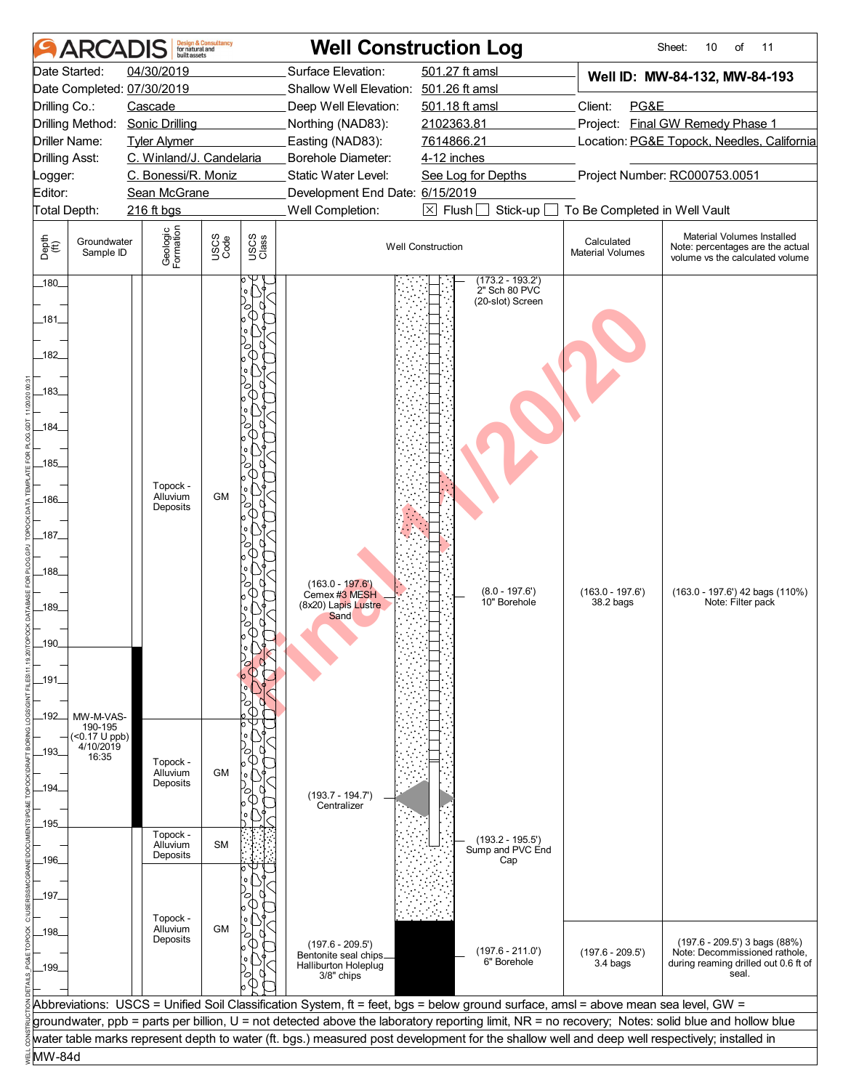|                       | <b>ARCADIS</b>               |                            | <b>Design &amp; Consultancy</b><br>for natural and |               |                                               | <b>Well Construction Log</b>                                                                                                                     |                                       | Sheet:<br>10<br>of<br>11                                                                          |
|-----------------------|------------------------------|----------------------------|----------------------------------------------------|---------------|-----------------------------------------------|--------------------------------------------------------------------------------------------------------------------------------------------------|---------------------------------------|---------------------------------------------------------------------------------------------------|
|                       | Date Started:                | 04/30/2019                 |                                                    |               | Surface Elevation:                            | 501.27 ft amsl                                                                                                                                   |                                       | Well ID: MW-84-132, MW-84-193                                                                     |
|                       |                              | Date Completed: 07/30/2019 |                                                    |               | Shallow Well Elevation: 501.26 ft amsl        |                                                                                                                                                  |                                       |                                                                                                   |
| Drilling Co.:         |                              | Cascade                    |                                                    |               | Deep Well Elevation:                          | 501.18 ft amsl                                                                                                                                   | Client:<br>PG&E                       |                                                                                                   |
|                       | Drilling Method:             | <b>Sonic Drilling</b>      |                                                    |               | Northing (NAD83):                             | 2102363.81                                                                                                                                       | Project:                              | <b>Final GW Remedy Phase 1</b>                                                                    |
|                       | Driller Name:                | <b>Tyler Alymer</b>        |                                                    |               | Easting (NAD83):                              | 7614866.21                                                                                                                                       |                                       | Location: PG&E Topock, Needles, California                                                        |
| <b>Drilling Asst:</b> |                              | C. Winland/J. Candelaria   |                                                    |               | Borehole Diameter:                            | 4-12 inches                                                                                                                                      |                                       |                                                                                                   |
| _ogger:               |                              | C. Bonessi/R. Moniz        |                                                    |               | Static Water Level:                           | See Log for Depths                                                                                                                               |                                       | Project Number: RC000753.0051                                                                     |
| Editor:               |                              | Sean McGrane               |                                                    |               | Development End Date: 6/15/2019               |                                                                                                                                                  |                                       |                                                                                                   |
| Total Depth:          |                              | 216 ft bgs                 |                                                    |               | Well Completion:                              | $\boxtimes$ Flush [<br>Stick-up                                                                                                                  | To Be Completed in Well Vault         |                                                                                                   |
|                       |                              |                            |                                                    |               |                                               |                                                                                                                                                  |                                       |                                                                                                   |
| Depth<br>(ff)         | Groundwater<br>Sample ID     | Geologic<br>Formation      | USCS<br>Code                                       | USCS<br>Class |                                               | <b>Well Construction</b>                                                                                                                         | Calculated<br><b>Material Volumes</b> | Material Volumes Installed<br>Note: percentages are the actual<br>volume vs the calculated volume |
| $-180$                |                              |                            |                                                    |               |                                               | $(173.2 - 193.2')$<br>2" Sch 80 PVC                                                                                                              |                                       |                                                                                                   |
|                       |                              |                            |                                                    |               |                                               | (20-slot) Screen                                                                                                                                 |                                       |                                                                                                   |
| _181_                 |                              |                            |                                                    |               |                                               |                                                                                                                                                  |                                       |                                                                                                   |
|                       |                              |                            |                                                    |               |                                               |                                                                                                                                                  |                                       |                                                                                                   |
| $-182$                |                              |                            |                                                    |               |                                               |                                                                                                                                                  |                                       |                                                                                                   |
|                       |                              |                            |                                                    |               |                                               |                                                                                                                                                  |                                       |                                                                                                   |
| _183_                 |                              |                            |                                                    |               |                                               |                                                                                                                                                  |                                       |                                                                                                   |
|                       |                              |                            |                                                    |               |                                               |                                                                                                                                                  |                                       |                                                                                                   |
| _184_                 |                              |                            |                                                    |               |                                               |                                                                                                                                                  |                                       |                                                                                                   |
|                       |                              |                            |                                                    |               |                                               |                                                                                                                                                  |                                       |                                                                                                   |
|                       |                              |                            |                                                    |               |                                               |                                                                                                                                                  |                                       |                                                                                                   |
| $-185$                |                              |                            |                                                    |               |                                               |                                                                                                                                                  |                                       |                                                                                                   |
|                       |                              | Topock -                   |                                                    |               |                                               |                                                                                                                                                  |                                       |                                                                                                   |
| $-186$                |                              | Alluvium<br>Deposits       | <b>GM</b>                                          |               |                                               |                                                                                                                                                  |                                       |                                                                                                   |
|                       |                              |                            |                                                    |               |                                               |                                                                                                                                                  |                                       |                                                                                                   |
| _187_                 |                              |                            |                                                    |               |                                               |                                                                                                                                                  |                                       |                                                                                                   |
|                       |                              |                            |                                                    |               |                                               |                                                                                                                                                  |                                       |                                                                                                   |
| $-188$                |                              |                            |                                                    |               |                                               |                                                                                                                                                  |                                       |                                                                                                   |
|                       |                              |                            |                                                    |               | $(163.0 - 197.6)$                             | $(8.0 - 197.6')$                                                                                                                                 |                                       |                                                                                                   |
| $-189$                |                              |                            |                                                    |               | Cemex #3 MESH<br>(8x20) Lapis Lustre          | 10" Borehole                                                                                                                                     | $(163.0 - 197.6)$<br>38.2 bags        | (163.0 - 197.6') 42 bags (110%)<br>Note: Filter pack                                              |
|                       |                              |                            |                                                    |               | Sand                                          |                                                                                                                                                  |                                       |                                                                                                   |
|                       |                              |                            |                                                    |               |                                               |                                                                                                                                                  |                                       |                                                                                                   |
| 190                   |                              |                            |                                                    |               |                                               |                                                                                                                                                  |                                       |                                                                                                   |
|                       |                              |                            |                                                    |               |                                               |                                                                                                                                                  |                                       |                                                                                                   |
| _191_                 |                              |                            |                                                    |               |                                               |                                                                                                                                                  |                                       |                                                                                                   |
|                       |                              |                            |                                                    |               |                                               |                                                                                                                                                  |                                       |                                                                                                   |
| _192_                 | MW-M-VAS-                    |                            |                                                    |               |                                               |                                                                                                                                                  |                                       |                                                                                                   |
|                       | 190-195<br>$($ < 0.17 U ppb) |                            |                                                    |               |                                               |                                                                                                                                                  |                                       |                                                                                                   |
| -193-                 | 4/10/2019                    |                            |                                                    |               |                                               |                                                                                                                                                  |                                       |                                                                                                   |
|                       | 16:35                        | Topock -<br>Alluvium       |                                                    |               |                                               |                                                                                                                                                  |                                       |                                                                                                   |
| _194_                 |                              | Deposits                   | <b>GM</b>                                          |               |                                               |                                                                                                                                                  |                                       |                                                                                                   |
|                       |                              |                            |                                                    |               | $(193.7 - 194.7')$                            |                                                                                                                                                  |                                       |                                                                                                   |
|                       |                              |                            |                                                    |               | Centralizer                                   |                                                                                                                                                  |                                       |                                                                                                   |
| _195_                 |                              | Topock -                   |                                                    |               |                                               |                                                                                                                                                  |                                       |                                                                                                   |
|                       |                              | Alluvium                   | <b>SM</b>                                          |               |                                               | $(193.2 - 195.5')$<br>Sump and PVC End                                                                                                           |                                       |                                                                                                   |
| _196_                 |                              | Deposits                   |                                                    |               |                                               | Cap                                                                                                                                              |                                       |                                                                                                   |
|                       |                              |                            |                                                    |               |                                               |                                                                                                                                                  |                                       |                                                                                                   |
| _197_                 |                              |                            |                                                    |               |                                               |                                                                                                                                                  |                                       |                                                                                                   |
|                       |                              | Topock -                   |                                                    |               |                                               |                                                                                                                                                  |                                       |                                                                                                   |
| _198_                 |                              | Alluvium                   | GM                                                 |               |                                               |                                                                                                                                                  |                                       |                                                                                                   |
|                       |                              | Deposits                   |                                                    |               | $(197.6 - 209.5)$                             |                                                                                                                                                  |                                       | (197.6 - 209.5') 3 bags (88%)                                                                     |
| _199_                 |                              |                            |                                                    |               | Bentonite seal chips_<br>Halliburton Holeplug | $(197.6 - 211.0)$<br>6" Borehole                                                                                                                 | $(197.6 - 209.5')$<br>3.4 bags        | Note: Decommissioned rathole,<br>during reaming drilled out 0.6 ft of                             |
|                       |                              |                            |                                                    |               | 3/8" chips                                    |                                                                                                                                                  |                                       | seal.                                                                                             |
|                       |                              |                            |                                                    |               |                                               |                                                                                                                                                  |                                       |                                                                                                   |
|                       |                              |                            |                                                    |               |                                               | Abbreviations: USCS = Unified Soil Classification System, ft = feet, bgs = below ground surface, amsl = above mean sea level, GW =               |                                       |                                                                                                   |
|                       |                              |                            |                                                    |               |                                               | groundwater, ppb = parts per billion, U = not detected above the laboratory reporting limit, NR = no recovery; Notes: solid blue and hollow blue |                                       |                                                                                                   |
|                       |                              |                            |                                                    |               |                                               | water table marks represent depth to water (ft. bgs.) measured post development for the shallow well and deep well respectively; installed in    |                                       |                                                                                                   |
| MW-84d                |                              |                            |                                                    |               |                                               |                                                                                                                                                  |                                       |                                                                                                   |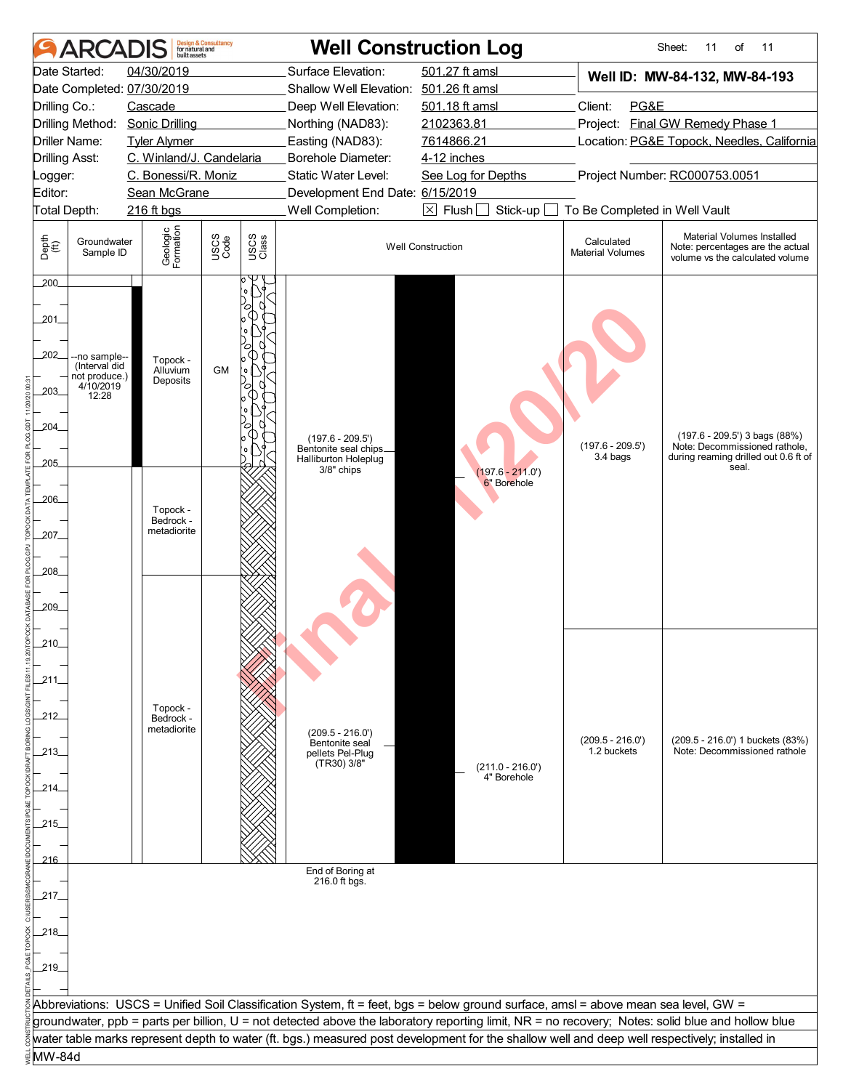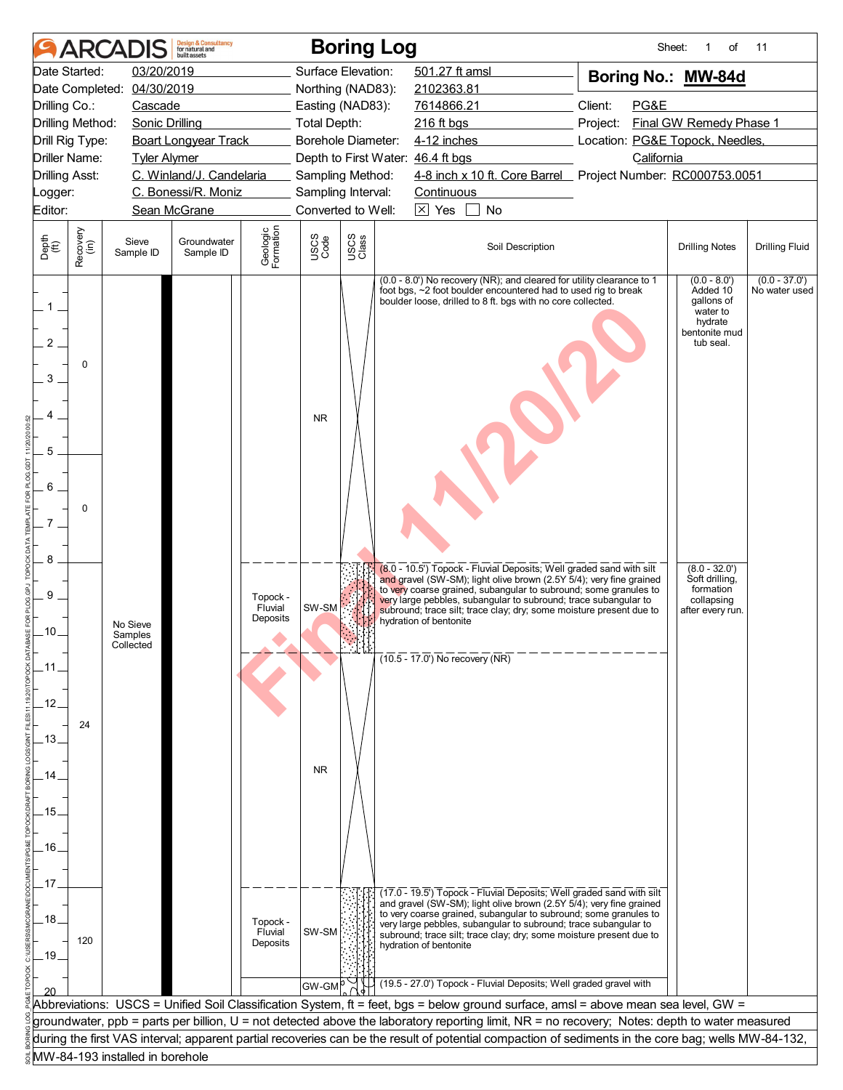|                                   |                      | <b>ARCADI</b>                    | <b>Design &amp; Consultancy</b><br>for natural and<br>huilt assets |                                 |                     | <b>Boring Log</b>  |                                                                                                                                                                                                                                                                                                                                                                                     | Sheet:                          | of                                                                                           | 11                               |
|-----------------------------------|----------------------|----------------------------------|--------------------------------------------------------------------|---------------------------------|---------------------|--------------------|-------------------------------------------------------------------------------------------------------------------------------------------------------------------------------------------------------------------------------------------------------------------------------------------------------------------------------------------------------------------------------------|---------------------------------|----------------------------------------------------------------------------------------------|----------------------------------|
|                                   | Date Started:        | 03/20/2019                       |                                                                    |                                 |                     | Surface Elevation: | 501.27 ft amsl                                                                                                                                                                                                                                                                                                                                                                      | Boring No.: MW-84d              |                                                                                              |                                  |
|                                   | Date Completed:      | 04/30/2019                       |                                                                    |                                 |                     | Northing (NAD83):  | 2102363.81                                                                                                                                                                                                                                                                                                                                                                          |                                 |                                                                                              |                                  |
| Drilling Co.:                     |                      | Cascade                          |                                                                    |                                 |                     | Easting (NAD83):   | 7614866.21                                                                                                                                                                                                                                                                                                                                                                          | Client:<br>PG&E                 |                                                                                              |                                  |
|                                   | Drilling Method:     | <b>Sonic Drilling</b>            |                                                                    |                                 | <b>Total Depth:</b> |                    | 216 ft bgs                                                                                                                                                                                                                                                                                                                                                                          | Project:                        | Final GW Remedy Phase 1                                                                      |                                  |
|                                   | Drill Rig Type:      |                                  | <b>Boart Longyear Track</b>                                        |                                 |                     | Borehole Diameter: | 4-12 inches                                                                                                                                                                                                                                                                                                                                                                         | Location: PG&E Topock, Needles, |                                                                                              |                                  |
|                                   | <b>Driller Name:</b> | <b>Tyler Alymer</b>              |                                                                    |                                 |                     |                    | Depth to First Water: 46.4 ft bgs                                                                                                                                                                                                                                                                                                                                                   | California                      |                                                                                              |                                  |
| <b>Drilling Asst:</b>             |                      |                                  | C. Winland/J. Candelaria                                           |                                 |                     | Sampling Method:   | 4-8 inch x 10 ft. Core Barrel Project Number: RC000753.0051                                                                                                                                                                                                                                                                                                                         |                                 |                                                                                              |                                  |
| Logger:                           |                      |                                  | C. Bonessi/R. Moniz                                                |                                 |                     | Sampling Interval: | Continuous                                                                                                                                                                                                                                                                                                                                                                          |                                 |                                                                                              |                                  |
| Editor:                           |                      |                                  | Sean McGrane                                                       |                                 |                     | Converted to Well: | $\boxtimes$ Yes<br>No                                                                                                                                                                                                                                                                                                                                                               |                                 |                                                                                              |                                  |
| Depth<br>(ft)                     | Recovery<br>(in)     | Sieve<br>Sample ID               | Groundwater<br>Sample ID                                           | Geologic<br>Formation           | USCS<br>Code        | USCS<br>Class      | Soil Description                                                                                                                                                                                                                                                                                                                                                                    |                                 | <b>Drilling Notes</b>                                                                        | <b>Drilling Fluid</b>            |
| $1-$<br>2<br>3<br>5<br>6<br>$7$ . | 0<br>0               |                                  |                                                                    |                                 | <b>NR</b>           |                    | (0.0 - 8.0') No recovery (NR); and cleared for utility clearance to 1<br>foot bgs, ~2 foot boulder encountered had to used rig to break<br>boulder loose, drilled to 8 ft. bgs with no core collected.                                                                                                                                                                              |                                 | $(0.0 - 8.0)$<br>Added 10<br>gallons of<br>water to<br>hydrate<br>bentonite mud<br>tub seal. | $(0.0 - 37.0')$<br>No water used |
| 8<br>9<br>.10.                    |                      | No Sieve<br>Samples<br>Collected |                                                                    | Topock -<br>Fluvial<br>Deposits | SW-SM               |                    | (8.0 - 10.5') Topock - Fluvial Deposits; Well graded sand with silt<br>and gravel (SW-SM); light olive brown (2.5Y 5/4); very fine grained<br>to very coarse grained, subangular to subround; some granules to<br>very large pebbles, subangular to subround; trace subangular to<br>subround; trace silt; trace clay; dry; some moisture present due to<br>hydration of bentonite  |                                 | $(8.0 - 32.0')$<br>Soft drilling,<br>formation<br>collapsing<br>after every run.             |                                  |
|                                   |                      |                                  |                                                                    |                                 |                     |                    | $(10.5 - 17.0)$ No recovery (NR)                                                                                                                                                                                                                                                                                                                                                    |                                 |                                                                                              |                                  |
| .12.<br>13.                       | 24                   |                                  |                                                                    |                                 |                     |                    |                                                                                                                                                                                                                                                                                                                                                                                     |                                 |                                                                                              |                                  |
|                                   |                      |                                  |                                                                    |                                 |                     |                    |                                                                                                                                                                                                                                                                                                                                                                                     |                                 |                                                                                              |                                  |
| 14                                |                      |                                  |                                                                    |                                 | <b>NR</b>           |                    |                                                                                                                                                                                                                                                                                                                                                                                     |                                 |                                                                                              |                                  |
|                                   |                      |                                  |                                                                    |                                 |                     |                    |                                                                                                                                                                                                                                                                                                                                                                                     |                                 |                                                                                              |                                  |
| .15.                              |                      |                                  |                                                                    |                                 |                     |                    |                                                                                                                                                                                                                                                                                                                                                                                     |                                 |                                                                                              |                                  |
|                                   |                      |                                  |                                                                    |                                 |                     |                    |                                                                                                                                                                                                                                                                                                                                                                                     |                                 |                                                                                              |                                  |
| .16.                              |                      |                                  |                                                                    |                                 |                     |                    |                                                                                                                                                                                                                                                                                                                                                                                     |                                 |                                                                                              |                                  |
|                                   |                      |                                  |                                                                    |                                 |                     |                    |                                                                                                                                                                                                                                                                                                                                                                                     |                                 |                                                                                              |                                  |
| .17                               |                      |                                  |                                                                    |                                 |                     |                    |                                                                                                                                                                                                                                                                                                                                                                                     |                                 |                                                                                              |                                  |
| .18.<br>$-19$                     | 120                  |                                  |                                                                    | Topock -<br>Fluvial<br>Deposits | SW-SM               |                    | (17.0 - 19.5') Topock - Fluvial Deposits; Well graded sand with silt<br>and gravel (SW-SM); light olive brown (2.5Y 5/4); very fine grained<br>to very coarse grained, subangular to subround; some granules to<br>very large pebbles, subangular to subround; trace subangular to<br>subround; trace silt; trace clay; dry; some moisture present due to<br>hydration of bentonite |                                 |                                                                                              |                                  |
|                                   |                      |                                  |                                                                    |                                 |                     |                    | (19.5 - 27.0') Topock - Fluvial Deposits; Well graded gravel with                                                                                                                                                                                                                                                                                                                   |                                 |                                                                                              |                                  |
|                                   |                      |                                  |                                                                    |                                 | GW-GM               |                    |                                                                                                                                                                                                                                                                                                                                                                                     |                                 |                                                                                              |                                  |
|                                   |                      |                                  |                                                                    |                                 |                     |                    | Abbreviations: USCS = Unified Soil Classification System, ft = feet, bgs = below ground surface, amsl = above mean sea level, GW =                                                                                                                                                                                                                                                  |                                 |                                                                                              |                                  |
|                                   |                      |                                  |                                                                    |                                 |                     |                    | groundwater, ppb = parts per billion, U = not detected above the laboratory reporting limit, NR = no recovery; Notes: depth to water measured                                                                                                                                                                                                                                       |                                 |                                                                                              |                                  |
|                                   |                      |                                  |                                                                    |                                 |                     |                    | during the first VAS interval; apparent partial recoveries can be the result of potential compaction of sediments in the core bag; wells MW-84-132,                                                                                                                                                                                                                                 |                                 |                                                                                              |                                  |
|                                   |                      | MW-84-193 installed in borehole  |                                                                    |                                 |                     |                    |                                                                                                                                                                                                                                                                                                                                                                                     |                                 |                                                                                              |                                  |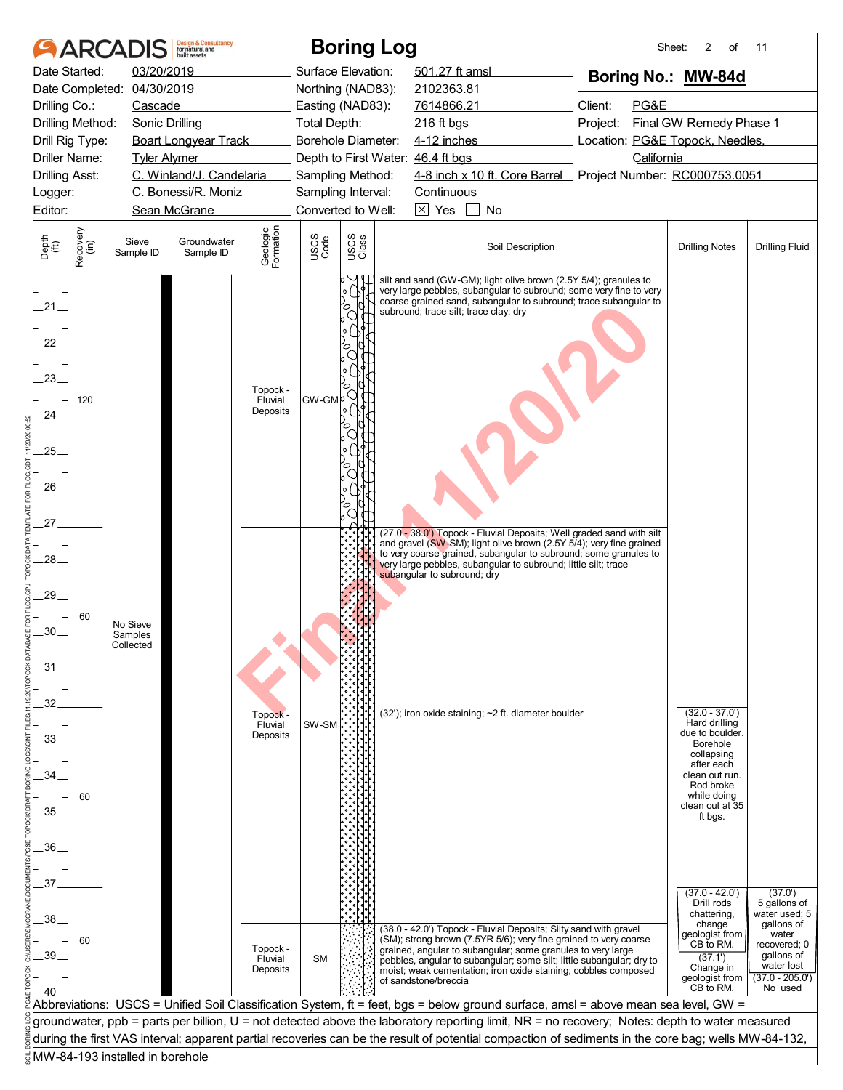|                                               |                  | <b>ARCADIS</b>                   | <b>Design &amp; Consultancy</b><br>for natural and<br>huilt assets |                                 |                           |                                    | <b>Boring Log</b>                                                                                                                                                                                                                                                                                                                                                     | Sheet:                          | 2<br>of                                                                                                                                                                         | 11                                                                                                                                          |
|-----------------------------------------------|------------------|----------------------------------|--------------------------------------------------------------------|---------------------------------|---------------------------|------------------------------------|-----------------------------------------------------------------------------------------------------------------------------------------------------------------------------------------------------------------------------------------------------------------------------------------------------------------------------------------------------------------------|---------------------------------|---------------------------------------------------------------------------------------------------------------------------------------------------------------------------------|---------------------------------------------------------------------------------------------------------------------------------------------|
|                                               | Date Started:    | 03/20/2019                       |                                                                    |                                 | Surface Elevation:        |                                    | 501.27 ft amsl                                                                                                                                                                                                                                                                                                                                                        | Boring No.: MW-84d              |                                                                                                                                                                                 |                                                                                                                                             |
|                                               | Date Completed:  | 04/30/2019                       |                                                                    |                                 | Northing (NAD83):         |                                    | 2102363.81                                                                                                                                                                                                                                                                                                                                                            |                                 |                                                                                                                                                                                 |                                                                                                                                             |
| Drilling Co.:                                 |                  | Cascade                          |                                                                    |                                 | Easting (NAD83):          |                                    | 7614866.21                                                                                                                                                                                                                                                                                                                                                            | Client:<br>PG&E                 |                                                                                                                                                                                 |                                                                                                                                             |
|                                               | Drilling Method: | <b>Sonic Drilling</b>            |                                                                    |                                 | <b>Total Depth:</b>       |                                    | 216 ft bgs                                                                                                                                                                                                                                                                                                                                                            | Project:                        | Final GW Remedy Phase 1                                                                                                                                                         |                                                                                                                                             |
|                                               | Drill Rig Type:  |                                  | <b>Boart Longyear Track</b>                                        |                                 | <b>Borehole Diameter:</b> |                                    | 4-12 inches                                                                                                                                                                                                                                                                                                                                                           | Location: PG&E Topock, Needles, |                                                                                                                                                                                 |                                                                                                                                             |
|                                               | Driller Name:    | <b>Tyler Alymer</b>              |                                                                    |                                 |                           |                                    | Depth to First Water: 46.4 ft bgs                                                                                                                                                                                                                                                                                                                                     | California                      |                                                                                                                                                                                 |                                                                                                                                             |
| <b>Drilling Asst:</b>                         |                  |                                  | C. Winland/J. Candelaria                                           |                                 | Sampling Method:          |                                    | 4-8 inch x 10 ft. Core Barrel Project Number: RC000753.0051                                                                                                                                                                                                                                                                                                           |                                 |                                                                                                                                                                                 |                                                                                                                                             |
| _ogger:                                       |                  |                                  | C. Bonessi/R. Moniz                                                |                                 | Sampling Interval:        |                                    | Continuous                                                                                                                                                                                                                                                                                                                                                            |                                 |                                                                                                                                                                                 |                                                                                                                                             |
| Editor:                                       |                  |                                  | Sean McGrane                                                       |                                 | Converted to Well:        |                                    | $\boxtimes$ Yes<br><b>No</b>                                                                                                                                                                                                                                                                                                                                          |                                 |                                                                                                                                                                                 |                                                                                                                                             |
| Depth<br>(ft)                                 | Recovery<br>(in) | Sieve<br>Sample ID               | Groundwater<br>Sample ID                                           | Geologic<br>Formation           | USCS<br>Code              | USCS<br>Class                      | Soil Description                                                                                                                                                                                                                                                                                                                                                      |                                 | <b>Drilling Notes</b>                                                                                                                                                           | <b>Drilling Fluid</b>                                                                                                                       |
| 21.<br>22.<br>.23.<br>24.<br>25.<br>26<br>.27 | 120              |                                  |                                                                    | Topock -<br>Fluvial<br>Deposits | GW-GMP                    | $\circ$<br>O<br>О<br>o  <br>О<br>○ | silt and sand (GW-GM); light olive brown (2.5Y 5/4); granules to<br>very large pebbles, subangular to subround; some very fine to very<br>coarse grained sand, subangular to subround; trace subangular to<br>subround; trace silt; trace clay; dry<br>(27.0 - 38.0") Topock - Fluvial Deposits; Well graded sand with silt                                           |                                 |                                                                                                                                                                                 |                                                                                                                                             |
| .28.<br>.29.<br>.30.<br>.31<br>32.            | 60               | No Sieve<br>Samples<br>Collected |                                                                    |                                 |                           |                                    | and gravel (SW-SM); light olive brown (2.5Y 5/4); very fine grained<br>to very coarse grained, subangular to subround; some granules to<br>very large pebbles, subangular to subround; little silt; trace<br>subangular to subround; dry                                                                                                                              |                                 |                                                                                                                                                                                 |                                                                                                                                             |
| .33.<br>.34.<br>.35<br>.36.                   | 60               |                                  |                                                                    | Topock -<br>Fluvial<br>Deposits | SW-SM                     |                                    | (32'); iron oxide staining; ~2 ft. diameter boulder                                                                                                                                                                                                                                                                                                                   |                                 | $(32.0 - 37.0')$<br>Hard drilling<br>due to boulder.<br><b>Borehole</b><br>collapsing<br>after each<br>clean out run.<br>Rod broke<br>while doing<br>clean out at 35<br>ft bgs. |                                                                                                                                             |
| 37 <sub>2</sub>                               |                  |                                  |                                                                    |                                 |                           |                                    |                                                                                                                                                                                                                                                                                                                                                                       |                                 |                                                                                                                                                                                 |                                                                                                                                             |
| .38.<br>.39                                   | 60               |                                  |                                                                    | Topock -<br>Fluvial<br>Deposits | <b>SM</b>                 |                                    | (38.0 - 42.0') Topock - Fluvial Deposits; Silty sand with gravel<br>(SM); strong brown (7.5YR 5/6); very fine grained to very coarse<br>grained, angular to subangular; some granules to very large<br>pebbles, angular to subangular; some silt; little subangular; dry to<br>moist; weak cementation; iron oxide staining; cobbles composed<br>of sandstone/breccia |                                 | $(37.0 - 42.0')$<br>Drill rods<br>chattering.<br>change<br>geologist from<br>CB to RM.<br>(37.1')<br>Change in<br>geologist from<br>CB to RM.                                   | (37.0')<br>5 gallons of<br>water used; 5<br>gallons of<br>water<br>recovered; 0<br>qallons of<br>water lost<br>$(37.0 - 205.0')$<br>No used |
|                                               |                  |                                  |                                                                    |                                 |                           |                                    | Abbreviations: USCS = Unified Soil Classification System, ft = feet, bgs = below ground surface, amsl = above mean sea level, GW =                                                                                                                                                                                                                                    |                                 |                                                                                                                                                                                 |                                                                                                                                             |
|                                               |                  |                                  |                                                                    |                                 |                           |                                    | groundwater, ppb = parts per billion, U = not detected above the laboratory reporting limit, NR = no recovery; Notes: depth to water measured                                                                                                                                                                                                                         |                                 |                                                                                                                                                                                 |                                                                                                                                             |
|                                               |                  |                                  |                                                                    |                                 |                           |                                    | during the first VAS interval; apparent partial recoveries can be the result of potential compaction of sediments in the core bag; wells MW-84-132,                                                                                                                                                                                                                   |                                 |                                                                                                                                                                                 |                                                                                                                                             |
|                                               |                  | MW-84-193 installed in borehole  |                                                                    |                                 |                           |                                    |                                                                                                                                                                                                                                                                                                                                                                       |                                 |                                                                                                                                                                                 |                                                                                                                                             |
|                                               |                  |                                  |                                                                    |                                 |                           |                                    |                                                                                                                                                                                                                                                                                                                                                                       |                                 |                                                                                                                                                                                 |                                                                                                                                             |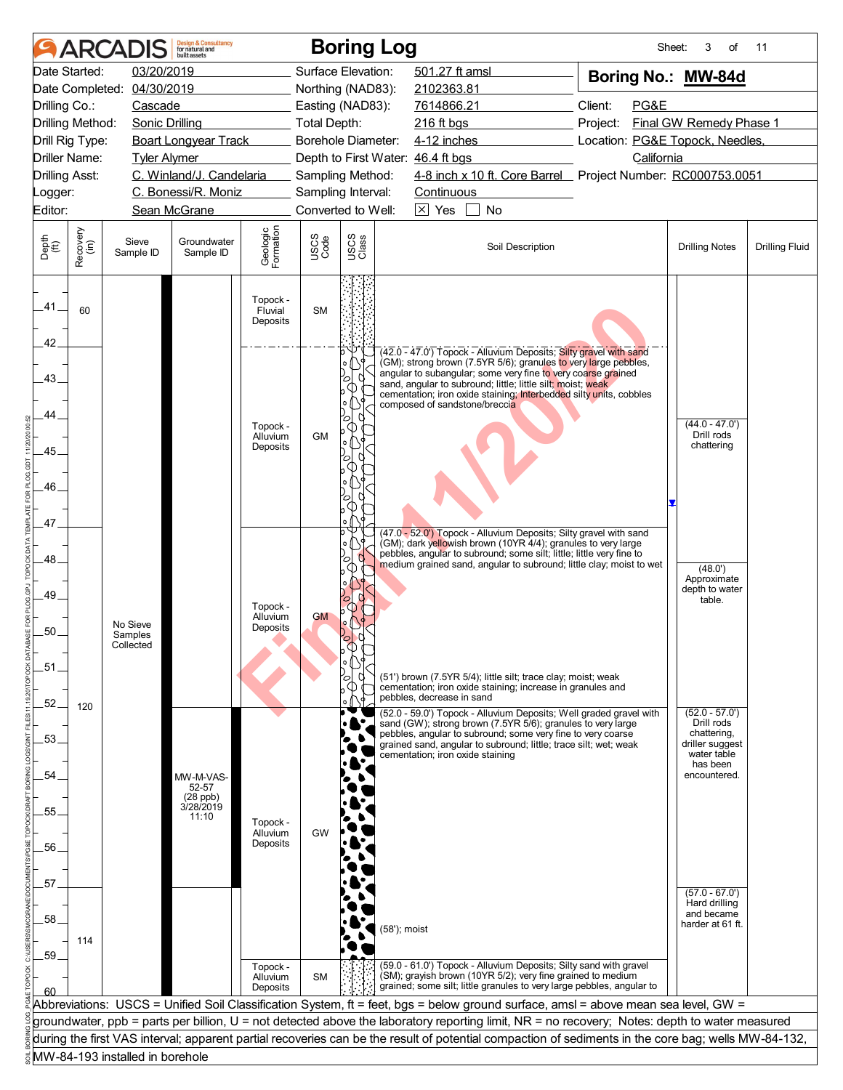|                       |                  |                                 | <b>Design &amp; Consultancy</b><br>for natural and<br>huilt assets |                                  |                     |               | <b>Boring Log</b> |                                                |                                                                                                                                                                                                                                                                                                                                           |  |                                                                                                                                                                                                                                                                                                      | Sheet: | 3<br>of                                                     | 11                    |
|-----------------------|------------------|---------------------------------|--------------------------------------------------------------------|----------------------------------|---------------------|---------------|-------------------|------------------------------------------------|-------------------------------------------------------------------------------------------------------------------------------------------------------------------------------------------------------------------------------------------------------------------------------------------------------------------------------------------|--|------------------------------------------------------------------------------------------------------------------------------------------------------------------------------------------------------------------------------------------------------------------------------------------------------|--------|-------------------------------------------------------------|-----------------------|
|                       | Date Started:    | 03/20/2019                      |                                                                    |                                  | Surface Elevation:  |               |                   | 501.27 ft amsl                                 |                                                                                                                                                                                                                                                                                                                                           |  | Boring No.: MW-84d                                                                                                                                                                                                                                                                                   |        |                                                             |                       |
| Date Completed:       |                  | 04/30/2019                      |                                                                    |                                  | Northing (NAD83):   |               |                   | 2102363.81                                     |                                                                                                                                                                                                                                                                                                                                           |  |                                                                                                                                                                                                                                                                                                      |        |                                                             |                       |
| Drilling Co.:         |                  | Cascade                         |                                                                    |                                  | Easting (NAD83):    |               |                   | 7614866.21                                     |                                                                                                                                                                                                                                                                                                                                           |  | Client:<br>PG&E                                                                                                                                                                                                                                                                                      |        |                                                             |                       |
| Drilling Method:      |                  | Sonic Drilling                  |                                                                    |                                  | <b>Total Depth:</b> |               |                   | 216 ft bgs                                     |                                                                                                                                                                                                                                                                                                                                           |  | Project:                                                                                                                                                                                                                                                                                             |        | Final GW Remedy Phase 1                                     |                       |
| Drill Rig Type:       |                  |                                 | <b>Boart Longyear Track</b>                                        |                                  | Borehole Diameter:  |               |                   | 4-12 inches<br>Location: PG&E Topock, Needles, |                                                                                                                                                                                                                                                                                                                                           |  |                                                                                                                                                                                                                                                                                                      |        |                                                             |                       |
| <b>Driller Name:</b>  |                  | <b>Tyler Alymer</b>             |                                                                    |                                  |                     |               |                   | Depth to First Water: 46.4 ft bgs              |                                                                                                                                                                                                                                                                                                                                           |  | California                                                                                                                                                                                                                                                                                           |        |                                                             |                       |
| <b>Drilling Asst:</b> |                  |                                 | C. Winland/J. Candelaria                                           |                                  | Sampling Method:    |               |                   |                                                |                                                                                                                                                                                                                                                                                                                                           |  | 4-8 inch x 10 ft. Core Barrel Project Number: RC000753.0051                                                                                                                                                                                                                                          |        |                                                             |                       |
| Logger:               |                  |                                 | C. Bonessi/R. Moniz                                                |                                  | Sampling Interval:  |               |                   | Continuous                                     |                                                                                                                                                                                                                                                                                                                                           |  |                                                                                                                                                                                                                                                                                                      |        |                                                             |                       |
| Editor:               |                  |                                 | Sean McGrane                                                       |                                  | Converted to Well:  |               |                   | $\boxtimes$ Yes                                | No                                                                                                                                                                                                                                                                                                                                        |  |                                                                                                                                                                                                                                                                                                      |        |                                                             |                       |
| Depth<br>(ft)         | Recovery<br>(in) | Sieve<br>Sample ID              | Groundwater<br>Sample ID                                           | Geologic<br>Formation            | USCS<br>Code        | USCS<br>Class |                   |                                                | Soil Description                                                                                                                                                                                                                                                                                                                          |  |                                                                                                                                                                                                                                                                                                      |        | <b>Drilling Notes</b>                                       | <b>Drilling Fluid</b> |
| .41.<br>42.           | 60               |                                 |                                                                    | Topock -<br>Fluvial<br>Deposits  | <b>SM</b>           |               |                   |                                                |                                                                                                                                                                                                                                                                                                                                           |  |                                                                                                                                                                                                                                                                                                      |        |                                                             |                       |
| 43.<br>44             |                  |                                 |                                                                    |                                  |                     | ۰o<br>0<br>О  |                   | composed of sandstone/breccia                  | (42.0 - 47.0') Topock - Alluvium Deposits; Silty gravel with sand<br>(GM); strong brown (7.5YR 5/6); granules to very large pebbles,<br>angular to subangular; some very fine to very coarse grained<br>sand, angular to subround: little: little silt: moist: weak<br>cementation; iron oxide staining; Interbedded silty units, cobbles |  |                                                                                                                                                                                                                                                                                                      |        |                                                             |                       |
| .45.                  |                  |                                 |                                                                    | Topock -<br>Alluvium<br>Deposits | <b>GM</b>           |               |                   |                                                |                                                                                                                                                                                                                                                                                                                                           |  |                                                                                                                                                                                                                                                                                                      |        | $(44.0 - 47.0')$<br>Drill rods<br>chattering                |                       |
| 46.                   |                  |                                 |                                                                    |                                  |                     |               |                   |                                                |                                                                                                                                                                                                                                                                                                                                           |  |                                                                                                                                                                                                                                                                                                      |        |                                                             |                       |
| 47.                   |                  |                                 |                                                                    |                                  |                     |               |                   |                                                |                                                                                                                                                                                                                                                                                                                                           |  |                                                                                                                                                                                                                                                                                                      |        |                                                             |                       |
| 48                    |                  |                                 |                                                                    |                                  |                     | b<br>o,       |                   |                                                | (47.0 - 52.0') Topock - Alluvium Deposits; Silty gravel with sand<br>(GM); dark yellowish brown (10YR 4/4); granules to very large<br>pebbles, angular to subround; some silt; little; little very fine to                                                                                                                                |  | medium grained sand, angular to subround; little clay; moist to wet                                                                                                                                                                                                                                  |        |                                                             |                       |
| 49.                   |                  |                                 |                                                                    |                                  |                     |               |                   |                                                |                                                                                                                                                                                                                                                                                                                                           |  |                                                                                                                                                                                                                                                                                                      |        | (48.0')<br>Approximate<br>depth to water<br>table.          |                       |
| 50.                   |                  | No Sieve<br>Samples             |                                                                    | Topock -<br>Alluvium<br>Deposits | <b>GM</b>           |               |                   |                                                |                                                                                                                                                                                                                                                                                                                                           |  |                                                                                                                                                                                                                                                                                                      |        |                                                             |                       |
|                       |                  | Collected                       |                                                                    |                                  |                     | Ο             |                   |                                                |                                                                                                                                                                                                                                                                                                                                           |  |                                                                                                                                                                                                                                                                                                      |        |                                                             |                       |
| .51                   |                  |                                 |                                                                    |                                  |                     |               |                   |                                                | (51') brown (7.5YR 5/4); little silt; trace clay; moist; weak                                                                                                                                                                                                                                                                             |  |                                                                                                                                                                                                                                                                                                      |        |                                                             |                       |
|                       |                  |                                 |                                                                    |                                  |                     |               |                   |                                                | cementation; iron oxide staining; increase in granules and                                                                                                                                                                                                                                                                                |  |                                                                                                                                                                                                                                                                                                      |        |                                                             |                       |
| 52.                   | 120              |                                 |                                                                    |                                  |                     |               |                   | pebbles, decrease in sand                      |                                                                                                                                                                                                                                                                                                                                           |  | (52.0 - 59.0') Topock - Alluvium Deposits; Well graded gravel with                                                                                                                                                                                                                                   |        | $(52.0 - 57.0')$                                            |                       |
| .53.                  |                  |                                 |                                                                    |                                  |                     |               |                   | cementation; iron oxide staining               | sand (GW); strong brown (7.5YR 5/6); granules to very large<br>pebbles, angular to subround; some very fine to very coarse<br>grained sand, angular to subround; little; trace silt; wet; weak                                                                                                                                            |  |                                                                                                                                                                                                                                                                                                      |        | Drill rods<br>chattering,<br>driller suggest<br>water table |                       |
| 54                    |                  |                                 | MW-M-VAS-<br>52-57                                                 |                                  |                     |               |                   |                                                |                                                                                                                                                                                                                                                                                                                                           |  |                                                                                                                                                                                                                                                                                                      |        | has been<br>encountered.                                    |                       |
| 55.                   |                  |                                 | (28 ppb)<br>3/28/2019                                              |                                  |                     |               |                   |                                                |                                                                                                                                                                                                                                                                                                                                           |  |                                                                                                                                                                                                                                                                                                      |        |                                                             |                       |
|                       |                  |                                 | 11:10                                                              | Topock -<br>Alluvium             | GW                  |               |                   |                                                |                                                                                                                                                                                                                                                                                                                                           |  |                                                                                                                                                                                                                                                                                                      |        |                                                             |                       |
| .56.                  |                  |                                 |                                                                    | Deposits                         |                     |               |                   |                                                |                                                                                                                                                                                                                                                                                                                                           |  |                                                                                                                                                                                                                                                                                                      |        |                                                             |                       |
|                       |                  |                                 |                                                                    |                                  |                     |               |                   |                                                |                                                                                                                                                                                                                                                                                                                                           |  |                                                                                                                                                                                                                                                                                                      |        |                                                             |                       |
| .57                   |                  |                                 |                                                                    |                                  |                     |               |                   |                                                |                                                                                                                                                                                                                                                                                                                                           |  |                                                                                                                                                                                                                                                                                                      |        |                                                             |                       |
|                       |                  |                                 |                                                                    |                                  |                     |               |                   |                                                |                                                                                                                                                                                                                                                                                                                                           |  |                                                                                                                                                                                                                                                                                                      |        | $(57.0 - 67.0')$<br>Hard drilling                           |                       |
| .58.                  |                  |                                 |                                                                    |                                  |                     |               |                   |                                                |                                                                                                                                                                                                                                                                                                                                           |  |                                                                                                                                                                                                                                                                                                      |        | and became<br>harder at 61 ft.                              |                       |
|                       | 114              |                                 |                                                                    |                                  |                     |               | (58'); moist      |                                                |                                                                                                                                                                                                                                                                                                                                           |  |                                                                                                                                                                                                                                                                                                      |        |                                                             |                       |
| .59.                  |                  |                                 |                                                                    |                                  |                     |               |                   |                                                |                                                                                                                                                                                                                                                                                                                                           |  |                                                                                                                                                                                                                                                                                                      |        |                                                             |                       |
|                       |                  |                                 |                                                                    | Topock -<br>Alluvium             | <b>SM</b>           |               |                   |                                                | (59.0 - 61.0') Topock - Alluvium Deposits; Silty sand with gravel<br>(SM); grayish brown (10YR 5/2); very fine grained to medium                                                                                                                                                                                                          |  |                                                                                                                                                                                                                                                                                                      |        |                                                             |                       |
| 60                    |                  |                                 |                                                                    | Deposits                         |                     |               |                   |                                                |                                                                                                                                                                                                                                                                                                                                           |  | grained; some silt; little granules to very large pebbles, angular to                                                                                                                                                                                                                                |        |                                                             |                       |
|                       |                  |                                 |                                                                    |                                  |                     |               |                   |                                                |                                                                                                                                                                                                                                                                                                                                           |  | Abbreviations: USCS = Unified Soil Classification System, ft = feet, bgs = below ground surface, amsl = above mean sea level, GW =                                                                                                                                                                   |        |                                                             |                       |
|                       |                  |                                 |                                                                    |                                  |                     |               |                   |                                                |                                                                                                                                                                                                                                                                                                                                           |  | groundwater, ppb = parts per billion, U = not detected above the laboratory reporting limit, NR = no recovery; Notes: depth to water measured<br>during the first VAS interval; apparent partial recoveries can be the result of potential compaction of sediments in the core bag; wells MW-84-132, |        |                                                             |                       |
|                       |                  | MW-84-193 installed in borehole |                                                                    |                                  |                     |               |                   |                                                |                                                                                                                                                                                                                                                                                                                                           |  |                                                                                                                                                                                                                                                                                                      |        |                                                             |                       |
|                       |                  |                                 |                                                                    |                                  |                     |               |                   |                                                |                                                                                                                                                                                                                                                                                                                                           |  |                                                                                                                                                                                                                                                                                                      |        |                                                             |                       |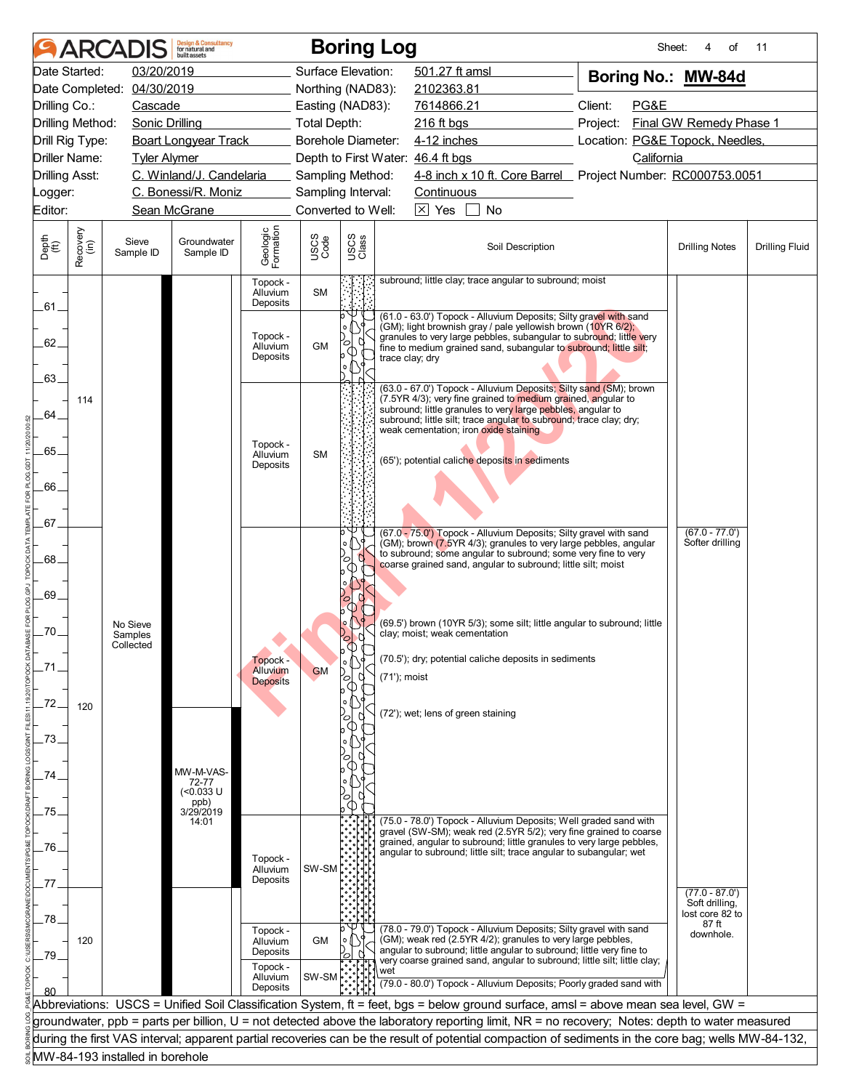|                       |                      |                                  | <b>Design &amp; Consultancy</b><br>for natural and<br>huilt assets |                                  |                                          |               | <b>Boring Log</b>                                                                                                                                                                                                                                                                                | Sheet:                                                                    | of<br>4                             | 11                    |
|-----------------------|----------------------|----------------------------------|--------------------------------------------------------------------|----------------------------------|------------------------------------------|---------------|--------------------------------------------------------------------------------------------------------------------------------------------------------------------------------------------------------------------------------------------------------------------------------------------------|---------------------------------------------------------------------------|-------------------------------------|-----------------------|
|                       | Date Started:        | 03/20/2019                       |                                                                    |                                  | Surface Elevation:                       |               | 501.27 ft amsl                                                                                                                                                                                                                                                                                   | Boring No.: MW-84d                                                        |                                     |                       |
|                       |                      | Date Completed: 04/30/2019       |                                                                    |                                  | Northing (NAD83):                        |               | 2102363.81                                                                                                                                                                                                                                                                                       |                                                                           |                                     |                       |
| Drilling Co.:         |                      | Cascade                          |                                                                    |                                  | Easting (NAD83):                         |               | 7614866.21                                                                                                                                                                                                                                                                                       | Client:<br>PG&E                                                           |                                     |                       |
|                       | Drilling Method:     | Sonic Drilling                   |                                                                    |                                  | Total Depth:                             |               | 216 ft bgs                                                                                                                                                                                                                                                                                       | Project:                                                                  | Final GW Remedy Phase 1             |                       |
|                       | Drill Rig Type:      |                                  | <b>Boart Longyear Track</b>                                        |                                  | Borehole Diameter:                       |               | 4-12 inches                                                                                                                                                                                                                                                                                      | Location: PG&E Topock, Needles,                                           |                                     |                       |
|                       | <b>Driller Name:</b> | <b>Tyler Alymer</b>              |                                                                    |                                  |                                          |               | Depth to First Water: 46.4 ft bgs                                                                                                                                                                                                                                                                | California<br>4-8 inch x 10 ft. Core Barrel Project Number: RC000753.0051 |                                     |                       |
| <b>Drilling Asst:</b> |                      |                                  | C. Winland/J. Candelaria<br>C. Bonessi/R. Moniz                    |                                  | Sampling Method:                         |               |                                                                                                                                                                                                                                                                                                  |                                                                           |                                     |                       |
| Logger:<br>Editor:    |                      |                                  | Sean McGrane                                                       |                                  | Sampling Interval:<br>Converted to Well: |               | Continuous<br>$\boxtimes$ Yes<br>No                                                                                                                                                                                                                                                              |                                                                           |                                     |                       |
|                       |                      |                                  |                                                                    |                                  |                                          |               |                                                                                                                                                                                                                                                                                                  |                                                                           |                                     |                       |
| Depth<br>(ft)         | Recovery<br>(in)     | Sieve<br>Sample ID               | Groundwater<br>Sample ID                                           | Geologic<br>Formation            | USCS<br>Code                             | USCS<br>Class | Soil Description                                                                                                                                                                                                                                                                                 |                                                                           | <b>Drilling Notes</b>               | <b>Drilling Fluid</b> |
| .61.                  |                      |                                  |                                                                    | Topock -<br>Alluvium<br>Deposits | <b>SM</b>                                |               | subround; little clay; trace angular to subround; moist                                                                                                                                                                                                                                          |                                                                           |                                     |                       |
| 62.<br>.63.           |                      |                                  |                                                                    | Topock -<br>Alluvium<br>Deposits | <b>GM</b>                                | °             | (61.0 - 63.0") Topock - Alluvium Deposits; Silty gravel with sand<br>(GM); light brownish gray / pale yellowish brown (10YR 6/2);<br>granules to very large pebbles, subangular to subround; little very<br>fine to medium grained sand, subangular to subround; little silt;<br>trace clay; dry |                                                                           |                                     |                       |
| 64.                   | 114                  |                                  |                                                                    |                                  |                                          |               | (63.0 - 67.0') Topock - Alluvium Deposits; Silty sand (SM); brown<br>(7.5YR 4/3); very fine grained to medium grained, angular to<br>subround; little granules to very large pebbles, angular to<br>subround; little silt; trace angular to subround; trace clay; dry;                           |                                                                           |                                     |                       |
| 65.                   |                      |                                  |                                                                    | Topock -<br>Alluvium             | <b>SM</b>                                |               | weak cementation; iron oxide staining                                                                                                                                                                                                                                                            |                                                                           |                                     |                       |
| 66.                   |                      |                                  |                                                                    | Deposits                         |                                          |               | (65'); potential caliche deposits in sediments                                                                                                                                                                                                                                                   |                                                                           |                                     |                       |
|                       |                      |                                  |                                                                    |                                  |                                          |               |                                                                                                                                                                                                                                                                                                  |                                                                           |                                     |                       |
| .67.                  |                      |                                  |                                                                    |                                  |                                          | o,            | (67.0 - 75.0') Topock - Alluvium Deposits; Silty gravel with sand<br>(GM); brown (7.5YR 4/3); granules to very large pebbles, angular                                                                                                                                                            |                                                                           | $(67.0 - 77.0')$<br>Softer drilling |                       |
| .68.                  |                      |                                  |                                                                    |                                  |                                          | ъ             | to subround; some angular to subround; some very fine to very<br>coarse grained sand, angular to subround; little silt; moist                                                                                                                                                                    |                                                                           |                                     |                       |
| 69.                   |                      |                                  |                                                                    |                                  |                                          |               |                                                                                                                                                                                                                                                                                                  |                                                                           |                                     |                       |
| .70.                  |                      | No Sieve<br>Samples<br>Collected |                                                                    |                                  |                                          | J.<br>6       | (69.5') brown (10YR 5/3); some silt; little angular to subround; little<br>clay; moist; weak cementation                                                                                                                                                                                         |                                                                           |                                     |                       |
|                       |                      |                                  |                                                                    | Topock -<br>Alluvium             | <b>GM</b>                                | b<br>o<br>0   | (70.5'); dry; potential caliche deposits in sediments<br>(71'); moist                                                                                                                                                                                                                            |                                                                           |                                     |                       |
| .72.                  | 120                  |                                  |                                                                    | <b>Deposits</b>                  |                                          |               |                                                                                                                                                                                                                                                                                                  |                                                                           |                                     |                       |
| 73.                   |                      |                                  |                                                                    |                                  |                                          | $\circ$       | (72'); wet; lens of green staining                                                                                                                                                                                                                                                               |                                                                           |                                     |                       |
|                       |                      |                                  |                                                                    |                                  |                                          |               |                                                                                                                                                                                                                                                                                                  |                                                                           |                                     |                       |
| 74                    |                      |                                  | MW-M-VAS-<br>72-77                                                 |                                  |                                          |               |                                                                                                                                                                                                                                                                                                  |                                                                           |                                     |                       |
|                       |                      |                                  | (<0.033 U                                                          |                                  |                                          | ∞             |                                                                                                                                                                                                                                                                                                  |                                                                           |                                     |                       |
| 75.                   |                      |                                  | ppb)<br>3/29/2019<br>14:01                                         |                                  |                                          |               | (75.0 - 78.0') Topock - Alluvium Deposits; Well graded sand with                                                                                                                                                                                                                                 |                                                                           |                                     |                       |
|                       |                      |                                  |                                                                    |                                  |                                          |               | gravel (SW-SM); weak red (2.5YR 5/2); very fine grained to coarse<br>grained, angular to subround; little granules to very large pebbles,                                                                                                                                                        |                                                                           |                                     |                       |
| .76.                  |                      |                                  |                                                                    | Topock -                         |                                          |               | angular to subround; little silt; trace angular to subangular; wet                                                                                                                                                                                                                               |                                                                           |                                     |                       |
| 77                    |                      |                                  |                                                                    | Alluvium<br>Deposits             | SW-SM                                    |               |                                                                                                                                                                                                                                                                                                  |                                                                           |                                     |                       |
|                       |                      |                                  |                                                                    |                                  |                                          |               |                                                                                                                                                                                                                                                                                                  |                                                                           | $(77.0 - 87.0')$<br>Soft drilling,  |                       |
| 78.                   |                      |                                  |                                                                    |                                  |                                          |               |                                                                                                                                                                                                                                                                                                  |                                                                           | lost core 82 to<br>87 ft            |                       |
|                       | 120                  |                                  |                                                                    | Topock -<br>Alluvium             | <b>GM</b>                                |               | (78.0 - 79.0') Topock - Alluvium Deposits; Silty gravel with sand<br>(GM); weak red (2.5YR 4/2); granules to very large pebbles,                                                                                                                                                                 |                                                                           | downhole.                           |                       |
| 79.                   |                      |                                  |                                                                    | Deposits                         |                                          |               | angular to subround; little angular to subround; little very fine to<br>very coarse grained sand, angular to subround; little silt; little clay;                                                                                                                                                 |                                                                           |                                     |                       |
|                       |                      |                                  |                                                                    | Topock -<br>Alluvium<br>Deposits | SW-SM                                    |               | wet<br>(79.0 - 80.0') Topock - Alluvium Deposits; Poorly graded sand with                                                                                                                                                                                                                        |                                                                           |                                     |                       |
|                       |                      |                                  |                                                                    |                                  |                                          |               | Abbreviations: USCS = Unified Soil Classification System, ft = feet, bgs = below ground surface, amsl = above mean sea level, GW =                                                                                                                                                               |                                                                           |                                     |                       |
|                       |                      |                                  |                                                                    |                                  |                                          |               | groundwater, ppb = parts per billion, U = not detected above the laboratory reporting limit, NR = no recovery; Notes: depth to water measured                                                                                                                                                    |                                                                           |                                     |                       |
|                       |                      |                                  |                                                                    |                                  |                                          |               | during the first VAS interval; apparent partial recoveries can be the result of potential compaction of sediments in the core bag; wells MW-84-132,                                                                                                                                              |                                                                           |                                     |                       |
|                       |                      | MW-84-193 installed in borehole  |                                                                    |                                  |                                          |               |                                                                                                                                                                                                                                                                                                  |                                                                           |                                     |                       |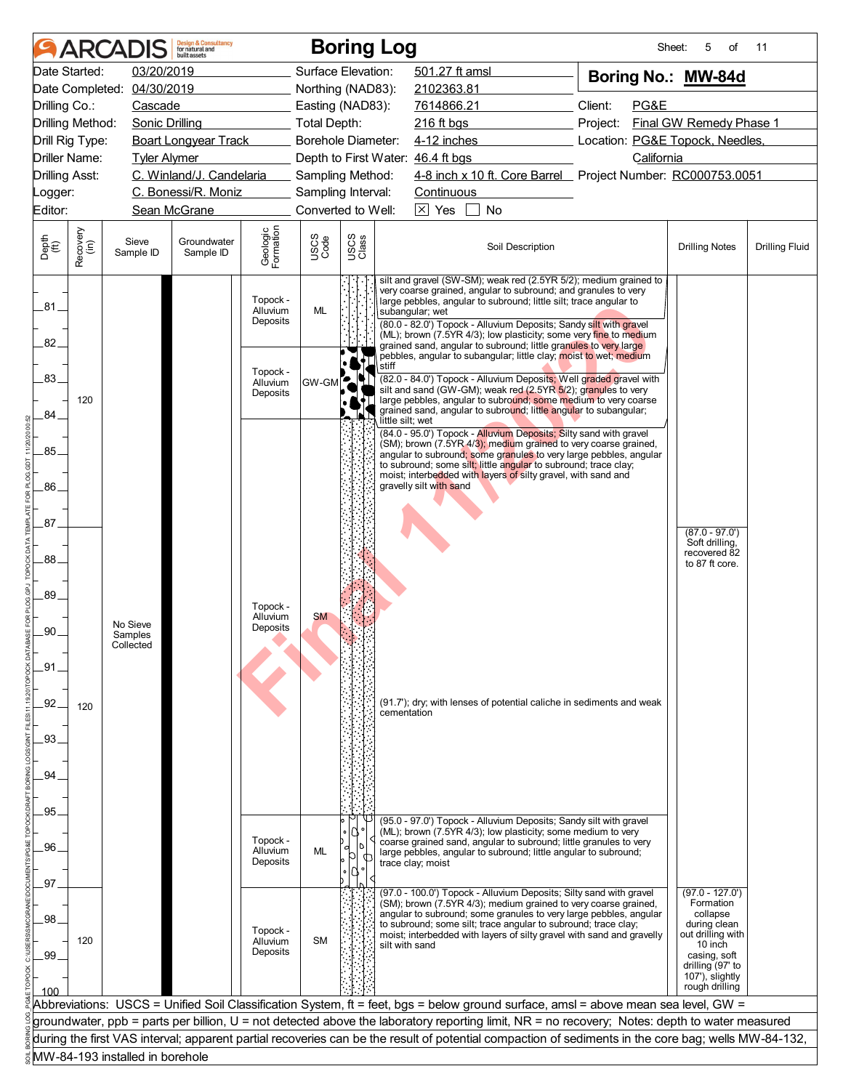|                             |                      |                                 | <b>Design &amp; Consultancy</b><br>for natural and<br>huilt assets |                       |                           |               | <b>Boring Log</b>                                                                                                                  |                                                                                                                                                     |                                     | Sheet:<br>5<br>of                | 11                    |
|-----------------------------|----------------------|---------------------------------|--------------------------------------------------------------------|-----------------------|---------------------------|---------------|------------------------------------------------------------------------------------------------------------------------------------|-----------------------------------------------------------------------------------------------------------------------------------------------------|-------------------------------------|----------------------------------|-----------------------|
|                             | Date Started:        | 03/20/2019                      |                                                                    |                       | Surface Elevation:        |               |                                                                                                                                    | 501.27 ft amsl                                                                                                                                      | Boring No.: MW-84d                  |                                  |                       |
|                             |                      | Date Completed: 04/30/2019      |                                                                    |                       | Northing (NAD83):         |               |                                                                                                                                    | 2102363.81                                                                                                                                          |                                     |                                  |                       |
| Drilling Co.:               |                      | Cascade                         |                                                                    |                       | Easting (NAD83):          |               |                                                                                                                                    | 7614866.21                                                                                                                                          | Client:<br>PG&E                     |                                  |                       |
|                             | Drilling Method:     | Sonic Drilling                  |                                                                    |                       | Total Depth:              |               |                                                                                                                                    | 216 ft bgs                                                                                                                                          | Final GW Remedy Phase 1<br>Project: |                                  |                       |
|                             | Drill Rig Type:      |                                 | <b>Boart Longyear Track</b>                                        |                       | <b>Borehole Diameter:</b> |               |                                                                                                                                    | 4-12 inches                                                                                                                                         | Location: PG&E Topock, Needles,     |                                  |                       |
|                             | <b>Driller Name:</b> | <b>Tyler Alymer</b>             |                                                                    |                       |                           |               |                                                                                                                                    | Depth to First Water: 46.4 ft bgs                                                                                                                   | California                          |                                  |                       |
| <b>Drilling Asst:</b>       |                      |                                 | C. Winland/J. Candelaria                                           |                       | Sampling Method:          |               |                                                                                                                                    | 4-8 inch x 10 ft. Core Barrel Project Number: RC000753.0051                                                                                         |                                     |                                  |                       |
| Logger:                     |                      |                                 | C. Bonessi/R. Moniz                                                |                       | Sampling Interval:        |               |                                                                                                                                    | Continuous                                                                                                                                          |                                     |                                  |                       |
| Editor:                     |                      |                                 | Sean McGrane                                                       |                       | Converted to Well:        |               |                                                                                                                                    | $\boxtimes$ Yes<br>No                                                                                                                               |                                     |                                  |                       |
|                             |                      |                                 |                                                                    |                       |                           |               |                                                                                                                                    |                                                                                                                                                     |                                     |                                  |                       |
| Depth<br>$\widetilde{f(t)}$ | Recovery<br>(in)     | Sieve<br>Sample ID              | Groundwater<br>Sample ID                                           | Geologic<br>Formation | USCS<br>Code              | USCS<br>Class |                                                                                                                                    | Soil Description                                                                                                                                    |                                     | <b>Drilling Notes</b>            | <b>Drilling Fluid</b> |
|                             |                      |                                 |                                                                    |                       |                           |               | silt and gravel (SW-SM); weak red (2.5YR 5/2); medium grained to<br>very coarse grained, angular to subround; and granules to very |                                                                                                                                                     |                                     |                                  |                       |
| .81                         |                      |                                 |                                                                    | Topock -<br>Alluvium  | ML                        |               |                                                                                                                                    | large pebbles, angular to subround; little silt; trace angular to<br>subangular; wet                                                                |                                     |                                  |                       |
|                             |                      |                                 |                                                                    | Deposits              |                           |               |                                                                                                                                    | (80.0 - 82.0') Topock - Alluvium Deposits; Sandy silt with gravel                                                                                   |                                     |                                  |                       |
| 82.                         |                      |                                 |                                                                    |                       |                           |               |                                                                                                                                    | (ML); brown (7.5YR 4/3); low plasticity; some very fine to medium<br>grained sand, angular to subround; little granules to very large               |                                     |                                  |                       |
|                             |                      |                                 |                                                                    |                       |                           |               |                                                                                                                                    | pebbles, angular to subangular; little clay; moist to wet; medium                                                                                   |                                     |                                  |                       |
| .83.                        |                      |                                 |                                                                    | Topock -              |                           |               | stiff                                                                                                                              | (82.0 - 84.0') Topock - Alluvium Deposits; Well graded gravel with                                                                                  |                                     |                                  |                       |
|                             |                      |                                 |                                                                    | Alluvium<br>Deposits  | GW-GM                     |               |                                                                                                                                    | silt and sand (GW-GM); weak red (2.5YR 5/2); granules to very                                                                                       |                                     |                                  |                       |
| 84.                         | 120                  |                                 |                                                                    |                       |                           |               |                                                                                                                                    | large pebbles, angular to subround; some medium to very coarse<br>grained sand, angular to subround; little angular to subangular;                  |                                     |                                  |                       |
|                             |                      |                                 |                                                                    |                       |                           |               | little silt; wet                                                                                                                   |                                                                                                                                                     |                                     |                                  |                       |
|                             |                      |                                 |                                                                    |                       |                           |               |                                                                                                                                    | (84.0 - 95.0') Topock - Alluvium Deposits; Silty sand with gravel<br>(SM); brown (7.5YR 4/3); medium grained to very coarse grained,                |                                     |                                  |                       |
| 85.                         |                      |                                 |                                                                    |                       |                           |               |                                                                                                                                    | angular to subround; some granules to very large pebbles, angular<br>to subround; some silt; little angular to subround; trace clay;                |                                     |                                  |                       |
|                             |                      |                                 |                                                                    |                       |                           |               |                                                                                                                                    | moist; interbedded with layers of silty gravel, with sand and                                                                                       |                                     |                                  |                       |
| 86.                         |                      |                                 |                                                                    |                       |                           |               |                                                                                                                                    | gravelly silt with sand                                                                                                                             |                                     |                                  |                       |
|                             |                      |                                 |                                                                    |                       |                           |               |                                                                                                                                    |                                                                                                                                                     |                                     |                                  |                       |
| .87.                        |                      |                                 |                                                                    |                       |                           |               |                                                                                                                                    |                                                                                                                                                     |                                     | $(87.0 - 97.0')$                 |                       |
|                             |                      |                                 |                                                                    |                       |                           |               |                                                                                                                                    |                                                                                                                                                     |                                     | Soft drilling,<br>recovered 82   |                       |
| .88                         |                      |                                 |                                                                    |                       |                           |               |                                                                                                                                    |                                                                                                                                                     |                                     | to 87 ft core.                   |                       |
|                             |                      |                                 |                                                                    |                       |                           |               |                                                                                                                                    |                                                                                                                                                     |                                     |                                  |                       |
| 89.                         |                      |                                 |                                                                    |                       |                           |               |                                                                                                                                    |                                                                                                                                                     |                                     |                                  |                       |
|                             |                      |                                 |                                                                    | Topock -<br>Alluvium  | <b>SM</b>                 |               |                                                                                                                                    |                                                                                                                                                     |                                     |                                  |                       |
| 90.                         |                      | No Sieve<br>Samples             |                                                                    | Deposits              |                           |               |                                                                                                                                    |                                                                                                                                                     |                                     |                                  |                       |
|                             |                      | Collected                       |                                                                    |                       |                           |               |                                                                                                                                    |                                                                                                                                                     |                                     |                                  |                       |
| _91                         |                      |                                 |                                                                    |                       |                           |               |                                                                                                                                    |                                                                                                                                                     |                                     |                                  |                       |
|                             |                      |                                 |                                                                    |                       |                           |               |                                                                                                                                    |                                                                                                                                                     |                                     |                                  |                       |
| .92.                        | 120                  |                                 |                                                                    |                       |                           |               |                                                                                                                                    | (91.7'); dry; with lenses of potential caliche in sediments and weak                                                                                |                                     |                                  |                       |
|                             |                      |                                 |                                                                    |                       |                           |               | cementation                                                                                                                        |                                                                                                                                                     |                                     |                                  |                       |
| .93.                        |                      |                                 |                                                                    |                       |                           |               |                                                                                                                                    |                                                                                                                                                     |                                     |                                  |                       |
|                             |                      |                                 |                                                                    |                       |                           |               |                                                                                                                                    |                                                                                                                                                     |                                     |                                  |                       |
| .94                         |                      |                                 |                                                                    |                       |                           |               |                                                                                                                                    |                                                                                                                                                     |                                     |                                  |                       |
|                             |                      |                                 |                                                                    |                       |                           |               |                                                                                                                                    |                                                                                                                                                     |                                     |                                  |                       |
| 95.                         |                      |                                 |                                                                    |                       |                           |               |                                                                                                                                    |                                                                                                                                                     |                                     |                                  |                       |
|                             |                      |                                 |                                                                    |                       |                           |               |                                                                                                                                    | (95.0 - 97.0') Topock - Alluvium Deposits; Sandy silt with gravel                                                                                   |                                     |                                  |                       |
|                             |                      |                                 |                                                                    | Topock -              |                           |               |                                                                                                                                    | (ML); brown (7.5YR 4/3); low plasticity; some medium to very<br>coarse grained sand, angular to subround; little granules to very                   |                                     |                                  |                       |
| .96.                        |                      |                                 |                                                                    | Alluvium<br>Deposits  | ML                        |               |                                                                                                                                    | large pebbles, angular to subround; little angular to subround;<br>trace clay; moist                                                                |                                     |                                  |                       |
|                             |                      |                                 |                                                                    |                       |                           |               |                                                                                                                                    |                                                                                                                                                     |                                     |                                  |                       |
| 97                          |                      |                                 |                                                                    |                       |                           |               |                                                                                                                                    | (97.0 - 100.0') Topock - Alluvium Deposits; Silty sand with gravel                                                                                  |                                     | $(97.0 - 127.0')$                |                       |
|                             |                      |                                 |                                                                    |                       |                           |               |                                                                                                                                    | (SM); brown (7.5YR 4/3); medium grained to very coarse grained,<br>angular to subround; some granules to very large pebbles, angular                |                                     | Formation<br>collapse            |                       |
| .98                         |                      |                                 |                                                                    | Topock -              |                           |               |                                                                                                                                    | to subround; some silt; trace angular to subround; trace clay;                                                                                      |                                     | during clean                     |                       |
|                             | 120                  |                                 |                                                                    | Alluvium              | <b>SM</b>                 |               | silt with sand                                                                                                                     | moist; interbedded with layers of silty gravel with sand and gravelly                                                                               |                                     | out drilling with<br>10 inch     |                       |
| .99                         |                      |                                 |                                                                    | Deposits              |                           |               |                                                                                                                                    |                                                                                                                                                     |                                     | casing, soft<br>drilling (97' to |                       |
|                             |                      |                                 |                                                                    |                       |                           |               |                                                                                                                                    |                                                                                                                                                     |                                     | 107'), slightly                  |                       |
| 100                         |                      |                                 |                                                                    |                       |                           |               |                                                                                                                                    |                                                                                                                                                     |                                     | rough drilling                   |                       |
|                             |                      |                                 |                                                                    |                       |                           |               |                                                                                                                                    | Abbreviations: USCS = Unified Soil Classification System, ft = feet, bgs = below ground surface, amsl = above mean sea level, GW =                  |                                     |                                  |                       |
|                             |                      |                                 |                                                                    |                       |                           |               |                                                                                                                                    | groundwater, ppb = parts per billion, U = not detected above the laboratory reporting limit, NR = no recovery; Notes: depth to water measured       |                                     |                                  |                       |
|                             |                      |                                 |                                                                    |                       |                           |               |                                                                                                                                    | during the first VAS interval; apparent partial recoveries can be the result of potential compaction of sediments in the core bag; wells MW-84-132, |                                     |                                  |                       |
|                             |                      | MW-84-193 installed in borehole |                                                                    |                       |                           |               |                                                                                                                                    |                                                                                                                                                     |                                     |                                  |                       |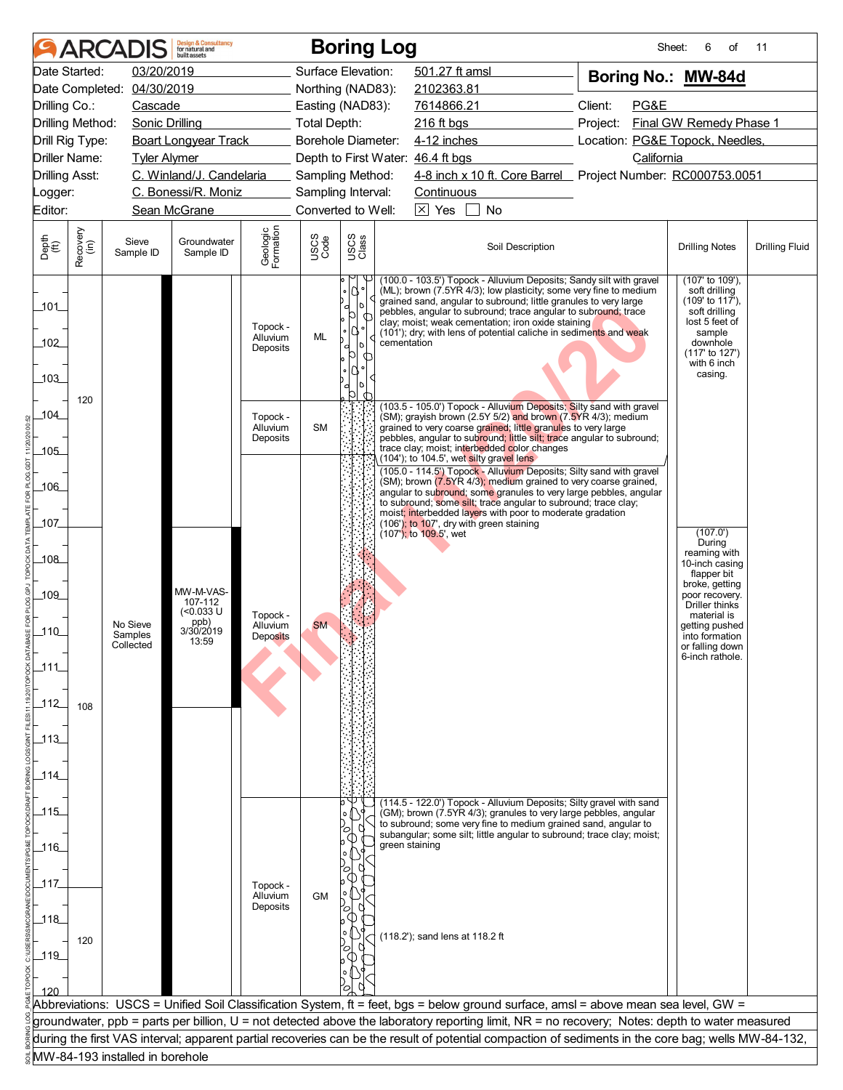|                       |                  | <b>ARCADIS</b>                  | <b>Design &amp; Consultancy</b><br>for natural and<br>huilt assets |                                  |                     |                       | <b>Boring Log</b>                                                                                                                                                                                                                                                                                                                                                                                                        | Sheet:                                                                    | 6<br>of                                                                                                                                                  | 11                    |
|-----------------------|------------------|---------------------------------|--------------------------------------------------------------------|----------------------------------|---------------------|-----------------------|--------------------------------------------------------------------------------------------------------------------------------------------------------------------------------------------------------------------------------------------------------------------------------------------------------------------------------------------------------------------------------------------------------------------------|---------------------------------------------------------------------------|----------------------------------------------------------------------------------------------------------------------------------------------------------|-----------------------|
|                       | Date Started:    | 03/20/2019                      |                                                                    |                                  | Surface Elevation:  |                       | 501.27 ft amsl                                                                                                                                                                                                                                                                                                                                                                                                           | Boring No.: MW-84d                                                        |                                                                                                                                                          |                       |
|                       | Date Completed:  | 04/30/2019                      |                                                                    |                                  | Northing (NAD83):   |                       | 2102363.81                                                                                                                                                                                                                                                                                                                                                                                                               |                                                                           |                                                                                                                                                          |                       |
| Drilling Co.:         |                  | Cascade                         |                                                                    |                                  | Easting (NAD83):    |                       | 7614866.21                                                                                                                                                                                                                                                                                                                                                                                                               | Client:<br>PG&E                                                           |                                                                                                                                                          |                       |
|                       | Drilling Method: | <b>Sonic Drilling</b>           |                                                                    |                                  | <b>Total Depth:</b> |                       | 216 ft bgs                                                                                                                                                                                                                                                                                                                                                                                                               | Project:                                                                  | Final GW Remedy Phase 1                                                                                                                                  |                       |
|                       | Drill Rig Type:  |                                 | <b>Boart Longyear Track</b>                                        |                                  | Borehole Diameter:  |                       | 4-12 inches                                                                                                                                                                                                                                                                                                                                                                                                              | Location: PG&E Topock, Needles,                                           |                                                                                                                                                          |                       |
| Driller Name:         |                  | <b>Tyler Alymer</b>             |                                                                    |                                  |                     |                       | Depth to First Water: 46.4 ft bgs                                                                                                                                                                                                                                                                                                                                                                                        | California<br>4-8 inch x 10 ft. Core Barrel Project Number: RC000753.0051 |                                                                                                                                                          |                       |
| <b>Drilling Asst:</b> |                  |                                 | C. Winland/J. Candelaria                                           |                                  | Sampling Method:    |                       |                                                                                                                                                                                                                                                                                                                                                                                                                          |                                                                           |                                                                                                                                                          |                       |
| Logger:               |                  |                                 | C. Bonessi/R. Moniz                                                |                                  | Sampling Interval:  |                       | Continuous                                                                                                                                                                                                                                                                                                                                                                                                               |                                                                           |                                                                                                                                                          |                       |
| Editor:               |                  |                                 | Sean McGrane                                                       |                                  | Converted to Well:  |                       | $\boxtimes$ Yes<br>No                                                                                                                                                                                                                                                                                                                                                                                                    |                                                                           |                                                                                                                                                          |                       |
| Depth<br>(ft)         | Recovery<br>(in) | Sieve<br>Sample ID              | Groundwater<br>Sample ID                                           | Geologic<br>Formation            | USCS<br>Code        | USCS<br>Class         | Soil Description                                                                                                                                                                                                                                                                                                                                                                                                         |                                                                           | <b>Drilling Notes</b>                                                                                                                                    | <b>Drilling Fluid</b> |
| 101<br>102<br>103     |                  |                                 |                                                                    | Topock -<br>Alluvium<br>Deposits | ML                  | N<br>O<br>d<br>d<br>b | (100.0 - 103.5') Topock - Alluvium Deposits; Sandy silt with gravel<br>(ML); brown (7.5YR 4/3); low plasticity; some very fine to medium<br>grained sand, angular to subround; little granules to very large<br>pebbles, angular to subround; trace angular to subround; trace<br>clay; moist; weak cementation; iron oxide staining<br>(101'); dry; with lens of potential caliche in sediments and weak<br>cementation |                                                                           | (107' to 109'),<br>soft drilling<br>(109' to 117'),<br>soft drilling<br>lost 5 feet of<br>sample<br>downhole<br>(117' to 127')<br>with 6 inch<br>casing. |                       |
| 104                   | 120              |                                 |                                                                    | Topock -<br>Alluvium             | <b>SM</b>           |                       | (103.5 - 105.0') Topock - Alluvium Deposits; Silty sand with gravel<br>(SM); grayish brown (2.5Y 5/2) and brown (7.5YR 4/3); medium<br>grained to very coarse grained; little granules to very large                                                                                                                                                                                                                     |                                                                           |                                                                                                                                                          |                       |
| $-105$                |                  |                                 |                                                                    | Deposits                         |                     |                       | pebbles, angular to subround; little silt; trace angular to subround;<br>trace clay; moist; interbedded color changes                                                                                                                                                                                                                                                                                                    |                                                                           |                                                                                                                                                          |                       |
|                       |                  |                                 |                                                                    |                                  |                     |                       | (104'); to 104.5', wet silty gravel lens<br>(105.0 - 114.5') Topock - Alluvium Deposits; Silty sand with gravel                                                                                                                                                                                                                                                                                                          |                                                                           |                                                                                                                                                          |                       |
| $-106$                |                  |                                 |                                                                    |                                  |                     |                       | (SM); brown (7.5YR 4/3); medium grained to very coarse grained,                                                                                                                                                                                                                                                                                                                                                          |                                                                           |                                                                                                                                                          |                       |
|                       |                  |                                 |                                                                    |                                  |                     |                       | angular to subround; some granules to very large pebbles, angular<br>to subround; some silt; trace angular to subround; trace clay;                                                                                                                                                                                                                                                                                      |                                                                           |                                                                                                                                                          |                       |
| 107                   |                  |                                 |                                                                    |                                  |                     |                       | moist; interbedded layers with poor to moderate gradation<br>(106'); to 107', dry with green staining                                                                                                                                                                                                                                                                                                                    |                                                                           |                                                                                                                                                          |                       |
|                       |                  |                                 |                                                                    |                                  |                     |                       | (107'); to 109.5', wet                                                                                                                                                                                                                                                                                                                                                                                                   |                                                                           | (107.0')<br>During                                                                                                                                       |                       |
| _108_                 |                  |                                 |                                                                    |                                  |                     |                       |                                                                                                                                                                                                                                                                                                                                                                                                                          |                                                                           | reaming with<br>10-inch casing                                                                                                                           |                       |
|                       |                  |                                 |                                                                    |                                  |                     |                       |                                                                                                                                                                                                                                                                                                                                                                                                                          |                                                                           | flapper bit                                                                                                                                              |                       |
| $-109$                |                  |                                 | MW-M-VAS-<br>107-112                                               |                                  |                     |                       |                                                                                                                                                                                                                                                                                                                                                                                                                          |                                                                           | broke, getting<br>poor recovery.                                                                                                                         |                       |
|                       |                  |                                 | (<0.033 U                                                          | Topock -                         |                     |                       |                                                                                                                                                                                                                                                                                                                                                                                                                          |                                                                           | Driller thinks<br>material is                                                                                                                            |                       |
| $-110$                |                  | No Sieve<br>Samples             | ppb)<br>3/30/2019                                                  | Alluvium<br><b>Deposits</b>      | <b>SM</b>           |                       |                                                                                                                                                                                                                                                                                                                                                                                                                          |                                                                           | getting pushed<br>into formation                                                                                                                         |                       |
|                       |                  | Collected                       | 13:59                                                              |                                  |                     |                       |                                                                                                                                                                                                                                                                                                                                                                                                                          |                                                                           | or falling down<br>6-inch rathole.                                                                                                                       |                       |
| $\_111$               |                  |                                 |                                                                    |                                  |                     |                       |                                                                                                                                                                                                                                                                                                                                                                                                                          |                                                                           |                                                                                                                                                          |                       |
|                       |                  |                                 |                                                                    |                                  |                     |                       |                                                                                                                                                                                                                                                                                                                                                                                                                          |                                                                           |                                                                                                                                                          |                       |
| 112                   | 108              |                                 |                                                                    |                                  |                     |                       |                                                                                                                                                                                                                                                                                                                                                                                                                          |                                                                           |                                                                                                                                                          |                       |
|                       |                  |                                 |                                                                    |                                  |                     |                       |                                                                                                                                                                                                                                                                                                                                                                                                                          |                                                                           |                                                                                                                                                          |                       |
| $-113$                |                  |                                 |                                                                    |                                  |                     |                       |                                                                                                                                                                                                                                                                                                                                                                                                                          |                                                                           |                                                                                                                                                          |                       |
|                       |                  |                                 |                                                                    |                                  |                     |                       |                                                                                                                                                                                                                                                                                                                                                                                                                          |                                                                           |                                                                                                                                                          |                       |
| $-114$                |                  |                                 |                                                                    |                                  |                     |                       |                                                                                                                                                                                                                                                                                                                                                                                                                          |                                                                           |                                                                                                                                                          |                       |
|                       |                  |                                 |                                                                    |                                  |                     |                       | (114.5 - 122.0') Topock - Alluvium Deposits; Silty gravel with sand                                                                                                                                                                                                                                                                                                                                                      |                                                                           |                                                                                                                                                          |                       |
| $-115$                |                  |                                 |                                                                    |                                  |                     |                       | (GM); brown (7.5YR 4/3); granules to very large pebbles, angular<br>to subround; some very fine to medium grained sand, angular to                                                                                                                                                                                                                                                                                       |                                                                           |                                                                                                                                                          |                       |
|                       |                  |                                 |                                                                    |                                  |                     |                       | subangular; some silt; little angular to subround; trace clay; moist;<br>green staining                                                                                                                                                                                                                                                                                                                                  |                                                                           |                                                                                                                                                          |                       |
| 116                   |                  |                                 |                                                                    |                                  |                     |                       |                                                                                                                                                                                                                                                                                                                                                                                                                          |                                                                           |                                                                                                                                                          |                       |
|                       |                  |                                 |                                                                    |                                  |                     |                       |                                                                                                                                                                                                                                                                                                                                                                                                                          |                                                                           |                                                                                                                                                          |                       |
| _117.                 |                  |                                 |                                                                    | Topock -<br>Alluvium             | <b>GM</b>           |                       |                                                                                                                                                                                                                                                                                                                                                                                                                          |                                                                           |                                                                                                                                                          |                       |
|                       |                  |                                 |                                                                    | Deposits                         |                     |                       |                                                                                                                                                                                                                                                                                                                                                                                                                          |                                                                           |                                                                                                                                                          |                       |
| 118                   |                  |                                 |                                                                    |                                  |                     |                       | (118.2'); sand lens at 118.2 ft                                                                                                                                                                                                                                                                                                                                                                                          |                                                                           |                                                                                                                                                          |                       |
| $-119$                | 120              |                                 |                                                                    |                                  |                     |                       |                                                                                                                                                                                                                                                                                                                                                                                                                          |                                                                           |                                                                                                                                                          |                       |
|                       |                  |                                 |                                                                    |                                  |                     |                       |                                                                                                                                                                                                                                                                                                                                                                                                                          |                                                                           |                                                                                                                                                          |                       |
| 120                   |                  |                                 |                                                                    |                                  |                     |                       |                                                                                                                                                                                                                                                                                                                                                                                                                          |                                                                           |                                                                                                                                                          |                       |
|                       |                  |                                 |                                                                    |                                  |                     |                       | Abbreviations: USCS = Unified Soil Classification System, ft = feet, bgs = below ground surface, amsl = above mean sea level, GW =                                                                                                                                                                                                                                                                                       |                                                                           |                                                                                                                                                          |                       |
|                       |                  |                                 |                                                                    |                                  |                     |                       | groundwater, ppb = parts per billion, U = not detected above the laboratory reporting limit, NR = no recovery; Notes: depth to water measured                                                                                                                                                                                                                                                                            |                                                                           |                                                                                                                                                          |                       |
|                       |                  |                                 |                                                                    |                                  |                     |                       | during the first VAS interval; apparent partial recoveries can be the result of potential compaction of sediments in the core bag; wells MW-84-132,                                                                                                                                                                                                                                                                      |                                                                           |                                                                                                                                                          |                       |
|                       |                  | MW-84-193 installed in borehole |                                                                    |                                  |                     |                       |                                                                                                                                                                                                                                                                                                                                                                                                                          |                                                                           |                                                                                                                                                          |                       |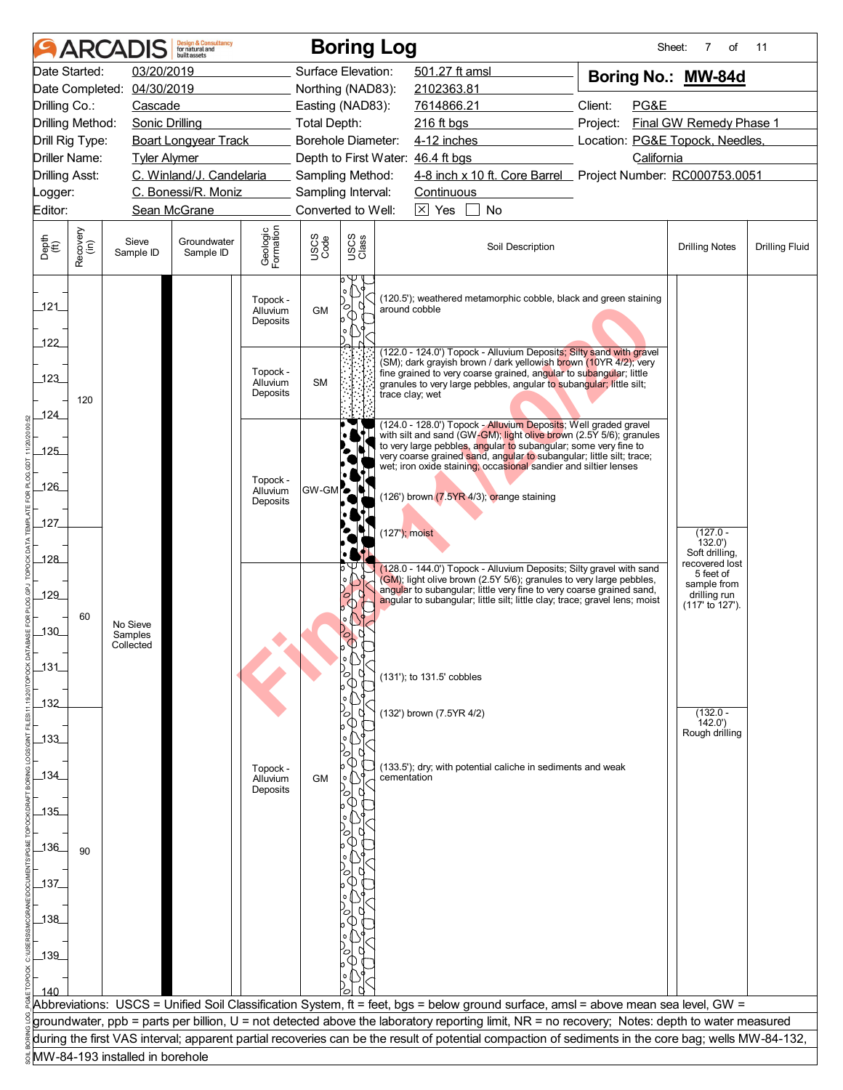| 501.27 ft amsl<br>Date Started:<br>03/20/2019<br>Surface Elevation:<br>Boring No.: MW-84d<br>Date Completed: 04/30/2019<br>Northing (NAD83):<br>2102363.81<br>Client:<br>PG&E<br>Drilling Co.:<br>Easting (NAD83):<br>7614866.21<br>Cascade<br>Final GW Remedy Phase 1<br>Drilling Method:<br>Sonic Drilling<br><b>Total Depth:</b><br>216 ft bgs<br>Project:<br>Location: PG&E Topock, Needles,<br>Drill Rig Type:<br><b>Boart Longyear Track</b><br>Borehole Diameter:<br>$4-12$ inches<br>California<br><b>Driller Name:</b><br>Depth to First Water: 46.4 ft bgs<br><b>Tyler Alymer</b><br>4-8 inch x 10 ft. Core Barrel Project Number: RC000753.0051<br>C. Winland/J. Candelaria<br><b>Drilling Asst:</b><br>Sampling Method:<br>C. Bonessi/R. Moniz<br>Sampling Interval:<br>Continuous<br>Logger:<br>$\overline{\times}$ Yes<br>No<br>Editor:<br>Sean McGrane<br>Converted to Well:<br>Geologic<br>Formation<br>Recovery<br>(in)<br>USCS<br>Code<br>USCS<br>Class<br>Depth<br>(ft)<br>Sieve<br>Groundwater<br>Soil Description<br><b>Drilling Fluid</b><br><b>Drilling Notes</b><br>Sample ID<br>Sample ID<br>(120.5'); weathered metamorphic cobble, black and green staining<br>Topock -<br>121<br>○<br>around cobble<br><b>GM</b><br>Alluvium<br>Deposits<br>122<br>(122.0 - 124.0') Topock - Alluvium Deposits; Silty sand with gravel<br>(SM); dark grayish brown / dark yellowish brown (10YR 4/2); very<br>Topock -<br>fine grained to very coarse grained, angular to subangular; little<br>123<br><b>SM</b><br>Alluvium<br>granules to very large pebbles, angular to subangular; little silt;<br>Deposits<br>trace clay; wet<br>120<br>124<br>(124.0 - 128.0') Topock - Alluvium Deposits; Well graded gravel<br>with silt and sand (GW-GM); light olive brown (2.5Y 5/6); granules<br>to very large pebbles, angular to subangular; some very fine to<br>$-125$<br>very coarse grained sand, angular to subangular; little silt; trace;<br>wet; iron oxide staining; occasional sandier and siltier lenses<br>Topock -<br>$-126$<br>GW-GM <sup>-</sup><br>Alluvium<br>(126') brown (7.5YR 4/3); orange staining<br>Deposits<br>_127_<br>$(127')$ ; moist<br>$(127.0 -$<br>132.0'<br>Soft drilling,<br>_128_<br>recovered lost<br>(128.0 - 144.0') Topock - Alluvium Deposits; Silty gravel with sand<br>b<br>5 feet of<br>(GM); light olive brown (2.5Y 5/6); granules to very large pebbles,<br>sample from<br>angular to subangular; little very fine to very coarse grained sand,<br>drilling run<br>129_<br>angular to subangular; little silt; little clay; trace; gravel lens; moist<br>(117' to 127').<br>60<br>No Sieve<br>$-130$<br>Samples<br>0<br>Collected<br>$131$<br>(131'); to 131.5' cobbles<br>$132$<br>$(132.0 -$<br>(132') brown (7.5YR 4/2)<br>142.0'<br>Rough drilling<br>$-133$<br>(133.5'); dry; with potential caliche in sediments and weak<br>Topock -<br>_134_<br>cementation<br><b>GM</b><br>Alluvium<br>Deposits<br>$-135$<br>_136_<br>90<br>$-137$<br>$138$<br>$139$<br>140<br>Abbreviations: USCS = Unified Soil Classification System, ft = feet, bgs = below ground surface, amsl = above mean sea level, GW =<br>groundwater, ppb = parts per billion, U = not detected above the laboratory reporting limit, NR = no recovery; Notes: depth to water measured<br>during the first VAS interval; apparent partial recoveries can be the result of potential compaction of sediments in the core bag; wells MW-84-132,<br>MW-84-193 installed in borehole |  |  | <b>Design &amp; Consultancy</b><br>for natural and<br>huilt assets |  |  | <b>Boring Log</b> |  |  |  | Sheet:<br>7<br>of | 11 |
|---------------------------------------------------------------------------------------------------------------------------------------------------------------------------------------------------------------------------------------------------------------------------------------------------------------------------------------------------------------------------------------------------------------------------------------------------------------------------------------------------------------------------------------------------------------------------------------------------------------------------------------------------------------------------------------------------------------------------------------------------------------------------------------------------------------------------------------------------------------------------------------------------------------------------------------------------------------------------------------------------------------------------------------------------------------------------------------------------------------------------------------------------------------------------------------------------------------------------------------------------------------------------------------------------------------------------------------------------------------------------------------------------------------------------------------------------------------------------------------------------------------------------------------------------------------------------------------------------------------------------------------------------------------------------------------------------------------------------------------------------------------------------------------------------------------------------------------------------------------------------------------------------------------------------------------------------------------------------------------------------------------------------------------------------------------------------------------------------------------------------------------------------------------------------------------------------------------------------------------------------------------------------------------------------------------------------------------------------------------------------------------------------------------------------------------------------------------------------------------------------------------------------------------------------------------------------------------------------------------------------------------------------------------------------------------------------------------------------------------------------------------------------------------------------------------------------------------------------------------------------------------------------------------------------------------------------------------------------------------------------------------------------------------------------------------------------------------------------------------------------------------------------------------------------------------------------------------------------------------------------------------------------------------------------------------------------------------------------------------------------------------------------------------------------------------------------------------------------------------------------------------|--|--|--------------------------------------------------------------------|--|--|-------------------|--|--|--|-------------------|----|
|                                                                                                                                                                                                                                                                                                                                                                                                                                                                                                                                                                                                                                                                                                                                                                                                                                                                                                                                                                                                                                                                                                                                                                                                                                                                                                                                                                                                                                                                                                                                                                                                                                                                                                                                                                                                                                                                                                                                                                                                                                                                                                                                                                                                                                                                                                                                                                                                                                                                                                                                                                                                                                                                                                                                                                                                                                                                                                                                                                                                                                                                                                                                                                                                                                                                                                                                                                                                                                                                                                               |  |  |                                                                    |  |  |                   |  |  |  |                   |    |
|                                                                                                                                                                                                                                                                                                                                                                                                                                                                                                                                                                                                                                                                                                                                                                                                                                                                                                                                                                                                                                                                                                                                                                                                                                                                                                                                                                                                                                                                                                                                                                                                                                                                                                                                                                                                                                                                                                                                                                                                                                                                                                                                                                                                                                                                                                                                                                                                                                                                                                                                                                                                                                                                                                                                                                                                                                                                                                                                                                                                                                                                                                                                                                                                                                                                                                                                                                                                                                                                                                               |  |  |                                                                    |  |  |                   |  |  |  |                   |    |
|                                                                                                                                                                                                                                                                                                                                                                                                                                                                                                                                                                                                                                                                                                                                                                                                                                                                                                                                                                                                                                                                                                                                                                                                                                                                                                                                                                                                                                                                                                                                                                                                                                                                                                                                                                                                                                                                                                                                                                                                                                                                                                                                                                                                                                                                                                                                                                                                                                                                                                                                                                                                                                                                                                                                                                                                                                                                                                                                                                                                                                                                                                                                                                                                                                                                                                                                                                                                                                                                                                               |  |  |                                                                    |  |  |                   |  |  |  |                   |    |
|                                                                                                                                                                                                                                                                                                                                                                                                                                                                                                                                                                                                                                                                                                                                                                                                                                                                                                                                                                                                                                                                                                                                                                                                                                                                                                                                                                                                                                                                                                                                                                                                                                                                                                                                                                                                                                                                                                                                                                                                                                                                                                                                                                                                                                                                                                                                                                                                                                                                                                                                                                                                                                                                                                                                                                                                                                                                                                                                                                                                                                                                                                                                                                                                                                                                                                                                                                                                                                                                                                               |  |  |                                                                    |  |  |                   |  |  |  |                   |    |
|                                                                                                                                                                                                                                                                                                                                                                                                                                                                                                                                                                                                                                                                                                                                                                                                                                                                                                                                                                                                                                                                                                                                                                                                                                                                                                                                                                                                                                                                                                                                                                                                                                                                                                                                                                                                                                                                                                                                                                                                                                                                                                                                                                                                                                                                                                                                                                                                                                                                                                                                                                                                                                                                                                                                                                                                                                                                                                                                                                                                                                                                                                                                                                                                                                                                                                                                                                                                                                                                                                               |  |  |                                                                    |  |  |                   |  |  |  |                   |    |
|                                                                                                                                                                                                                                                                                                                                                                                                                                                                                                                                                                                                                                                                                                                                                                                                                                                                                                                                                                                                                                                                                                                                                                                                                                                                                                                                                                                                                                                                                                                                                                                                                                                                                                                                                                                                                                                                                                                                                                                                                                                                                                                                                                                                                                                                                                                                                                                                                                                                                                                                                                                                                                                                                                                                                                                                                                                                                                                                                                                                                                                                                                                                                                                                                                                                                                                                                                                                                                                                                                               |  |  |                                                                    |  |  |                   |  |  |  |                   |    |
|                                                                                                                                                                                                                                                                                                                                                                                                                                                                                                                                                                                                                                                                                                                                                                                                                                                                                                                                                                                                                                                                                                                                                                                                                                                                                                                                                                                                                                                                                                                                                                                                                                                                                                                                                                                                                                                                                                                                                                                                                                                                                                                                                                                                                                                                                                                                                                                                                                                                                                                                                                                                                                                                                                                                                                                                                                                                                                                                                                                                                                                                                                                                                                                                                                                                                                                                                                                                                                                                                                               |  |  |                                                                    |  |  |                   |  |  |  |                   |    |
|                                                                                                                                                                                                                                                                                                                                                                                                                                                                                                                                                                                                                                                                                                                                                                                                                                                                                                                                                                                                                                                                                                                                                                                                                                                                                                                                                                                                                                                                                                                                                                                                                                                                                                                                                                                                                                                                                                                                                                                                                                                                                                                                                                                                                                                                                                                                                                                                                                                                                                                                                                                                                                                                                                                                                                                                                                                                                                                                                                                                                                                                                                                                                                                                                                                                                                                                                                                                                                                                                                               |  |  |                                                                    |  |  |                   |  |  |  |                   |    |
|                                                                                                                                                                                                                                                                                                                                                                                                                                                                                                                                                                                                                                                                                                                                                                                                                                                                                                                                                                                                                                                                                                                                                                                                                                                                                                                                                                                                                                                                                                                                                                                                                                                                                                                                                                                                                                                                                                                                                                                                                                                                                                                                                                                                                                                                                                                                                                                                                                                                                                                                                                                                                                                                                                                                                                                                                                                                                                                                                                                                                                                                                                                                                                                                                                                                                                                                                                                                                                                                                                               |  |  |                                                                    |  |  |                   |  |  |  |                   |    |
|                                                                                                                                                                                                                                                                                                                                                                                                                                                                                                                                                                                                                                                                                                                                                                                                                                                                                                                                                                                                                                                                                                                                                                                                                                                                                                                                                                                                                                                                                                                                                                                                                                                                                                                                                                                                                                                                                                                                                                                                                                                                                                                                                                                                                                                                                                                                                                                                                                                                                                                                                                                                                                                                                                                                                                                                                                                                                                                                                                                                                                                                                                                                                                                                                                                                                                                                                                                                                                                                                                               |  |  |                                                                    |  |  |                   |  |  |  |                   |    |
|                                                                                                                                                                                                                                                                                                                                                                                                                                                                                                                                                                                                                                                                                                                                                                                                                                                                                                                                                                                                                                                                                                                                                                                                                                                                                                                                                                                                                                                                                                                                                                                                                                                                                                                                                                                                                                                                                                                                                                                                                                                                                                                                                                                                                                                                                                                                                                                                                                                                                                                                                                                                                                                                                                                                                                                                                                                                                                                                                                                                                                                                                                                                                                                                                                                                                                                                                                                                                                                                                                               |  |  |                                                                    |  |  |                   |  |  |  |                   |    |
|                                                                                                                                                                                                                                                                                                                                                                                                                                                                                                                                                                                                                                                                                                                                                                                                                                                                                                                                                                                                                                                                                                                                                                                                                                                                                                                                                                                                                                                                                                                                                                                                                                                                                                                                                                                                                                                                                                                                                                                                                                                                                                                                                                                                                                                                                                                                                                                                                                                                                                                                                                                                                                                                                                                                                                                                                                                                                                                                                                                                                                                                                                                                                                                                                                                                                                                                                                                                                                                                                                               |  |  |                                                                    |  |  |                   |  |  |  |                   |    |
|                                                                                                                                                                                                                                                                                                                                                                                                                                                                                                                                                                                                                                                                                                                                                                                                                                                                                                                                                                                                                                                                                                                                                                                                                                                                                                                                                                                                                                                                                                                                                                                                                                                                                                                                                                                                                                                                                                                                                                                                                                                                                                                                                                                                                                                                                                                                                                                                                                                                                                                                                                                                                                                                                                                                                                                                                                                                                                                                                                                                                                                                                                                                                                                                                                                                                                                                                                                                                                                                                                               |  |  |                                                                    |  |  |                   |  |  |  |                   |    |
|                                                                                                                                                                                                                                                                                                                                                                                                                                                                                                                                                                                                                                                                                                                                                                                                                                                                                                                                                                                                                                                                                                                                                                                                                                                                                                                                                                                                                                                                                                                                                                                                                                                                                                                                                                                                                                                                                                                                                                                                                                                                                                                                                                                                                                                                                                                                                                                                                                                                                                                                                                                                                                                                                                                                                                                                                                                                                                                                                                                                                                                                                                                                                                                                                                                                                                                                                                                                                                                                                                               |  |  |                                                                    |  |  |                   |  |  |  |                   |    |
|                                                                                                                                                                                                                                                                                                                                                                                                                                                                                                                                                                                                                                                                                                                                                                                                                                                                                                                                                                                                                                                                                                                                                                                                                                                                                                                                                                                                                                                                                                                                                                                                                                                                                                                                                                                                                                                                                                                                                                                                                                                                                                                                                                                                                                                                                                                                                                                                                                                                                                                                                                                                                                                                                                                                                                                                                                                                                                                                                                                                                                                                                                                                                                                                                                                                                                                                                                                                                                                                                                               |  |  |                                                                    |  |  |                   |  |  |  |                   |    |
|                                                                                                                                                                                                                                                                                                                                                                                                                                                                                                                                                                                                                                                                                                                                                                                                                                                                                                                                                                                                                                                                                                                                                                                                                                                                                                                                                                                                                                                                                                                                                                                                                                                                                                                                                                                                                                                                                                                                                                                                                                                                                                                                                                                                                                                                                                                                                                                                                                                                                                                                                                                                                                                                                                                                                                                                                                                                                                                                                                                                                                                                                                                                                                                                                                                                                                                                                                                                                                                                                                               |  |  |                                                                    |  |  |                   |  |  |  |                   |    |
|                                                                                                                                                                                                                                                                                                                                                                                                                                                                                                                                                                                                                                                                                                                                                                                                                                                                                                                                                                                                                                                                                                                                                                                                                                                                                                                                                                                                                                                                                                                                                                                                                                                                                                                                                                                                                                                                                                                                                                                                                                                                                                                                                                                                                                                                                                                                                                                                                                                                                                                                                                                                                                                                                                                                                                                                                                                                                                                                                                                                                                                                                                                                                                                                                                                                                                                                                                                                                                                                                                               |  |  |                                                                    |  |  |                   |  |  |  |                   |    |
|                                                                                                                                                                                                                                                                                                                                                                                                                                                                                                                                                                                                                                                                                                                                                                                                                                                                                                                                                                                                                                                                                                                                                                                                                                                                                                                                                                                                                                                                                                                                                                                                                                                                                                                                                                                                                                                                                                                                                                                                                                                                                                                                                                                                                                                                                                                                                                                                                                                                                                                                                                                                                                                                                                                                                                                                                                                                                                                                                                                                                                                                                                                                                                                                                                                                                                                                                                                                                                                                                                               |  |  |                                                                    |  |  |                   |  |  |  |                   |    |
|                                                                                                                                                                                                                                                                                                                                                                                                                                                                                                                                                                                                                                                                                                                                                                                                                                                                                                                                                                                                                                                                                                                                                                                                                                                                                                                                                                                                                                                                                                                                                                                                                                                                                                                                                                                                                                                                                                                                                                                                                                                                                                                                                                                                                                                                                                                                                                                                                                                                                                                                                                                                                                                                                                                                                                                                                                                                                                                                                                                                                                                                                                                                                                                                                                                                                                                                                                                                                                                                                                               |  |  |                                                                    |  |  |                   |  |  |  |                   |    |
|                                                                                                                                                                                                                                                                                                                                                                                                                                                                                                                                                                                                                                                                                                                                                                                                                                                                                                                                                                                                                                                                                                                                                                                                                                                                                                                                                                                                                                                                                                                                                                                                                                                                                                                                                                                                                                                                                                                                                                                                                                                                                                                                                                                                                                                                                                                                                                                                                                                                                                                                                                                                                                                                                                                                                                                                                                                                                                                                                                                                                                                                                                                                                                                                                                                                                                                                                                                                                                                                                                               |  |  |                                                                    |  |  |                   |  |  |  |                   |    |
|                                                                                                                                                                                                                                                                                                                                                                                                                                                                                                                                                                                                                                                                                                                                                                                                                                                                                                                                                                                                                                                                                                                                                                                                                                                                                                                                                                                                                                                                                                                                                                                                                                                                                                                                                                                                                                                                                                                                                                                                                                                                                                                                                                                                                                                                                                                                                                                                                                                                                                                                                                                                                                                                                                                                                                                                                                                                                                                                                                                                                                                                                                                                                                                                                                                                                                                                                                                                                                                                                                               |  |  |                                                                    |  |  |                   |  |  |  |                   |    |
|                                                                                                                                                                                                                                                                                                                                                                                                                                                                                                                                                                                                                                                                                                                                                                                                                                                                                                                                                                                                                                                                                                                                                                                                                                                                                                                                                                                                                                                                                                                                                                                                                                                                                                                                                                                                                                                                                                                                                                                                                                                                                                                                                                                                                                                                                                                                                                                                                                                                                                                                                                                                                                                                                                                                                                                                                                                                                                                                                                                                                                                                                                                                                                                                                                                                                                                                                                                                                                                                                                               |  |  |                                                                    |  |  |                   |  |  |  |                   |    |
|                                                                                                                                                                                                                                                                                                                                                                                                                                                                                                                                                                                                                                                                                                                                                                                                                                                                                                                                                                                                                                                                                                                                                                                                                                                                                                                                                                                                                                                                                                                                                                                                                                                                                                                                                                                                                                                                                                                                                                                                                                                                                                                                                                                                                                                                                                                                                                                                                                                                                                                                                                                                                                                                                                                                                                                                                                                                                                                                                                                                                                                                                                                                                                                                                                                                                                                                                                                                                                                                                                               |  |  |                                                                    |  |  |                   |  |  |  |                   |    |
|                                                                                                                                                                                                                                                                                                                                                                                                                                                                                                                                                                                                                                                                                                                                                                                                                                                                                                                                                                                                                                                                                                                                                                                                                                                                                                                                                                                                                                                                                                                                                                                                                                                                                                                                                                                                                                                                                                                                                                                                                                                                                                                                                                                                                                                                                                                                                                                                                                                                                                                                                                                                                                                                                                                                                                                                                                                                                                                                                                                                                                                                                                                                                                                                                                                                                                                                                                                                                                                                                                               |  |  |                                                                    |  |  |                   |  |  |  |                   |    |
|                                                                                                                                                                                                                                                                                                                                                                                                                                                                                                                                                                                                                                                                                                                                                                                                                                                                                                                                                                                                                                                                                                                                                                                                                                                                                                                                                                                                                                                                                                                                                                                                                                                                                                                                                                                                                                                                                                                                                                                                                                                                                                                                                                                                                                                                                                                                                                                                                                                                                                                                                                                                                                                                                                                                                                                                                                                                                                                                                                                                                                                                                                                                                                                                                                                                                                                                                                                                                                                                                                               |  |  |                                                                    |  |  |                   |  |  |  |                   |    |
|                                                                                                                                                                                                                                                                                                                                                                                                                                                                                                                                                                                                                                                                                                                                                                                                                                                                                                                                                                                                                                                                                                                                                                                                                                                                                                                                                                                                                                                                                                                                                                                                                                                                                                                                                                                                                                                                                                                                                                                                                                                                                                                                                                                                                                                                                                                                                                                                                                                                                                                                                                                                                                                                                                                                                                                                                                                                                                                                                                                                                                                                                                                                                                                                                                                                                                                                                                                                                                                                                                               |  |  |                                                                    |  |  |                   |  |  |  |                   |    |
|                                                                                                                                                                                                                                                                                                                                                                                                                                                                                                                                                                                                                                                                                                                                                                                                                                                                                                                                                                                                                                                                                                                                                                                                                                                                                                                                                                                                                                                                                                                                                                                                                                                                                                                                                                                                                                                                                                                                                                                                                                                                                                                                                                                                                                                                                                                                                                                                                                                                                                                                                                                                                                                                                                                                                                                                                                                                                                                                                                                                                                                                                                                                                                                                                                                                                                                                                                                                                                                                                                               |  |  |                                                                    |  |  |                   |  |  |  |                   |    |
|                                                                                                                                                                                                                                                                                                                                                                                                                                                                                                                                                                                                                                                                                                                                                                                                                                                                                                                                                                                                                                                                                                                                                                                                                                                                                                                                                                                                                                                                                                                                                                                                                                                                                                                                                                                                                                                                                                                                                                                                                                                                                                                                                                                                                                                                                                                                                                                                                                                                                                                                                                                                                                                                                                                                                                                                                                                                                                                                                                                                                                                                                                                                                                                                                                                                                                                                                                                                                                                                                                               |  |  |                                                                    |  |  |                   |  |  |  |                   |    |
|                                                                                                                                                                                                                                                                                                                                                                                                                                                                                                                                                                                                                                                                                                                                                                                                                                                                                                                                                                                                                                                                                                                                                                                                                                                                                                                                                                                                                                                                                                                                                                                                                                                                                                                                                                                                                                                                                                                                                                                                                                                                                                                                                                                                                                                                                                                                                                                                                                                                                                                                                                                                                                                                                                                                                                                                                                                                                                                                                                                                                                                                                                                                                                                                                                                                                                                                                                                                                                                                                                               |  |  |                                                                    |  |  |                   |  |  |  |                   |    |
|                                                                                                                                                                                                                                                                                                                                                                                                                                                                                                                                                                                                                                                                                                                                                                                                                                                                                                                                                                                                                                                                                                                                                                                                                                                                                                                                                                                                                                                                                                                                                                                                                                                                                                                                                                                                                                                                                                                                                                                                                                                                                                                                                                                                                                                                                                                                                                                                                                                                                                                                                                                                                                                                                                                                                                                                                                                                                                                                                                                                                                                                                                                                                                                                                                                                                                                                                                                                                                                                                                               |  |  |                                                                    |  |  |                   |  |  |  |                   |    |
|                                                                                                                                                                                                                                                                                                                                                                                                                                                                                                                                                                                                                                                                                                                                                                                                                                                                                                                                                                                                                                                                                                                                                                                                                                                                                                                                                                                                                                                                                                                                                                                                                                                                                                                                                                                                                                                                                                                                                                                                                                                                                                                                                                                                                                                                                                                                                                                                                                                                                                                                                                                                                                                                                                                                                                                                                                                                                                                                                                                                                                                                                                                                                                                                                                                                                                                                                                                                                                                                                                               |  |  |                                                                    |  |  |                   |  |  |  |                   |    |
|                                                                                                                                                                                                                                                                                                                                                                                                                                                                                                                                                                                                                                                                                                                                                                                                                                                                                                                                                                                                                                                                                                                                                                                                                                                                                                                                                                                                                                                                                                                                                                                                                                                                                                                                                                                                                                                                                                                                                                                                                                                                                                                                                                                                                                                                                                                                                                                                                                                                                                                                                                                                                                                                                                                                                                                                                                                                                                                                                                                                                                                                                                                                                                                                                                                                                                                                                                                                                                                                                                               |  |  |                                                                    |  |  |                   |  |  |  |                   |    |
|                                                                                                                                                                                                                                                                                                                                                                                                                                                                                                                                                                                                                                                                                                                                                                                                                                                                                                                                                                                                                                                                                                                                                                                                                                                                                                                                                                                                                                                                                                                                                                                                                                                                                                                                                                                                                                                                                                                                                                                                                                                                                                                                                                                                                                                                                                                                                                                                                                                                                                                                                                                                                                                                                                                                                                                                                                                                                                                                                                                                                                                                                                                                                                                                                                                                                                                                                                                                                                                                                                               |  |  |                                                                    |  |  |                   |  |  |  |                   |    |
|                                                                                                                                                                                                                                                                                                                                                                                                                                                                                                                                                                                                                                                                                                                                                                                                                                                                                                                                                                                                                                                                                                                                                                                                                                                                                                                                                                                                                                                                                                                                                                                                                                                                                                                                                                                                                                                                                                                                                                                                                                                                                                                                                                                                                                                                                                                                                                                                                                                                                                                                                                                                                                                                                                                                                                                                                                                                                                                                                                                                                                                                                                                                                                                                                                                                                                                                                                                                                                                                                                               |  |  |                                                                    |  |  |                   |  |  |  |                   |    |
|                                                                                                                                                                                                                                                                                                                                                                                                                                                                                                                                                                                                                                                                                                                                                                                                                                                                                                                                                                                                                                                                                                                                                                                                                                                                                                                                                                                                                                                                                                                                                                                                                                                                                                                                                                                                                                                                                                                                                                                                                                                                                                                                                                                                                                                                                                                                                                                                                                                                                                                                                                                                                                                                                                                                                                                                                                                                                                                                                                                                                                                                                                                                                                                                                                                                                                                                                                                                                                                                                                               |  |  |                                                                    |  |  |                   |  |  |  |                   |    |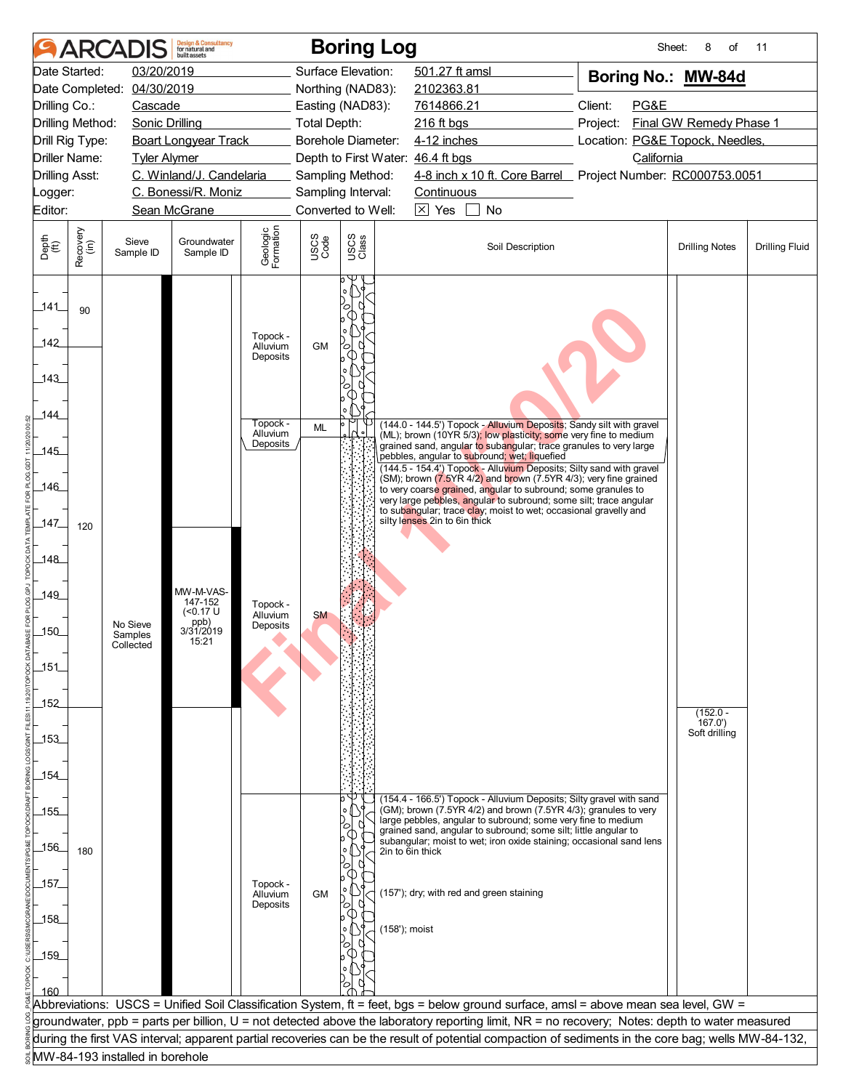|                       | <b>ARCA</b>      |                                 | <b>Design &amp; Consultancy</b><br>for natural and<br>built assets |                                  |                     | <b>Boring Log</b>                 |                               |                                                                                                                                                                                                                                                                                     | Sheet:             | 8<br>of                         | 11                    |  |
|-----------------------|------------------|---------------------------------|--------------------------------------------------------------------|----------------------------------|---------------------|-----------------------------------|-------------------------------|-------------------------------------------------------------------------------------------------------------------------------------------------------------------------------------------------------------------------------------------------------------------------------------|--------------------|---------------------------------|-----------------------|--|
|                       | Date Started:    | 03/20/2019                      |                                                                    |                                  |                     | Surface Elevation:                | 501.27 ft amsl                |                                                                                                                                                                                                                                                                                     | Boring No.: MW-84d |                                 |                       |  |
|                       | Date Completed:  | 04/30/2019                      |                                                                    |                                  |                     | Northing (NAD83):                 | 2102363.81                    |                                                                                                                                                                                                                                                                                     |                    |                                 |                       |  |
| Drilling Co.:         |                  | Cascade                         |                                                                    |                                  |                     | Easting (NAD83):                  | 7614866.21                    |                                                                                                                                                                                                                                                                                     | Client:<br>PG&E    |                                 |                       |  |
| Drilling Method:      |                  | Sonic Drilling                  |                                                                    |                                  | <b>Total Depth:</b> |                                   | 216 ft bgs                    |                                                                                                                                                                                                                                                                                     | Project:           | Final GW Remedy Phase 1         |                       |  |
| Drill Rig Type:       |                  |                                 | <b>Boart Longyear Track</b>                                        |                                  |                     | Borehole Diameter:                | 4-12 inches                   |                                                                                                                                                                                                                                                                                     |                    | Location: PG&E Topock, Needles, |                       |  |
| <b>Driller Name:</b>  |                  | <b>Tyler Alymer</b>             |                                                                    |                                  |                     | Depth to First Water: 46.4 ft bgs |                               |                                                                                                                                                                                                                                                                                     | California         |                                 |                       |  |
| <b>Drilling Asst:</b> |                  |                                 | C. Winland/J. Candelaria                                           |                                  |                     | Sampling Method:                  |                               | 4-8 inch x 10 ft. Core Barrel Project Number: RC000753.0051                                                                                                                                                                                                                         |                    |                                 |                       |  |
| Logger:               |                  |                                 | C. Bonessi/R. Moniz                                                |                                  |                     | Sampling Interval:                | Continuous                    |                                                                                                                                                                                                                                                                                     |                    |                                 |                       |  |
| Editor:               |                  |                                 | Sean McGrane                                                       |                                  |                     | Converted to Well:                | $\boxtimes$ Yes               | No                                                                                                                                                                                                                                                                                  |                    |                                 |                       |  |
| Depth<br>(ft)         | Recovery<br>(in) | Sieve<br>Sample ID              | Groundwater<br>Sample ID                                           | Geologic<br>Formation            | USCS<br>Code        | USCS<br>Class                     |                               | Soil Description                                                                                                                                                                                                                                                                    |                    | <b>Drilling Notes</b>           | <b>Drilling Fluid</b> |  |
| _141_                 | 90               |                                 |                                                                    |                                  |                     |                                   |                               |                                                                                                                                                                                                                                                                                     |                    |                                 |                       |  |
| 142                   |                  |                                 |                                                                    | Topock -<br>Alluvium<br>Deposits | <b>GM</b>           | О                                 |                               |                                                                                                                                                                                                                                                                                     |                    |                                 |                       |  |
| .143                  |                  |                                 |                                                                    |                                  |                     |                                   |                               |                                                                                                                                                                                                                                                                                     |                    |                                 |                       |  |
|                       |                  |                                 |                                                                    |                                  |                     |                                   |                               |                                                                                                                                                                                                                                                                                     |                    |                                 |                       |  |
| 144                   |                  |                                 |                                                                    | Topock -<br>Alluvium             | ML                  |                                   |                               | (144.0 - 144.5') Topock - Alluvium Deposits; Sandy silt with gravel<br>(ML); brown (10YR 5/3); low plasticity; some very fine to medium                                                                                                                                             |                    |                                 |                       |  |
| _145_                 |                  |                                 |                                                                    | Deposits                         |                     |                                   |                               | grained sand, angular to subangular; trace granules to very large<br>pebbles, angular to subround; wet; liquefied                                                                                                                                                                   |                    |                                 |                       |  |
| 146                   |                  |                                 |                                                                    |                                  |                     |                                   |                               | (144.5 - 154.4') Topock - Alluvium Deposits; Silty sand with gravel<br>(SM); brown (7.5YR 4/2) and brown (7.5YR 4/3); very fine grained<br>to very coarse grained, angular to subround; some granules to                                                                            |                    |                                 |                       |  |
|                       |                  |                                 |                                                                    |                                  |                     |                                   | silty lenses 2in to 6in thick | very large pebbles, angular to subround; some silt; trace angular<br>to subangular; trace clay; moist to wet; occasional gravelly and                                                                                                                                               |                    |                                 |                       |  |
| 147                   | 120              |                                 |                                                                    |                                  |                     |                                   |                               |                                                                                                                                                                                                                                                                                     |                    |                                 |                       |  |
| 148                   |                  |                                 |                                                                    |                                  |                     |                                   |                               |                                                                                                                                                                                                                                                                                     |                    |                                 |                       |  |
| 149                   |                  |                                 | MW-M-VAS-                                                          |                                  |                     |                                   |                               |                                                                                                                                                                                                                                                                                     |                    |                                 |                       |  |
|                       |                  | No Sieve                        | 147-152<br>( <sub>0.17</sub> U)<br>ppb)                            | Topock -<br>Alluvium             | <b>SM</b>           |                                   |                               |                                                                                                                                                                                                                                                                                     |                    |                                 |                       |  |
| $-150$                |                  | Samples                         | 3/31/2019<br>15:21                                                 | Deposits                         |                     |                                   |                               |                                                                                                                                                                                                                                                                                     |                    |                                 |                       |  |
|                       |                  | Collected                       |                                                                    |                                  |                     |                                   |                               |                                                                                                                                                                                                                                                                                     |                    |                                 |                       |  |
| 151                   |                  |                                 |                                                                    |                                  |                     |                                   |                               |                                                                                                                                                                                                                                                                                     |                    |                                 |                       |  |
| _152_                 |                  |                                 |                                                                    |                                  |                     |                                   |                               |                                                                                                                                                                                                                                                                                     |                    |                                 |                       |  |
|                       |                  |                                 |                                                                    |                                  |                     |                                   |                               |                                                                                                                                                                                                                                                                                     |                    | $(152.0 -$<br>167.0'            |                       |  |
| _153_                 |                  |                                 |                                                                    |                                  |                     |                                   |                               |                                                                                                                                                                                                                                                                                     |                    | Soft drilling                   |                       |  |
|                       |                  |                                 |                                                                    |                                  |                     |                                   |                               |                                                                                                                                                                                                                                                                                     |                    |                                 |                       |  |
| _154                  |                  |                                 |                                                                    |                                  |                     |                                   |                               |                                                                                                                                                                                                                                                                                     |                    |                                 |                       |  |
| 155                   |                  |                                 |                                                                    |                                  |                     |                                   |                               | (154.4 - 166.5') Topock - Alluvium Deposits; Silty gravel with sand<br>(GM); brown (7.5YR 4/2) and brown (7.5YR 4/3); granules to very                                                                                                                                              |                    |                                 |                       |  |
|                       |                  |                                 |                                                                    |                                  |                     |                                   |                               | large pebbles, angular to subround; some very fine to medium<br>grained sand, angular to subround; some silt; little angular to                                                                                                                                                     |                    |                                 |                       |  |
| $-156$                |                  |                                 |                                                                    |                                  |                     |                                   |                               | subangular; moist to wet; iron oxide staining; occasional sand lens                                                                                                                                                                                                                 |                    |                                 |                       |  |
|                       | 180              |                                 |                                                                    |                                  |                     | ◯                                 | 2in to 6in thick              |                                                                                                                                                                                                                                                                                     |                    |                                 |                       |  |
| _157_                 |                  |                                 |                                                                    | Topock -                         |                     |                                   |                               |                                                                                                                                                                                                                                                                                     |                    |                                 |                       |  |
|                       |                  |                                 |                                                                    | Alluvium<br>Deposits             | <b>GM</b>           | ้0                                |                               | (157'); dry; with red and green staining                                                                                                                                                                                                                                            |                    |                                 |                       |  |
| 158                   |                  |                                 |                                                                    |                                  |                     | (158'); moist                     |                               |                                                                                                                                                                                                                                                                                     |                    |                                 |                       |  |
|                       |                  |                                 |                                                                    |                                  |                     |                                   |                               |                                                                                                                                                                                                                                                                                     |                    |                                 |                       |  |
| 159                   |                  |                                 |                                                                    |                                  |                     |                                   |                               |                                                                                                                                                                                                                                                                                     |                    |                                 |                       |  |
|                       |                  |                                 |                                                                    |                                  |                     |                                   |                               |                                                                                                                                                                                                                                                                                     |                    |                                 |                       |  |
| 160                   |                  |                                 |                                                                    |                                  |                     |                                   |                               |                                                                                                                                                                                                                                                                                     |                    |                                 |                       |  |
|                       |                  |                                 |                                                                    |                                  |                     |                                   |                               | Abbreviations: USCS = Unified Soil Classification System, ft = feet, bgs = below ground surface, amsl = above mean sea level, GW =<br>groundwater, ppb = parts per billion, U = not detected above the laboratory reporting limit, NR = no recovery; Notes: depth to water measured |                    |                                 |                       |  |
|                       |                  |                                 |                                                                    |                                  |                     |                                   |                               | during the first VAS interval; apparent partial recoveries can be the result of potential compaction of sediments in the core bag; wells MW-84-132,                                                                                                                                 |                    |                                 |                       |  |
|                       |                  | MW-84-193 installed in borehole |                                                                    |                                  |                     |                                   |                               |                                                                                                                                                                                                                                                                                     |                    |                                 |                       |  |
|                       |                  |                                 |                                                                    |                                  |                     |                                   |                               |                                                                                                                                                                                                                                                                                     |                    |                                 |                       |  |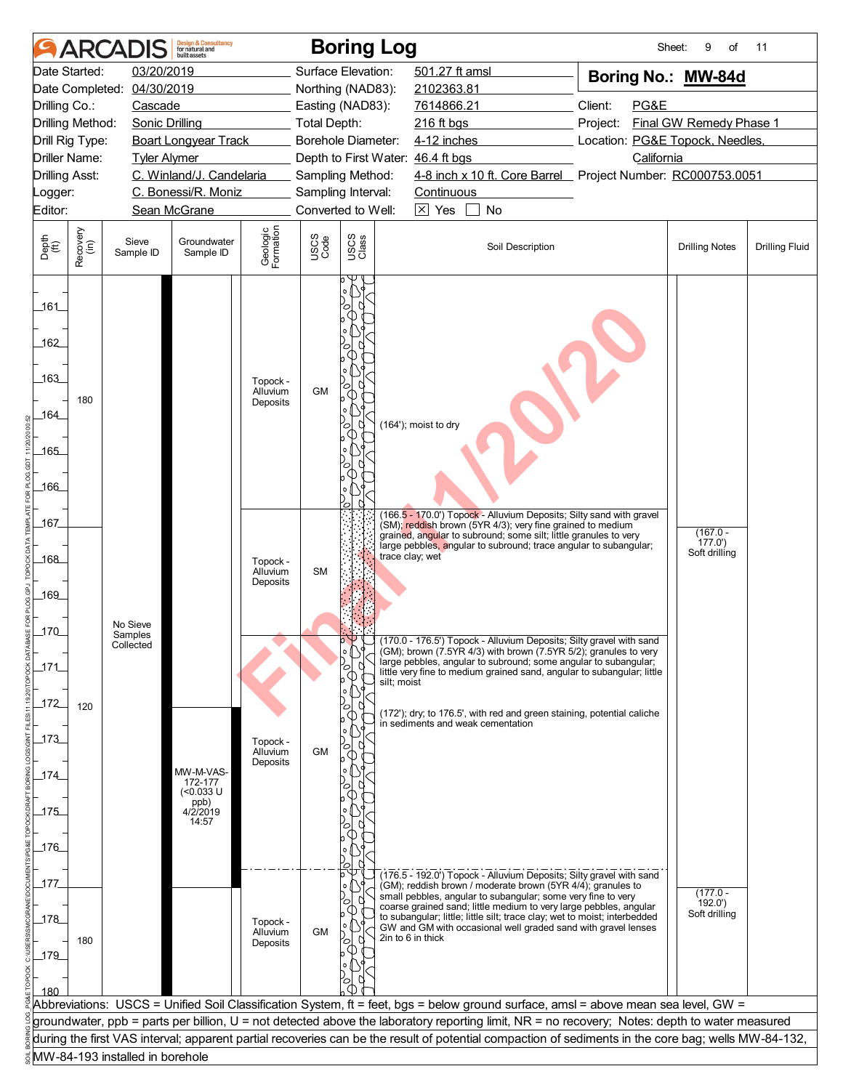|                                  | <b>ARCA</b>          |                                 | <b>Design &amp; Consultancy</b><br>for natural and<br>built assets |                       |                     | <b>Boring Log</b>                      |                                                                                                                                                     | Sheet:             | 9<br>of                 | 11                    |  |
|----------------------------------|----------------------|---------------------------------|--------------------------------------------------------------------|-----------------------|---------------------|----------------------------------------|-----------------------------------------------------------------------------------------------------------------------------------------------------|--------------------|-------------------------|-----------------------|--|
|                                  | Date Started:        | 03/20/2019                      |                                                                    |                       |                     | Surface Elevation:                     | 501.27 ft amsl                                                                                                                                      | Boring No.: MW-84d |                         |                       |  |
|                                  | Date Completed:      | 04/30/2019                      |                                                                    |                       |                     | Northing (NAD83):                      | 2102363.81                                                                                                                                          |                    |                         |                       |  |
| Drilling Co.:                    |                      | Cascade                         |                                                                    |                       |                     | Easting (NAD83):                       | 7614866.21                                                                                                                                          | Client:<br>PG&E    |                         |                       |  |
|                                  | Drilling Method:     | <b>Sonic Drilling</b>           |                                                                    |                       | <b>Total Depth:</b> |                                        | 216 ft bgs                                                                                                                                          | Project:           | Final GW Remedy Phase 1 |                       |  |
|                                  | Drill Rig Type:      |                                 | <b>Boart Longyear Track</b>                                        |                       |                     | Borehole Diameter:                     | 4-12 inches<br>Location: PG&E Topock, Needles,                                                                                                      |                    |                         |                       |  |
|                                  | <b>Driller Name:</b> | <b>Tyler Alymer</b>             | C. Winland/J. Candelaria                                           |                       |                     |                                        | Depth to First Water: 46.4 ft bgs<br>4-8 inch x 10 ft. Core Barrel Project Number: RC000753.0051                                                    | California         |                         |                       |  |
| <b>Drilling Asst:</b><br>Logger: |                      |                                 | C. Bonessi/R. Moniz                                                |                       |                     | Sampling Method:<br>Sampling Interval: | Continuous                                                                                                                                          |                    |                         |                       |  |
| Editor:                          |                      |                                 | Sean McGrane                                                       |                       |                     | Converted to Well:                     | $\boxtimes$ Yes<br>No                                                                                                                               |                    |                         |                       |  |
|                                  |                      |                                 |                                                                    |                       |                     |                                        |                                                                                                                                                     |                    |                         |                       |  |
| Depth<br>(ft)                    | Recovery<br>(in)     | Sieve<br>Sample ID              | Groundwater<br>Sample ID                                           | Geologic<br>Formation | USCS<br>Code        | USCS<br>Class                          | Soil Description                                                                                                                                    |                    | <b>Drilling Notes</b>   | <b>Drilling Fluid</b> |  |
| $-161$<br>162<br>163             |                      |                                 |                                                                    | Topock -<br>Alluvium  | <b>GM</b>           |                                        |                                                                                                                                                     |                    |                         |                       |  |
| 164                              | 180                  |                                 |                                                                    | Deposits              |                     |                                        |                                                                                                                                                     |                    |                         |                       |  |
|                                  |                      |                                 |                                                                    |                       |                     |                                        | (164'); moist to dry                                                                                                                                |                    |                         |                       |  |
| $-165$                           |                      |                                 |                                                                    |                       |                     |                                        |                                                                                                                                                     |                    |                         |                       |  |
|                                  |                      |                                 |                                                                    |                       |                     |                                        |                                                                                                                                                     |                    |                         |                       |  |
| 166                              |                      |                                 |                                                                    |                       |                     |                                        |                                                                                                                                                     |                    |                         |                       |  |
| 167                              |                      |                                 |                                                                    |                       |                     |                                        | (166.5 - 170.0') Topock - Alluvium Deposits; Silty sand with gravel<br>(SM); reddish brown (5YR 4/3); very fine grained to medium                   |                    |                         |                       |  |
|                                  |                      |                                 |                                                                    |                       |                     |                                        | grained, angular to subround; some silt; little granules to very<br>large pebbles, angular to subround; trace angular to subangular;                |                    | $(167.0 -$<br>177.0'    |                       |  |
| _168_                            |                      |                                 |                                                                    | Topock -              |                     |                                        | trace clay; wet                                                                                                                                     |                    | Soft drilling           |                       |  |
|                                  |                      |                                 |                                                                    | Alluvium<br>Deposits  | <b>SM</b>           |                                        |                                                                                                                                                     |                    |                         |                       |  |
| 169                              |                      |                                 |                                                                    |                       |                     |                                        |                                                                                                                                                     |                    |                         |                       |  |
|                                  |                      | No Sieve                        |                                                                    |                       |                     |                                        |                                                                                                                                                     |                    |                         |                       |  |
| 170                              |                      | Samples<br>Collected            |                                                                    |                       |                     | $\circ \forall$                        | (170.0 - 176.5') Topock - Alluvium Deposits; Silty gravel with sand                                                                                 |                    |                         |                       |  |
|                                  |                      |                                 |                                                                    |                       |                     | l°159                                  | (GM); brown (7.5YR 4/3) with brown (7.5YR 5/2); granules to very<br>large pebbles, angular to subround; some angular to subangular;                 |                    |                         |                       |  |
| $\_171$                          |                      |                                 |                                                                    |                       |                     | ъ<br>silt; moist                       | little very fine to medium grained sand, angular to subangular; little                                                                              |                    |                         |                       |  |
| $172$                            |                      |                                 |                                                                    |                       |                     |                                        |                                                                                                                                                     |                    |                         |                       |  |
|                                  | 120                  |                                 |                                                                    |                       |                     | ∞                                      | (172'); dry; to 176.5', with red and green staining, potential caliche<br>in sediments and weak cementation                                         |                    |                         |                       |  |
| 173                              |                      |                                 |                                                                    | Topock -              |                     |                                        |                                                                                                                                                     |                    |                         |                       |  |
|                                  |                      |                                 |                                                                    | Alluvium<br>Deposits  | <b>GM</b>           | О                                      |                                                                                                                                                     |                    |                         |                       |  |
| _174_                            |                      |                                 | MW-M-VAS-<br>172-177                                               |                       |                     |                                        |                                                                                                                                                     |                    |                         |                       |  |
|                                  |                      |                                 | (<0.033 U                                                          |                       |                     |                                        |                                                                                                                                                     |                    |                         |                       |  |
| 175                              |                      |                                 | ppb)<br>4/2/2019<br>14:57                                          |                       |                     |                                        |                                                                                                                                                     |                    |                         |                       |  |
|                                  |                      |                                 |                                                                    |                       |                     |                                        |                                                                                                                                                     |                    |                         |                       |  |
| $-176$                           |                      |                                 |                                                                    |                       |                     |                                        |                                                                                                                                                     |                    |                         |                       |  |
|                                  |                      |                                 |                                                                    |                       |                     |                                        | (176.5 - 192.0') Topock - Alluvium Deposits; Silty gravel with sand                                                                                 |                    |                         |                       |  |
| _177.                            |                      |                                 |                                                                    |                       |                     |                                        | (GM); reddish brown / moderate brown (5YR 4/4); granules to<br>small pebbles, angular to subangular; some very fine to very                         |                    | $(177.0 -$              |                       |  |
|                                  |                      |                                 |                                                                    |                       |                     |                                        | coarse grained sand; little medium to very large pebbles, angular<br>to subangular; little; little silt; trace clay; wet to moist; interbedded      |                    | 192.0'<br>Soft drilling |                       |  |
| 178                              |                      |                                 |                                                                    | Topock -<br>Alluvium  | <b>GM</b>           |                                        | GW and GM with occasional well graded sand with gravel lenses                                                                                       |                    |                         |                       |  |
| $-179$                           | 180                  |                                 |                                                                    | Deposits              |                     | $\circ$                                | 2in to 6 in thick                                                                                                                                   |                    |                         |                       |  |
|                                  |                      |                                 |                                                                    |                       |                     |                                        |                                                                                                                                                     |                    |                         |                       |  |
| 180                              |                      |                                 |                                                                    |                       |                     |                                        |                                                                                                                                                     |                    |                         |                       |  |
|                                  |                      |                                 |                                                                    |                       |                     |                                        | Abbreviations: USCS = Unified Soil Classification System, ft = feet, bgs = below ground surface, amsl = above mean sea level, GW =                  |                    |                         |                       |  |
|                                  |                      |                                 |                                                                    |                       |                     |                                        | groundwater, ppb = parts per billion, U = not detected above the laboratory reporting limit, NR = no recovery; Notes: depth to water measured       |                    |                         |                       |  |
|                                  |                      |                                 |                                                                    |                       |                     |                                        | during the first VAS interval; apparent partial recoveries can be the result of potential compaction of sediments in the core bag; wells MW-84-132, |                    |                         |                       |  |
|                                  |                      | MW-84-193 installed in borehole |                                                                    |                       |                     |                                        |                                                                                                                                                     |                    |                         |                       |  |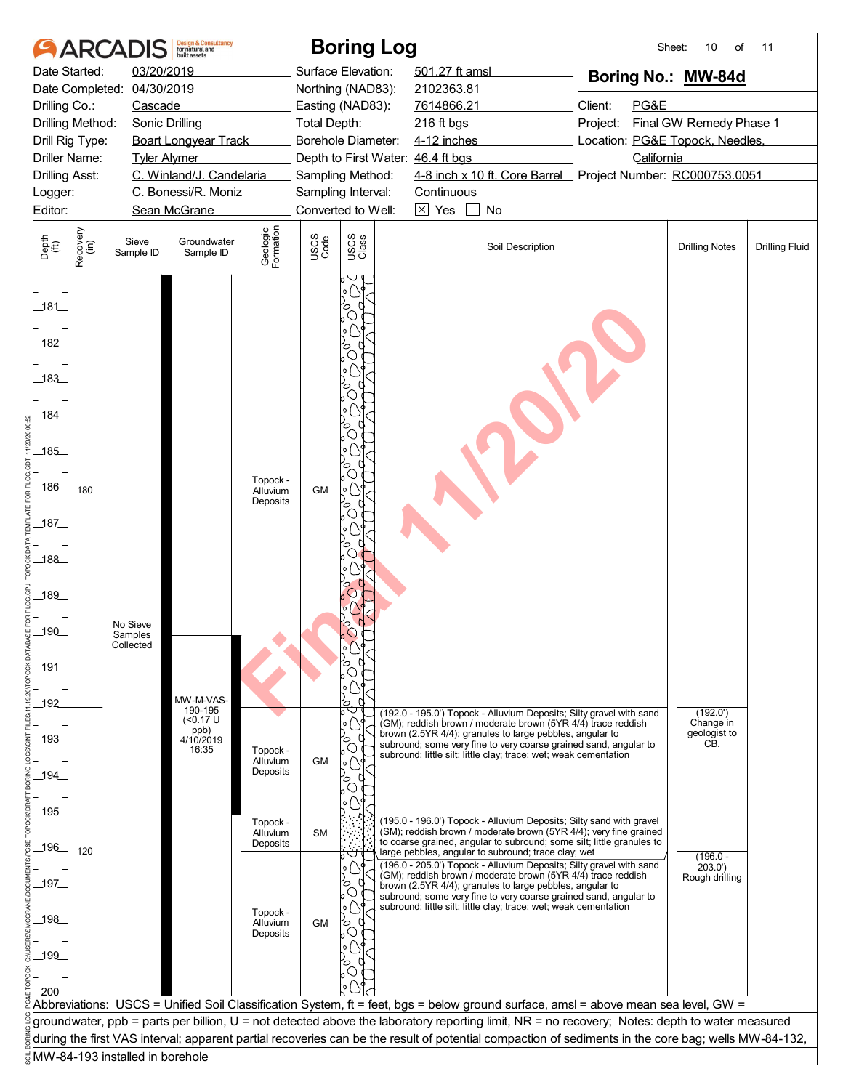|                       | <b>ARCAI</b>         |                                 | <b>Design &amp; Consultancy</b><br>for natural and |                       |              | <b>Boring Log</b>                 |                 |                                                                                                                                          | Sheet:                                                                                                                                                                                                                                                                              | 10<br>of                | 11                    |
|-----------------------|----------------------|---------------------------------|----------------------------------------------------|-----------------------|--------------|-----------------------------------|-----------------|------------------------------------------------------------------------------------------------------------------------------------------|-------------------------------------------------------------------------------------------------------------------------------------------------------------------------------------------------------------------------------------------------------------------------------------|-------------------------|-----------------------|
|                       | Date Started:        | 03/20/2019                      |                                                    |                       |              | Surface Elevation:                | 501.27 ft amsl  |                                                                                                                                          | Boring No.: MW-84d                                                                                                                                                                                                                                                                  |                         |                       |
|                       | Date Completed:      | 04/30/2019                      |                                                    |                       |              | Northing (NAD83):                 | 2102363.81      |                                                                                                                                          |                                                                                                                                                                                                                                                                                     |                         |                       |
| Drilling Co.:         |                      | Cascade                         |                                                    |                       |              | Easting (NAD83):                  | 7614866.21      |                                                                                                                                          | Client:<br>PG&E                                                                                                                                                                                                                                                                     |                         |                       |
|                       | Drilling Method:     | <b>Sonic Drilling</b>           |                                                    |                       | Total Depth: |                                   | $216$ ft bgs    |                                                                                                                                          | Project:                                                                                                                                                                                                                                                                            | Final GW Remedy Phase 1 |                       |
|                       | Drill Rig Type:      |                                 | <b>Boart Longyear Track</b>                        |                       |              | Borehole Diameter:                | 4-12 inches     |                                                                                                                                          | Location: PG&E Topock, Needles,                                                                                                                                                                                                                                                     |                         |                       |
|                       | <b>Driller Name:</b> | <b>Tyler Alymer</b>             |                                                    |                       |              | Depth to First Water: 46.4 ft bgs |                 |                                                                                                                                          | California                                                                                                                                                                                                                                                                          |                         |                       |
| <b>Drilling Asst:</b> |                      |                                 | C. Winland/J. Candelaria                           |                       |              | Sampling Method:                  |                 |                                                                                                                                          | 4-8 inch x 10 ft. Core Barrel Project Number: RC000753.0051                                                                                                                                                                                                                         |                         |                       |
| Logger:               |                      |                                 | C. Bonessi/R. Moniz                                |                       |              | Sampling Interval:                | Continuous      |                                                                                                                                          |                                                                                                                                                                                                                                                                                     |                         |                       |
| Editor:               |                      |                                 | Sean McGrane                                       |                       |              | Converted to Well:                | $\boxtimes$ Yes | No                                                                                                                                       |                                                                                                                                                                                                                                                                                     |                         |                       |
| Depth<br>(ft)         | Recovery<br>(in)     | Sieve<br>Sample ID              | Groundwater<br>Sample ID                           | Geologic<br>Formation | USCS<br>Code | USCS<br>Class                     |                 | Soil Description                                                                                                                         |                                                                                                                                                                                                                                                                                     | <b>Drilling Notes</b>   | <b>Drilling Fluid</b> |
| 181<br>182<br>183     |                      |                                 |                                                    |                       |              |                                   |                 |                                                                                                                                          |                                                                                                                                                                                                                                                                                     |                         |                       |
| 184                   |                      |                                 |                                                    |                       |              |                                   |                 |                                                                                                                                          |                                                                                                                                                                                                                                                                                     |                         |                       |
| 185                   |                      |                                 |                                                    |                       |              |                                   |                 |                                                                                                                                          |                                                                                                                                                                                                                                                                                     |                         |                       |
| $186$                 | 180                  |                                 |                                                    | Topock -<br>Alluvium  | <b>GM</b>    |                                   |                 |                                                                                                                                          |                                                                                                                                                                                                                                                                                     |                         |                       |
| $\_187$               |                      |                                 |                                                    | Deposits              |              |                                   |                 |                                                                                                                                          |                                                                                                                                                                                                                                                                                     |                         |                       |
| $188$                 |                      |                                 |                                                    |                       |              |                                   |                 |                                                                                                                                          |                                                                                                                                                                                                                                                                                     |                         |                       |
| _189_                 |                      |                                 |                                                    |                       |              |                                   |                 |                                                                                                                                          |                                                                                                                                                                                                                                                                                     |                         |                       |
| $-190$                |                      | No Sieve                        |                                                    |                       |              |                                   |                 |                                                                                                                                          |                                                                                                                                                                                                                                                                                     |                         |                       |
|                       |                      | Samples<br>Collected            |                                                    |                       |              |                                   |                 |                                                                                                                                          |                                                                                                                                                                                                                                                                                     |                         |                       |
| 191                   |                      |                                 |                                                    |                       |              | ○                                 |                 |                                                                                                                                          |                                                                                                                                                                                                                                                                                     |                         |                       |
|                       |                      |                                 |                                                    |                       |              |                                   |                 |                                                                                                                                          |                                                                                                                                                                                                                                                                                     |                         |                       |
| _192_                 |                      |                                 | MW-M-VAS-                                          |                       |              | ົດ                                |                 |                                                                                                                                          |                                                                                                                                                                                                                                                                                     |                         |                       |
|                       |                      |                                 | 190-195<br>( <sub>0.17</sub> U)                    |                       |              | b<br>۰o                           |                 | (192.0 - 195.0') Topock - Alluvium Deposits; Silty gravel with sand<br>(GM); reddish brown / moderate brown (5YR 4/4) trace reddish      |                                                                                                                                                                                                                                                                                     | (192.0')<br>Change in   |                       |
| $-193$                |                      |                                 | ppb)<br>4/10/2019                                  |                       |              | O                                 |                 | brown (2.5YR 4/4); granules to large pebbles, angular to<br>subround; some very fine to very coarse grained sand, angular to             |                                                                                                                                                                                                                                                                                     | geologist to<br>CB.     |                       |
|                       |                      |                                 | 16:35                                              | Topock -<br>Alluvium  | <b>GM</b>    | ۰o                                |                 | subround; little silt; little clay; trace; wet; weak cementation                                                                         |                                                                                                                                                                                                                                                                                     |                         |                       |
| _194_                 |                      |                                 |                                                    | Deposits              |              | $\circ$                           |                 |                                                                                                                                          |                                                                                                                                                                                                                                                                                     |                         |                       |
|                       |                      |                                 |                                                    |                       |              |                                   |                 |                                                                                                                                          |                                                                                                                                                                                                                                                                                     |                         |                       |
| $-195$                |                      |                                 |                                                    |                       |              |                                   |                 |                                                                                                                                          |                                                                                                                                                                                                                                                                                     |                         |                       |
|                       |                      |                                 |                                                    | Topock -<br>Alluvium  | <b>SM</b>    |                                   |                 | (195.0 - 196.0') Topock - Alluvium Deposits; Silty sand with gravel<br>(SM); reddish brown / moderate brown (5YR 4/4); very fine grained |                                                                                                                                                                                                                                                                                     |                         |                       |
| $\_196$               | 120                  |                                 |                                                    | Deposits              |              |                                   |                 | to coarse grained, angular to subround; some silt; little granules to<br>large pebbles, angular to subround; trace clay; wet             |                                                                                                                                                                                                                                                                                     |                         |                       |
|                       |                      |                                 |                                                    |                       |              |                                   |                 | (196.0 - 205.0') Topock - Alluvium Deposits; Silty gravel with sand                                                                      |                                                                                                                                                                                                                                                                                     | $(196.0 -$<br>203.0'    |                       |
| 197                   |                      |                                 |                                                    |                       |              | Ō                                 |                 | (GM); reddish brown / moderate brown (5YR 4/4) trace reddish<br>brown (2.5YR 4/4); granules to large pebbles, angular to                 |                                                                                                                                                                                                                                                                                     | Rough drilling          |                       |
|                       |                      |                                 |                                                    |                       |              |                                   |                 | subround; some very fine to very coarse grained sand, angular to<br>subround; little silt; little clay; trace; wet; weak cementation     |                                                                                                                                                                                                                                                                                     |                         |                       |
| 198                   |                      |                                 |                                                    | Topock -<br>Alluvium  | <b>GM</b>    | Ō                                 |                 |                                                                                                                                          |                                                                                                                                                                                                                                                                                     |                         |                       |
|                       |                      |                                 |                                                    | Deposits              |              |                                   |                 |                                                                                                                                          |                                                                                                                                                                                                                                                                                     |                         |                       |
| 199                   |                      |                                 |                                                    |                       |              |                                   |                 |                                                                                                                                          |                                                                                                                                                                                                                                                                                     |                         |                       |
|                       |                      |                                 |                                                    |                       |              |                                   |                 |                                                                                                                                          |                                                                                                                                                                                                                                                                                     |                         |                       |
| 200                   |                      |                                 |                                                    |                       |              |                                   |                 |                                                                                                                                          |                                                                                                                                                                                                                                                                                     |                         |                       |
|                       |                      |                                 |                                                    |                       |              |                                   |                 |                                                                                                                                          | Abbreviations: USCS = Unified Soil Classification System, ft = feet, bgs = below ground surface, amsl = above mean sea level, GW =<br>groundwater, ppb = parts per billion, U = not detected above the laboratory reporting limit, NR = no recovery; Notes: depth to water measured |                         |                       |
|                       |                      |                                 |                                                    |                       |              |                                   |                 |                                                                                                                                          | during the first VAS interval; apparent partial recoveries can be the result of potential compaction of sediments in the core bag; wells MW-84-132,                                                                                                                                 |                         |                       |
|                       |                      | MW-84-193 installed in borehole |                                                    |                       |              |                                   |                 |                                                                                                                                          |                                                                                                                                                                                                                                                                                     |                         |                       |
|                       |                      |                                 |                                                    |                       |              |                                   |                 |                                                                                                                                          |                                                                                                                                                                                                                                                                                     |                         |                       |